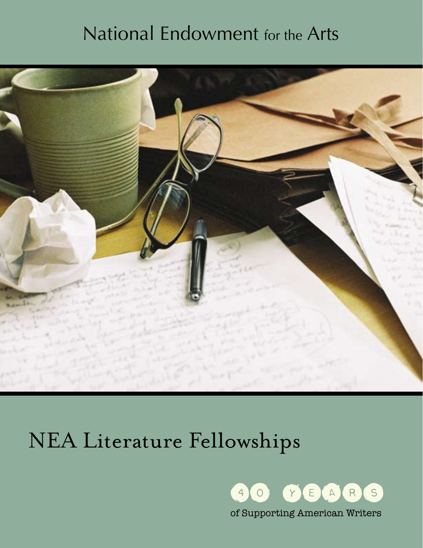### National Endowment for the Arts



# NEA Literature Fellowships

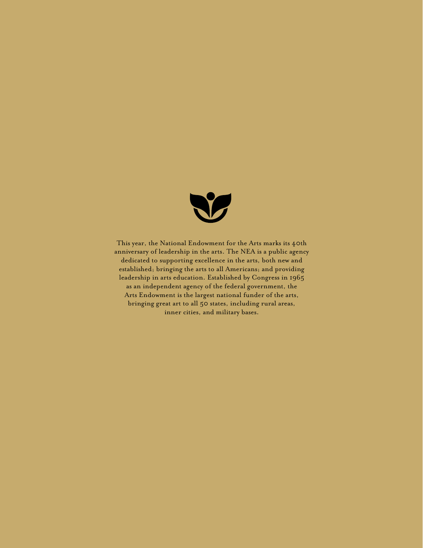

This year, the National Endowment for the Arts marks its 40th anniversary of leadership in the arts. The NEA is a public agency dedicated to supporting excellence in the arts, both new and established; bringing the arts to all Americans; and providing leadership in arts education. Established by Congress in 1965 as an independent agency of the federal government, the Arts Endowment is the largest national funder of the arts, bringing great art to all 50 states, including rural areas, inner cities, and military bases.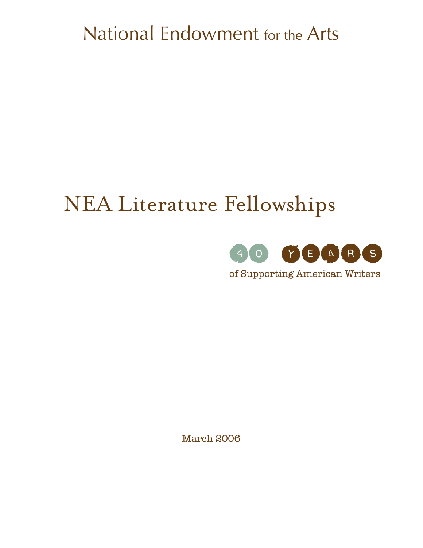## National Endowment for the Arts

## NEA Literature Fellowships



of Supporting American Writers

March 2006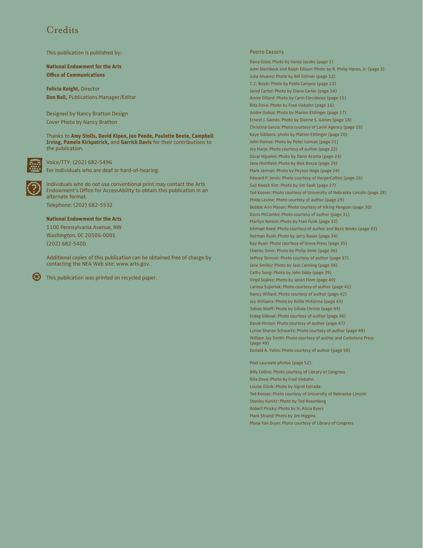### Credits

This publication is published by:

**National Endowment for the Arts Office of Communications**

**Felicia Knight,** Director **Don Ball,** Publications Manager/Editor

Designed by Nancy Bratton Design Cover Photo by Nancy Bratton

Thanks to **Amy Stolls, David Kipen, Jon Peede, Paulette Beete, Campbell Irving, Pamela Kirkpatrick,** and **Garrick Davis** for their contributions to the publication.



Voice/TTY: (202) 682-5496 For individuals who are deaf or hard-of-hearing.



Individuals who do not use conventional print may contact the Arts Endowment's Office for AccessAbility to obtain this publication in an alternate format.

Telephone: (202) 682-5532

#### **National Endowment for the Arts**

1100 Pennsylvania Avenue, NW Washington, DC 20506-0001 (202) 682-5400

Additional copies of this publication can be obtained free of charge by contacting the NEA Web site: www.arts.gov.



This publication was printed on recycled paper.

#### PHOTO CREDITS

Dana Gioia: Photo by Vance Jacobs (page 1) John Steinbeck and Ralph Ellison: Photo by R. Philip Hanes, Jr. (page 3) Julia Alvarez: Photo by Bill Eichner (page 12) T. C. Boyle: Photo by Pablo Campos (page 13) Jared Carter: Photo by Diane Carter (page 14) Annie Dillard: Photo by Carin Clevidence (page 15) Rita Dove: Photo by Fred Viebahn (page 16) Andre Dubus: Photo by Marion Ettlinger (page 17) Ernest J. Gaines: Photo by Dianne S. Gaines (page 18) Christina Garcia: Photo courtesy of Lavin Agency (page 19) Kaye Gibbons: photo by Marion Ettlinger (page 20) John Haines: Photo by Peter Iseman (page 21) Joy Harjo: Photo courtesy of author (page 22) Oscar Hijuelos: Photo by Dario Acosta (page 23) Jane Hishfield: Photo by Nick Rosza (page 24) Mark Jarman: Photo by Peyton Hoge (page 24) Edward P. Jones: Photo courtesy of HarperCollins (page 26) Suji Kwock Kim: Photo by Jim Saah (page 27) Ted Kooser: Photo courtesy of University of Nebraska-Lincoln (page 28) Philip Levine: Photo courtesy of author (page 29) Bobbie Ann Mason: Photo courtesy of Viking Penguin (page 30) Davis McCombs: Photo courtesy of author (page 31) Marilyn Nelson: Photo by Fran Funk (page 32) Ishmael Reed: Photo courtesy of author and Basic Books (page 33) Norman Rush: Photo by Jerry Bauer (page 34) Kay Ryan: Photo courtesy of Grove Press (page 35) Charles Simic: Photo by Philip Simic (page 36) Jeffrey Skinner: Photo courtesy of author (page 37) Jane Smiley: Photo by Jack Canning (page 38) Cathy Song: Photo by John Eddy (page 39) Virgil Suárez: Photo by Jason Flom (page 40) Larissa Szporluk: Photo courtesy of author (page 41) Nancy Willard: Photo courtesy of author (page 42) Joy Williams: Photo by Rollie McKenna (page 43) Tobias Wolff: Photo by Giliola Christe (page 44) Erdag Göknar: Photo courtesy of author (page 46) David Hinton: Photo courtesy of author (page 47) Lynne Sharon Schwartz: Photo courtesy of author (page 48) William Jay Smith: Photo courtesy of author and Curbstone Press (page 49) Donald A. Yates: Photo courtesy of author (page 50)

#### Poet Laureate photos (page 52):

Billy Collins: Photo courtesy of Library of Congress Rita Dove: Photo by Fred Viebahn Louise Glück: Photo by Sigrid Estrada Ted Kooser: Photo courtesy of University of Nebraska-Lincoln Stanley Kunitz: Photo by Ted Rosenberg Robert Pinsky: Photo by N. Alicia Byers Mark Strand: Photo by Jim Higgins Mona Van Duyn: Photo courtesy of Library of Congress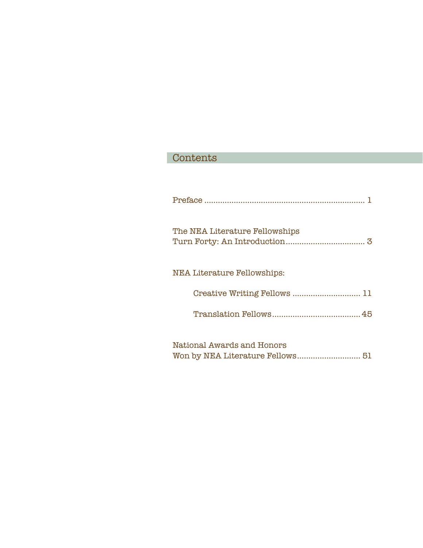### Contents Years and the control of the control of the control of the control of the control of the control of the control of the control of the control of the control of the control of the control of the control of the control of th

| The NEA Literature Fellowships |
|--------------------------------|
| NEA Literature Fellowships:    |
| Creative Writing Fellows  11   |
|                                |
| National Awards and Honors     |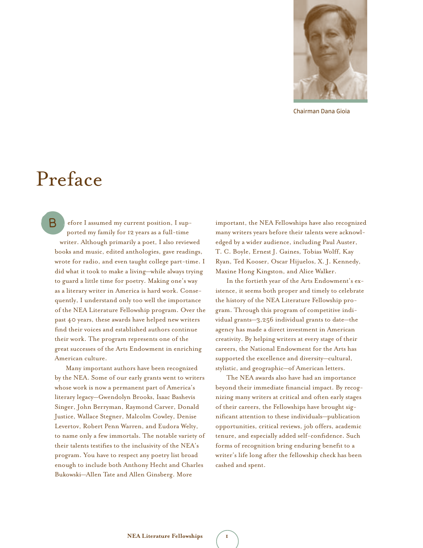

Chairman Dana Gioia

### Preface

efore I assumed my current position, I supported my family for 12 years as a full-time writer. Although primarily a poet, I also reviewed books and music, edited anthologies, gave readings, wrote for radio, and even taught college part-time. I did what it took to make a living—while always trying to guard a little time for poetry. Making one's way as a literary writer in America is hard work. Consequently, I understand only too well the importance of the NEA Literature Fellowship program. Over the past 40 years, these awards have helped new writers find their voices and established authors continue their work. The program represents one of the great successes of the Arts Endowment in enriching American culture. B

Many important authors have been recognized by the NEA. Some of our early grants went to writers whose work is now a permanent part of America's literary legacy—Gwendolyn Brooks, Isaac Bashevis Singer, John Berryman, Raymond Carver, Donald Justice, Wallace Stegner, Malcolm Cowley, Denise Levertov, Robert Penn Warren, and Eudora Welty, to name only a few immortals. The notable variety of their talents testifies to the inclusivity of the NEA's program. You have to respect any poetry list broad enough to include both Anthony Hecht and Charles Bukowski—Allen Tate and Allen Ginsberg. More

 important, the NEA Fellowships have also recognized many writers years before their talents were acknowledged by a wider audience, including Paul Auster, T. C. Boyle, Ernest J. Gaines, Tobias Wolff, Kay Ryan, Ted Kooser, Oscar Hijuelos, X. J. Kennedy, Maxine Hong Kingston, and Alice Walker.

In the fortieth year of the Arts Endowment's existence, it seems both proper and timely to celebrate the history of the NEA Literature Fellowship program. Through this program of competitive individual grants—3,256 individual grants to date—the agency has made a direct investment in American creativity. By helping writers at every stage of their careers, the National Endowment for the Arts has supported the excellence and diversity—cultural, stylistic, and geographic—of American letters.

The NEA awards also have had an importance beyond their immediate financial impact. By recognizing many writers at critical and often early stages of their careers, the Fellowships have brought significant attention to these individuals—publication opportunities, critical reviews, job offers, academic tenure, and especially added self-confidence. Such forms of recognition bring enduring benefit to a writer's life long after the fellowship check has been cashed and spent.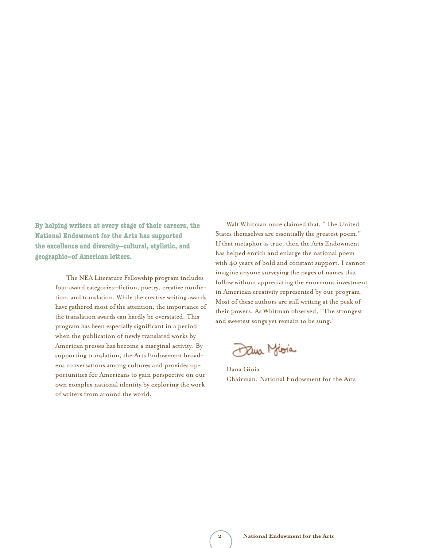**By helping writers at every stage of their careers, the National Endowment for the Arts has supported the excellence and diversity—cultural, stylistic, and geographic—of American letters.**

> The NEA Literature Fellowship program includes four award categories—fiction, poetry, creative nonfiction, and translation. While the creative writing awards have gathered most of the attention, the importance of the translation awards can hardly be overstated. This program has been especially significant in a period when the publication of newly translated works by American presses has become a marginal activity. By supporting translation, the Arts Endowment broadens conversations among cultures and provides opportunities for Americans to gain perspective on our own complex national identity by exploring the work of writers from around the world.

Walt Whitman once claimed that, "The United States themselves are essentially the greatest poem." If that metaphor is true, then the Arts Endowment has helped enrich and enlarge the national poem with 40 years of bold and constant support. I cannot imagine anyone surveying the pages of names that follow without appreciating the enormous investment in American creativity represented by our program. Most of these authors are still writing at the peak of their powers. As Whitman observed, "The strongest and sweetest songs yet remain to be sung."

Dana Mioia

Dana Gioia Chairman, National Endowment for the Arts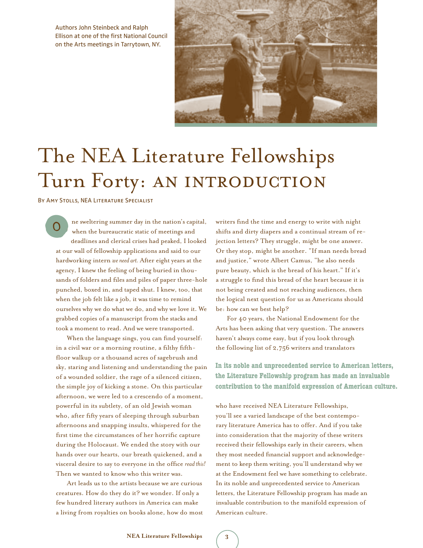Authors John Steinbeck and Ralph Ellison at one of the first National Council on the Arts meetings in Tarrytown, NY.



## The NEA Literature Fellowships Turn Forty: AN INTRODUCTION

By Amy Stolls, NEA Literature Specialist

ne sweltering summer day in the nation's capital, when the bureaucratic static of meetings and deadlines and clerical crises had peaked, I looked at our wall of fellowship applications and said to our hardworking intern *we need art.* After eight years at the agency, I knew the feeling of being buried in thousands of folders and files and piles of paper three-hole punched, boxed in, and taped shut. I knew, too, that when the job felt like a job, it was time to remind ourselves why we do what we do, and why we love it. We grabbed copies of a manuscript from the stacks and took a moment to read. And we were transported. o

When the language sings, you can find yourself: in a civil war or a morning routine, a filthy fifthfloor walkup or a thousand acres of sagebrush and sky, staring and listening and understanding the pain of a wounded soldier, the rage of a silenced citizen, the simple joy of kicking a stone. On this particular afternoon, we were led to a crescendo of a moment, powerful in its subtlety, of an old Jewish woman who, after fifty years of sleeping through suburban afternoons and snapping insults, whispered for the first time the circumstances of her horrific capture during the Holocaust. We ended the story with our hands over our hearts, our breath quickened, and a visceral desire to say to everyone in the office *read this!* Then we wanted to know who this writer was.

Art leads us to the artists because we are curious creatures. How do they do it? we wonder. If only a few hundred literary authors in America can make a living from royalties on books alone, how do most writers find the time and energy to write with night shifts and dirty diapers and a continual stream of rejection letters? They struggle, might be one answer. Or they stop, might be another. "If man needs bread and justice," wrote Albert Camus, "he also needs pure beauty, which is the bread of his heart." If it's a struggle to find this bread of the heart because it is not being created and not reaching audiences, then the logical next question for us as Americans should be: how can we best help?

For 40 years, the National Endowment for the Arts has been asking that very question. The answers haven't always come easy, but if you look through the following list of 2,756 writers and translators

**In its noble and unprecedented service to American letters, the Literature Fellowship program has made an invaluable contribution to the manifold expression of American culture.**

who have received NEA Literature Fellowships, you'll see a varied landscape of the best contemporary literature America has to offer. And if you take into consideration that the majority of these writers received their fellowships early in their careers, when they most needed financial support and acknowledgement to keep them writing, you'll understand why we at the Endowment feel we have something to celebrate. In its noble and unprecedented service to American letters, the Literature Fellowship program has made an invaluable contribution to the manifold expression of American culture.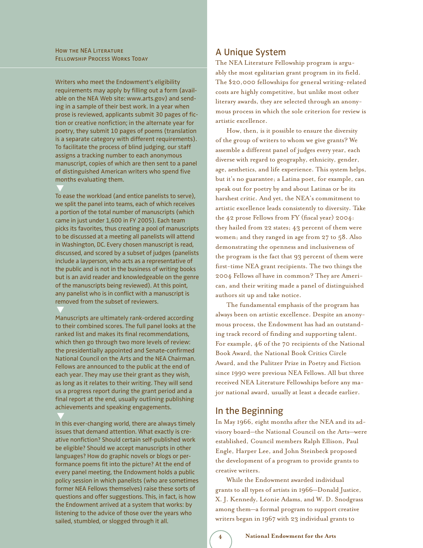Writers who meet the Endowment's eligibility requirements may apply by filling out a form (available on the NEA Web site: www.arts.gov) and sending in a sample of their best work. In a year when prose is reviewed, applicants submit 30 pages of fiction or creative nonfiction; in the alternate year for poetry, they submit 10 pages of poems (translation is a separate category with different requirements). To facilitate the process of blind judging, our staff assigns a tracking number to each anonymous manuscript, copies of which are then sent to a panel of distinguished American writers who spend five months evaluating them.

To ease the workload (and entice panelists to serve), we split the panel into teams, each of which receives a portion of the total number of manuscripts (which came in just under 1,600 in FY 2005). Each team picks its favorites, thus creating a pool of manuscripts to be discussed at a meeting all panelists will attend in Washington, DC. Every chosen manuscript is read, discussed, and scored by a subset of judges (panelists include a layperson, who acts as a representative of the public and is not in the business of writing books but is an avid reader and knowledgeable on the genre of the manuscripts being reviewed). At this point, any panelist who is in conflict with a manuscript is removed from the subset of reviewers.

Manuscripts are ultimately rank-ordered according to their combined scores. The full panel looks at the ranked list and makes its final recommendations, which then go through two more levels of review: the presidentially appointed and Senate-confirmed National Council on the Arts and the NEA Chairman. Fellows are announced to the public at the end of each year. They may use their grant as they wish, as long as it relates to their writing. They will send us a progress report during the grant period and a final report at the end, usually outlining publishing achievements and speaking engagements.

In this ever-changing world, there are always timely issues that demand attention. What exactly is creative nonfiction? Should certain self-published work be eligible? Should we accept manuscripts in other languages? How do graphic novels or blogs or performance poems fit into the picture? At the end of every panel meeting, the Endowment holds a public policy session in which panelists (who are sometimes former NEA Fellows themselves) raise these sorts of questions and offer suggestions. This, in fact, is how the Endowment arrived at a system that works: by listening to the advice of those over the years who sailed, stumbled, or slogged through it all.

### A Unique System

The NEA Literature Fellowship program is arguably the most egalitarian grant program in its field. The \$20,000 fellowships for general writing-related costs are highly competitive, but unlike most other literary awards, they are selected through an anonymous process in which the sole criterion for review is artistic excellence.

How, then, is it possible to ensure the diversity of the group of writers to whom we give grants? We assemble a different panel of judges every year, each diverse with regard to geography, ethnicity, gender, age, aesthetics, and life experience. This system helps, but it's no guarantee; a Latina poet, for example, can speak out for poetry by and about Latinas or be its harshest critic. And yet, the NEA's commitment to artistic excellence leads consistently to diversity. Take the 42 prose Fellows from FY (fiscal year) 2004: they hailed from 22 states; 43 percent of them were women; and they ranged in age from 27 to 58. Also demonstrating the openness and inclusiveness of the program is the fact that 93 percent of them were first-time NEA grant recipients. The two things the 2004 Fellows *all* have in common? They are American, and their writing made a panel of distinguished authors sit up and take notice.

The fundamental emphasis of the program has always been on artistic excellence. Despite an anonymous process, the Endowment has had an outstanding track record of finding and supporting talent. For example, 46 of the 70 recipients of the National Book Award, the National Book Critics Circle Award, and the Pulitzer Prize in Poetry and Fiction since 1990 were previous NEA Fellows. All but three received NEA Literature Fellowships before any major national award, usually at least a decade earlier.

### In the Beginning

In May 1966, eight months after the NEA and its advisory board—the National Council on the Arts—were established, Council members Ralph Ellison, Paul Engle, Harper Lee, and John Steinbeck proposed the development of a program to provide grants to creative writers.

While the Endowment awarded individual grants to all types of artists in 1966—Donald Justice, X. J. Kennedy, Léonie Adams, and W. D. Snodgrass among them—a formal program to support creative writers began in 1967 with 23 individual grants to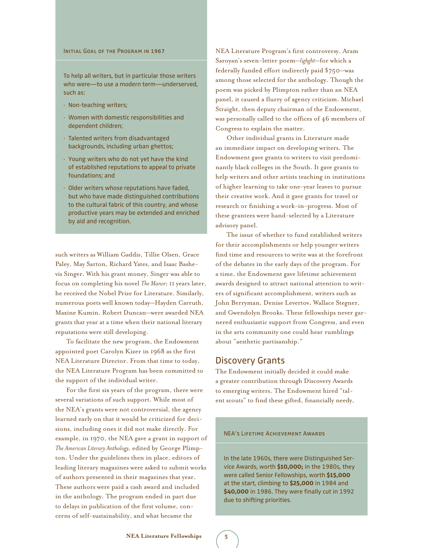#### INITIAL GOAL OF THE PROGRAM IN 1967

To help all writers, but in particular those writers who were—to use a modern term—underserved, such as:

- · Non-teaching writers;
- · Women with domestic responsibilities and dependent children;
- · Talented writers from disadvantaged backgrounds, including urban ghettos;
- · Young writers who do not yet have the kind of established reputations to appeal to private foundations; and
- · Older writers whose reputations have faded, but who have made distinguished contributions to the cultural fabric of this country, and whose productive years may be extended and enriched by aid and recognition.

such writers as William Gaddis, Tillie Olsen, Grace Paley, May Sarton, Richard Yates, and Isaac Bashevis Singer. With his grant money, Singer was able to focus on completing his novel *The Manor;* 11 years later, he received the Nobel Prize for Literature. Similarly, numerous poets well known today—Hayden Carruth, Maxine Kumin, Robert Duncan—were awarded NEA grants that year at a time when their national literary reputations were still developing.

To facilitate the new program, the Endowment appointed poet Carolyn Kizer in 1968 as the first NEA Literature Director. From that time to today, the NEA Literature Program has been committed to the support of the individual writer.

For the first six years of the program, there were several variations of such support. While most of the NEA's grants were not controversial, the agency learned early on that it would be criticized for decisions, including ones it did not make directly. For example, in 1970, the NEA gave a grant in support of *The American Literary Anthology,* edited by George Plimpton. Under the guidelines then in place, editors of leading literary magazines were asked to submit works of authors presented in their magazines that year. These authors were paid a cash award and included in the anthology. The program ended in part due to delays in publication of the first volume, concerns of self-sustainability, and what became the

NEA Literature Program's first controversy. Aram Saroyan's seven-letter poem—*lighght*—for which a federally funded effort indirectly paid \$750—was among those selected for the anthology. Though the poem was picked by Plimpton rather than an NEA panel, it caused a flurry of agency criticism. Michael Straight, then deputy chairman of the Endowment, was personally called to the offices of 46 members of Congress to explain the matter.

Other individual grants in Literature made an immediate impact on developing writers. The Endowment gave grants to writers to visit predominantly black colleges in the South. It gave grants to help writers and other artists teaching in institutions of higher learning to take one-year leaves to pursue their creative work. And it gave grants for travel or research or finishing a work-in-progress. Most of these grantees were hand-selected by a Literature advisory panel.

The issue of whether to fund established writers for their accomplishments or help younger writers find time and resources to write was at the forefront of the debates in the early days of the program. For a time, the Endowment gave lifetime achievement awards designed to attract national attention to writers of significant accomplishment, writers such as John Berryman, Denise Levertov, Wallace Stegner, and Gwendolyn Brooks. These fellowships never garnered enthusiastic support from Congress, and even in the arts community one could hear rumblings about "aesthetic partisanship."

#### Discovery Grants

The Endowment initially decided it could make a greater contribution through Discovery Awards to emerging writers. The Endowment hired "talent scouts" to find these gifted, financially needy,

#### NEA's Lifetime Achievement Awards

In the late 1960s, there were Distinguished Service Awards, worth **\$10,000;** in the 1980s, they were called Senior Fellowships, worth **\$15,000** at the start, climbing to **\$25,000** in 1984 and **\$40,000** in 1986. They were finally cut in 1992 due to shifting priorities.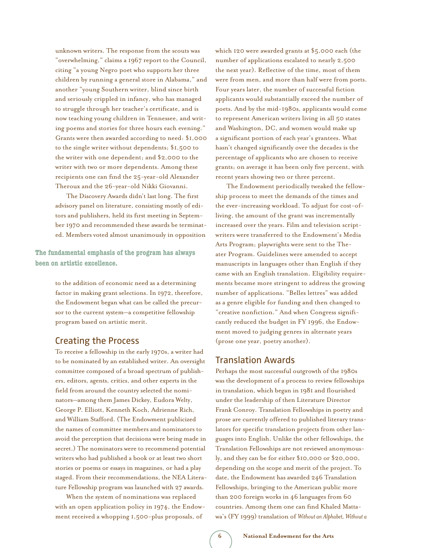unknown writers. The response from the scouts was "overwhelming," claims a 1967 report to the Council, citing "a young Negro poet who supports her three children by running a general store in Alabama," and another "young Southern writer, blind since birth and seriously crippled in infancy, who has managed to struggle through her teacher's certificate, and is now teaching young children in Tennessee, and writing poems and stories for three hours each evening." Grants were then awarded according to need: \$1,000 to the single writer without dependents; \$1,500 to the writer with one dependent; and \$2,000 to the writer with two or more dependents. Among these recipients one can find the 25-year-old Alexander Theroux and the 26-year-old Nikki Giovanni.

The Discovery Awards didn't last long. The first advisory panel on literature, consisting mostly of editors and publishers, held its first meeting in September 1970 and recommended these awards be terminated. Members voted almost unanimously in opposition

**The fundamental emphasis of the program has always been on artistic excellence.**

> to the addition of economic need as a determining factor in making grant selections. In 1972, therefore, the Endowment began what can be called the precursor to the current system—a competitive fellowship program based on artistic merit.

#### Creating the Process

To receive a fellowship in the early 1970s, a writer had to be nominated by an established writer. An oversight committee composed of a broad spectrum of publishers, editors, agents, critics, and other experts in the field from around the country selected the nominators—among them James Dickey, Eudora Welty, George P. Elliott, Kenneth Koch, Adrienne Rich, and William Stafford. (The Endowment publicized the names of committee members and nominators to avoid the perception that decisions were being made in secret.) The nominators were to recommend potential writers who had published a book or at least two short stories or poems or essays in magazines, or had a play staged. From their recommendations, the NEA Literature Fellowship program was launched with 27 awards.

When the system of nominations was replaced with an open application policy in 1974, the Endowment received a whopping 1,500-plus proposals, of

which 120 were awarded grants at \$5,000 each (the number of applications escalated to nearly 2,500 the next year). Reflective of the time, most of them were from men, and more than half were from poets. Four years later, the number of successful fiction applicants would substantially exceed the number of poets. And by the mid-1980s, applicants would come to represent American writers living in all 50 states and Washington, DC, and women would make up a significant portion of each year's grantees. What hasn't changed significantly over the decades is the percentage of applicants who are chosen to receive grants; on average it has been only five percent, with recent years showing two or three percent.

The Endowment periodically tweaked the fellowship process to meet the demands of the times and the ever-increasing workload. To adjust for cost-ofliving, the amount of the grant was incrementally increased over the years. Film and television scriptwriters were transferred to the Endowment's Media Arts Program; playwrights were sent to the Theater Program. Guidelines were amended to accept manuscripts in languages other than English if they came with an English translation. Eligibility requirements became more stringent to address the growing number of applications. "Belles lettres" was added as a genre eligible for funding and then changed to "creative nonfiction." And when Congress significantly reduced the budget in FY 1996, the Endowment moved to judging genres in alternate years (prose one year, poetry another).

#### Translation Awards

Perhaps the most successful outgrowth of the 1980s was the development of a process to review fellowships in translation, which began in 1981 and flourished under the leadership of then Literature Director Frank Conroy. Translation Fellowships in poetry and prose are currently offered to published literary translators for specific translation projects from other languages into English. Unlike the other fellowships, the Translation Fellowships are not reviewed anonymously, and they can be for either \$10,000 or \$20,000, depending on the scope and merit of the project. To date, the Endowment has awarded 246 Translation Fellowships, bringing to the American public more than 200 foreign works in 46 languages from 60 countries. Among them one can find Khaled Mattawa's (FY 1999) translation of *Without an Alphabet, Without a*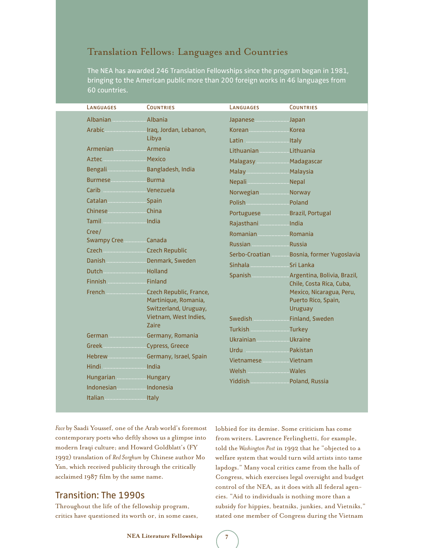### Translation Fellows: Languages and Countries

The NEA has awarded 246 Translation Fellowships since the program began in 1981, bringing to the American public more than 200 foreign works in 46 languages from 60 countries.

| LANGUAGES                                                                                                                                                                                                                      | <b>COUNTRIES</b>                                                                                                                                      | LANGUAGES                                                                                                                                                                                                                                            | <b>COUNTRIES</b>                                                                                                                                                                         |
|--------------------------------------------------------------------------------------------------------------------------------------------------------------------------------------------------------------------------------|-------------------------------------------------------------------------------------------------------------------------------------------------------|------------------------------------------------------------------------------------------------------------------------------------------------------------------------------------------------------------------------------------------------------|------------------------------------------------------------------------------------------------------------------------------------------------------------------------------------------|
|                                                                                                                                                                                                                                |                                                                                                                                                       | Japanese Japan                                                                                                                                                                                                                                       |                                                                                                                                                                                          |
|                                                                                                                                                                                                                                | Libya                                                                                                                                                 | Korean Manummun Korea                                                                                                                                                                                                                                |                                                                                                                                                                                          |
| Armenian Manuel Armenia<br>Bengali <b>Manual Bangladesh</b> , India<br>Burmese Burma<br>Carib Venezuela<br>Catalan  Spain<br>Chinese China<br>Cree/<br>Swampy Cree Canada<br>Danish Denmark, Sweden<br>German Germany, Romania | Martinique, Romania,<br>Switzerland, Uruguay,<br>Vietnam, West Indies,<br><b>Zaire</b><br>Hebrew <b>Election Communication</b> Germany, Israel, Spain | Lithuanian  Lithuania<br>Malagasy  Madagascar<br>Malay Malaysia<br>Nepali Nepal<br>NorwegianNorway<br>Portuguese  Brazil, Portugal<br>Romanian  Romania<br>Russian Manuel Russia<br>Sinhala Sinhala<br>Swedish  Finland, Sweden<br>Ukrainian Ukraine | Serbo-Croatian  Bosnia, former Yugoslavia<br>Spanish <b>Manuk Argentina</b> , Bolivia, Brazil,<br>Chile, Costa Rica, Cuba,<br>Mexico, Nicaragua, Peru,<br>Puerto Rico, Spain,<br>Uruguay |
| Hungarian <b>Manual</b> Hungary<br>Italian Manuel Maly                                                                                                                                                                         |                                                                                                                                                       | Vietnamese Wietnam<br>Yiddish Poland, Russia                                                                                                                                                                                                         |                                                                                                                                                                                          |

*Face* by Saadi Youssef, one of the Arab world's foremost contemporary poets who deftly shows us a glimpse into modern Iraqi culture; and Howard Goldblatt's (FY 1992) translation of *Red Sorghum* by Chinese author Mo Yan, which received publicity through the critically acclaimed 1987 film by the same name.

### Transition: The 1990s

Throughout the life of the fellowship program, critics have questioned its worth or, in some cases, lobbied for its demise. Some criticism has come from writers. Lawrence Ferlinghetti, for example, told the *Washington Post* in 1992 that he "objected to a welfare system that would turn wild artists into tame lapdogs." Many vocal critics came from the halls of Congress, which exercises legal oversight and budget control of the NEA, as it does with all federal agencies. "Aid to individuals is nothing more than a subsidy for hippies, beatniks, junkies, and Vietniks," stated one member of Congress during the Vietnam

**NEA Literature Fellowships 7**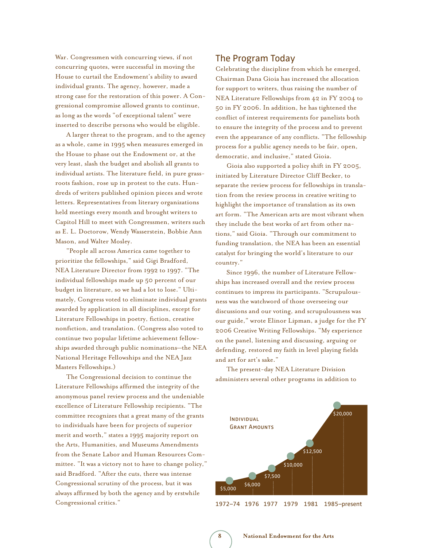War. Congressmen with concurring views, if not concurring quotes, were successful in moving the House to curtail the Endowment's ability to award individual grants. The agency, however, made a strong case for the restoration of this power. A Congressional compromise allowed grants to continue, as long as the words "of exceptional talent" were inserted to describe persons who would be eligible.

A larger threat to the program, and to the agency as a whole, came in 1995 when measures emerged in the House to phase out the Endowment or, at the very least, slash the budget and abolish all grants to individual artists. The literature field, in pure grassroots fashion, rose up in protest to the cuts. Hundreds of writers published opinion pieces and wrote letters. Representatives from literary organizations held meetings every month and brought writers to Capitol Hill to meet with Congressmen, writers such as E. L. Doctorow, Wendy Wasserstein, Bobbie Ann Mason, and Walter Mosley.

"People all across America came together to prioritize the fellowships," said Gigi Bradford, NEA Literature Director from 1992 to 1997. "The individual fellowships made up 50 percent of our budget in literature, so we had a lot to lose." Ultimately, Congress voted to eliminate individual grants awarded by application in all disciplines, except for Literature Fellowships in poetry, fiction, creative nonfiction, and translation. (Congress also voted to continue two popular lifetime achievement fellowships awarded through public nominations—the NEA National Heritage Fellowships and the NEA Jazz Masters Fellowships.)

The Congressional decision to continue the Literature Fellowships affirmed the integrity of the anonymous panel review process and the undeniable excellence of Literature Fellowship recipients. "The committee recognizes that a great many of the grants to individuals have been for projects of superior merit and worth," states a 1995 majority report on the Arts, Humanities, and Museums Amendments from the Senate Labor and Human Resources Committee. "It was a victory not to have to change policy," said Bradford. "After the cuts, there was intense Congressional scrutiny of the process, but it was always affirmed by both the agency and by erstwhile Congressional critics."

#### The Program Today

Celebrating the discipline from which he emerged, Chairman Dana Gioia has increased the allocation for support to writers, thus raising the number of NEA Literature Fellowships from 42 in FY 2004 to 50 in FY 2006. In addition, he has tightened the conflict of interest requirements for panelists both to ensure the integrity of the process and to prevent even the appearance of any conflicts. "The fellowship process for a public agency needs to be fair, open, democratic, and inclusive," stated Gioia.

Gioia also supported a policy shift in FY 2005, initiated by Literature Director Cliff Becker, to separate the review process for fellowships in translation from the review process in creative writing to highlight the importance of translation as its own art form. "The American arts are most vibrant when they include the best works of art from other nations," said Gioia. "Through our commitment to funding translation, the NEA has been an essential catalyst for bringing the world's literature to our country."

Since 1996, the number of Literature Fellowships has increased overall and the review process continues to impress its participants. "Scrupulousness was the watchword of those overseeing our discussions and our voting, and scrupulousness was our guide," wrote Elinor Lipman, a judge for the FY 2006 Creative Writing Fellowships. "My experience on the panel, listening and discussing, arguing or defending, restored my faith in level playing fields and art for art's sake."

The present-day NEA Literature Division administers several other programs in addition to



1972–74 1976 1977 1979 1981 1985–present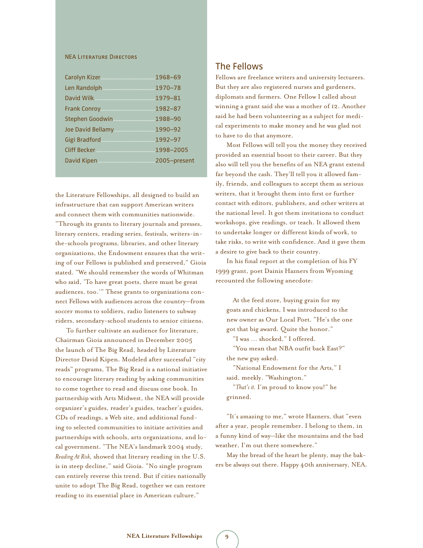#### NEA Literature Directors

| Len Randolph 1970-78       |  |
|----------------------------|--|
|                            |  |
|                            |  |
| Stephen Goodwin  1988-90   |  |
| Joe David Bellamy  1990-92 |  |
|                            |  |
|                            |  |
|                            |  |
|                            |  |

the Literature Fellowships, all designed to build an infrastructure that can support American writers and connect them with communities nationwide. "Through its grants to literary journals and presses, literary centers, reading series, festivals, writers-inthe-schools programs, libraries, and other literary organizations, the Endowment ensures that the writing of our Fellows is published and preserved," Gioia stated. "We should remember the words of Whitman who said, 'To have great poets, there must be great audiences, too.'" These grants to organizations connect Fellows with audiences across the country—from soccer moms to soldiers, radio listeners to subway riders, secondary-school students to senior citizens.

To further cultivate an audience for literature, Chairman Gioia announced in December 2005 the launch of The Big Read, headed by Literature Director David Kipen. Modeled after successful "city reads" programs, The Big Read is a national initiative to encourage literary reading by asking communities to come together to read and discuss one book. In partnership with Arts Midwest, the NEA will provide organizer's guides, reader's guides, teacher's guides, CDs of readings, a Web site, and additional funding to selected communities to initiate activities and partnerships with schools, arts organizations, and local government. "The NEA's landmark 2004 study, *Reading At Risk,* showed that literary reading in the U.S. is in steep decline," said Gioia. "No single program can entirely reverse this trend. But if cities nationally unite to adopt The Big Read, together we can restore reading to its essential place in American culture."

#### The Fellows

Fellows are freelance writers and university lecturers. But they are also registered nurses and gardeners, diplomats and farmers. One Fellow I called about winning a grant said she was a mother of 12. Another said he had been volunteering as a subject for medical experiments to make money and he was glad not to have to do that anymore.

Most Fellows will tell you the money they received provided an essential boost to their career. But they also will tell you the benefits of an NEA grant extend far beyond the cash. They'll tell you it allowed family, friends, and colleagues to accept them as serious writers, that it brought them into first or further contact with editors, publishers, and other writers at the national level. It got them invitations to conduct workshops, give readings, or teach. It allowed them to undertake longer or different kinds of work, to take risks, to write with confidence. And it gave them a desire to give back to their country.

In his final report at the completion of his FY 1999 grant, poet Dainis Hazners from Wyoming recounted the following anecdote:

 At the feed store, buying grain for my goats and chickens, I was introduced to the new owner as Our Local Poet. "He's the one got that big award. Quite the honor."

"I was … shocked," I offered.

 "You mean that NBA outfit back East?" the new guy asked.

 "National Endowment for the Arts," I said, meekly. "Washington."

 "*That's it.* I'm proud to know you!" he grinned.

"It's amazing to me," wrote Hazners, that "even after a year, people remember. I belong to them, in a funny kind of way—like the mountains and the bad weather, I'm out there somewhere."

May the bread of the heart be plenty, may the bakers be always out there. Happy 40th anniversary, NEA.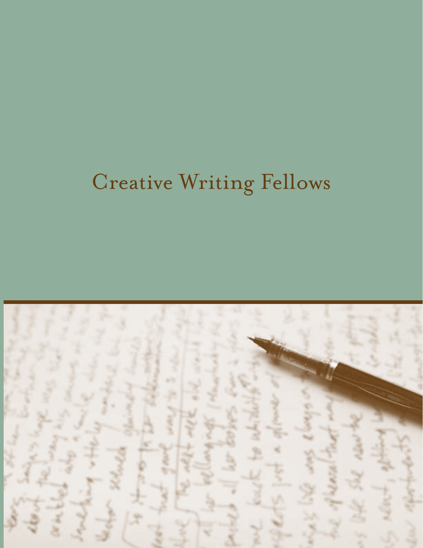# Creative Writing Fellows

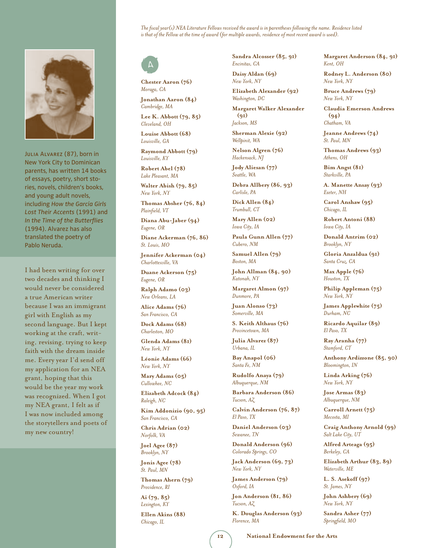#### *The fiscal year(s) NEA Literature Fellows received the award is in parentheses following the name. Residence listed is that of the Fellow at the time of award (for multiple awards, residence of most recent award is used).*



JULIA ALVAREZ (87), born in New York City to Dominican parents, has written 14 books of essays, poetry, short stories, novels, children's books, and young adult novels, including *How the García Girls Lost Their Accents* (1991) and *In the Time of the Butterflies* (1994). Alvarez has also translated the poetry of Pablo Neruda.

I had been writing for over two decades and thinking I would never be considered a true American writer because I was an immigrant girl with English as my second language. But I kept working at the craft, writing, revising, trying to keep faith with the dream inside me. Every year I'd send off my application for an NEA grant, hoping that this would be the year my work was recognized. When I got my NEA grant, I felt as if I was now included among the storytellers and poets of my new country!



**Chester Aaron (76)** *Moraga, CA*

**Jonathan Aaron (84)** *Cambridge, MA*

**Lee K. Abbott (79, 85)** *Cleveland, OH*

**Louise Abbott (68)** *Louisville, GA*

**Raymond Abbott (79)** *Louisville, KY*

**Robert Abel (78)** *Lake Pleasant, MA*

**Walter Abish (79, 85)** *New York, NY*

**Thomas Absher (76, 84)** *Plainfield, VT*

**Diana Abu-Jaber (94)** *Eugene, OR*

**Diane Ackerman (76, 86)** *St. Louis, MO*

**Jennifer Ackerman (04)** *Charlottesville, VA*

**Duane Ackerson (75)** *Eugene, OR*

**Ralph Adamo (03)** *New Orleans, LA*

**Alice Adams (76)** *San Francisco, CA*

**Dock Adams (68)** *Charleston, MO*

**Glenda Adams (81)** *New York, NY*

**Léonie Adams (66)** *New York, NY*

**Mary Adams (05)** *Cullowhee, NC*

**Elizabeth Adcock (84)** *Raleigh, NC*

**Kim Addonizio (90, 95)** *San Francisco, CA*

**Chris Adrian (02)** *Norfolk, VA*

**Joel Agee (87)** *Brooklyn, NY*

**Jonis Agee (78)** *St. Paul, MN*

**Thomas Ahern (79)** *Providence, RI*

**Ai (79, 85)** *Lexington, KY*

**Ellen Akins (88)** *Chicago, IL*

**Sandra Alcosser (85, 91)** *Encinitas, CA*

**Daisy Aldan (69)** *New York, NY*

**Elizabeth Alexander (92)** *Washington, DC*

**Margaret Walker Alexander (91)** *Jackson, MS*

**Sherman Alexie (92)** *Wellpinit, WA*

**Nelson Algren (76)** *Hackensack, NJ*

**Jody Aliesan (77)** *Seattle, WA*

**Debra Allbery (86, 93)** *Carlisle, PA*

**Dick Allen (84)** *Trumbull, CT*

**Mary Allen (02)** *Iowa City, IA*

**Paula Gunn Allen (77)** *Cubero, NM*

**Samuel Allen (79)** *Boston, MA*

**John Allman (84, 90)** *Katonah, NY*

**Margaret Almon (97)** *Dunmore, PA*

**Juan Alonso (73)** *Somerville, MA*

**S. Keith Althaus (76)** *Provincetown, MA*

**Julia Alvarez (87)** *Urbana, IL*

**Bay Anapol (06)** *Santa Fe, NM*

**Rudolfo Anaya (79)** *Albuquerque, NM*

**Barbara Anderson (86)** *Tucson, AZ*

**Calvin Anderson (76, 87)** *El Paso, TX*

**Daniel Anderson (03)** *Sewanee, TN*

**Donald Anderson (96)** *Colorado Springs, CO*

**Jack Anderson (69, 73)** *New York, NY*

**James Anderson (79)** *Oxford, IA*

**Jon Anderson (81, 86)** *Tucson, AZ*

**K. Douglas Anderson (93)** *Florence, MA*

**Margaret Anderson (84, 91)** *Kent, OH*

**Rodney L. Anderson (80)** *New York, NY*

**Bruce Andrews (79)** *New York, NY*

**Claudia Emerson Andrews (94)** *Chatham, VA*

**Jeanne Andrews (74)** *St. Paul, MN*

**Thomas Andrews (93)** *Athens, OH*

**Bim Angst (81)** *Starkville, PA*

**A. Manette Ansay (93)** *Exeter, NH*

**Carol Anshaw (95)** *Chicago, IL*

**Robert Antoni (88)** *Iowa City, IA*

**Donald Antrim (02)** *Brooklyn, NY*

**Gloria Anzaldua (91)** *Santa Cruz, CA*

**Max Apple (76)** *Houston, TX*

**Philip Appleman (75)** *New York, NY*

**James Applewhite (75)** *Durham, NC*

**Ricardo Aquilar (89)** *El Paso, TX*

**Ray Aranha (77)** *Stamford, CT*

**Anthony Ardizzone (85, 90)** *Bloomington, IN*

**Linda Arking (76)** *New York, NY*

**Jose Armas (83)** *Albuquerque, NM*

**Carroll Arnett (75)** *Mecosta, MI*

**Craig Anthony Arnold (99)** *Salt Lake City, UT*

**Alfred Arteaga (95)** *Berkeley, CA*

**Elizabeth Arthur (83, 89)** *Waterville, ME*

**L. S. Asekoff (97)** *St. James, NY*

**John Ashbery (69)** *New York, NY*

**Sandra Asher (77)** *Springfield, MO*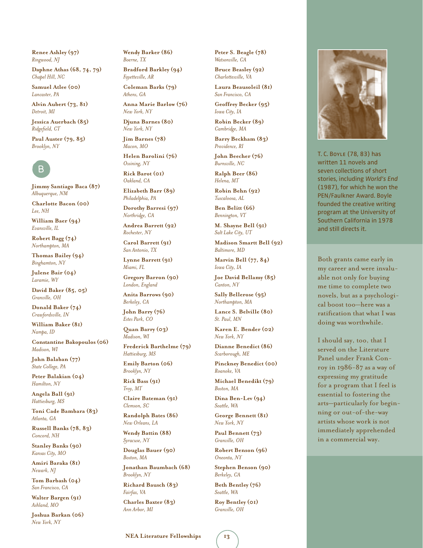**Renee Ashley (97)** *Ringwood, NJ*

**Daphne Athas (68, 74, 79)** *Chapel Hill, NC*

**Samuel Atlee (00)** *Lancaster, PA*

**Alvin Aubert (73, 81)** *Detroit, MI*

**Jessica Auerbach (85)** *Ridgefield, CT*

**Paul Auster (79, 85)** *Brooklyn, NY* 



**Jimmy Santiago Baca (87)** *Albuquerque, NM*

**Charlotte Bacon (00)** *Lee, NH*

**William Baer (94)** *Evansville, IL*

**Robert Bagg (74)** *Northampton, MA*

**Thomas Bailey (94)** *Binghamton, NY*

**Julene Bair (04)** *Laramie, WY*

**David Baker (85, 05)** *Granville, OH*

**Donald Baker (74)** *Crawfordsville, IN*

**William Baker (81)** *Nampa, ID*

**Constantine Bakopoulos (06)** *Madison, WI*

**John Balaban (77)** *State College, PA*

**Peter Balakian (04)** *Hamilton, NY*

**Angela Ball (91)** *Hattiesburg, MS*

**Toni Cade Bambara (83)** *Atlanta, GA*

**Russell Banks (78, 83)** *Concord, NH*

**Stanley Banks (90)** *Kansas City, MO*

**Amiri Baraka (81)** *Newark, NJ*

**Tom Barbash (04)** *San Francisco, CA*

**Walter Bargen (91)** *Ashland, MO*

**Joshua Barkan (06)** *New York, NY*

**Wendy Barker (86)** *Boerne, TX*

**Bradford Barkley (94)** *Fayetteville, AR*

**Coleman Barks (79)** *Athens, GA*

**Anna Marie Barlow (76)** *New York, NY*

**Djuna Barnes (80)** *New York, NY*

**Jim Barnes (78)** *Macon, MO*

**Helen Barolini (76)** *Ossining, NY*

**Rick Barot (01)** *Oakland, CA*

**Elizabeth Barr (89)** *Philadelphia, PA*

**Dorothy Barresi (97)** *Northridge, CA*

**Andrea Barrett (92)** *Rochester, NY* **Carol Barrett (91)**

*San Antonio, TX*

**Lynne Barrett (91)** *Miami, FL*

**Gregory Barron (90)** *London, England*

**Anita Barrows (90)** *Berkeley, CA*

**John Barry (76)** *Estes Park, CO*

**Quan Barry (03)** *Madison, WI*

**Frederick Barthelme (79)** *Hattiesburg, MS*

**Emily Barton (06)** *Brooklyn, NY*

**Rick Bass (91)** *Troy, MT*

**Claire Bateman (91)** *Clemson, SC*

**Randolph Bates (86)** *New Orleans, LA*

**Wendy Battin (88)** *Syracuse, NY*

**Douglas Bauer (90)** *Boston, MA*

**Jonathan Baumbach (68)** *Brooklyn, NY*

**Richard Bausch (83)** *Fairfax, VA*

**Charles Baxter (83)** *Ann Arbor, MI*

**Peter S. Beagle (78)** *Watsonville, CA*

**Bruce Beasley (92)** *Charlottesville, VA*

**Laura Beausoleil (81)** *San Francisco, CA*

**Geoffrey Becker (95)** *Iowa City, IA*

**Robin Becker (89)** *Cambridge, MA*

**Barry Beckham (83)** *Providence, RI*

**John Beecher (76)** *Burnsville, NC*

**Ralph Beer (86)** *Helena, MT*

**Robin Behn (92)** *Tuscaloosa, AL*

**Ben Belitt (66)** *Bennington, VT*

**M. Shayne Bell (91)** *Salt Lake City, UT*

**Madison Smartt Bell (92)** *Baltimore, MD*

**Marvin Bell (77, 84)** *Iowa City, IA*

**Joe David Bellamy (85)** *Canton, NY*

**Sally Bellerose (95)** *Northampton, MA*

**Lance S. Belville (80)** *St. Paul, MN*

**Karen E. Bender (02)** *New York, NY*

**Dianne Benedict (86)** *Scarborough, ME*

**Pinckney Benedict (00)** *Roanoke, VA*

**Michael Benedikt (79)** *Boston, MA*

**Dina Ben-Lev (94)** *Seattle, WA*

**George Bennett (81)** *New York, NY*

**Paul Bennett (73)** *Granville, OH*

**Robert Benson (96)** *Oneonta, NY*

**Stephen Benson (90)** *Berkeley, CA*

**Beth Bentley (76)** *Seattle, WA*

**Roy Bentley (01)** *Granville, OH*



T. C. Boyle (78, 83) has written 11 novels and seven collections of short stories, including *World's End* (1987), for which he won the PEN/Faulkner Award. Boyle founded the creative writing program at the University of Southern California in 1978 and still directs it.

Both grants came early in my career and were invaluable not only for buying me time to complete two novels, but as a psychological boost too—here was a ratification that what I was doing was worthwhile.

I should say, too, that I served on the Literature Panel under Frank Conroy in 1986-87 as a way of expressing my gratitude for a program that I feel is essential to fostering the arts—particularly for beginning or out-of-the-way artists whose work is not immediately apprehended in a commercial way.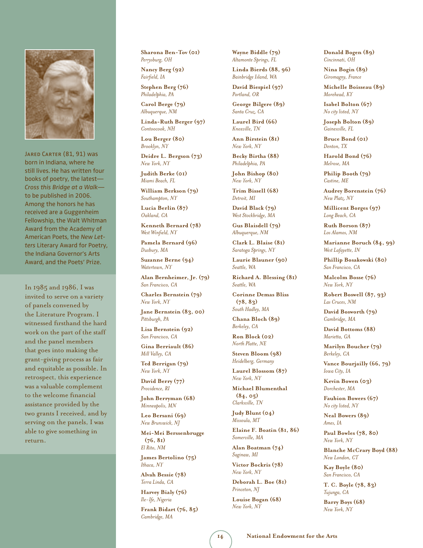

JARED CARTER (81, 91) was born in Indiana, where he still lives. He has written four books of poetry, the latest— *Cross this Bridge at a Walk* to be published in 2006. Among the honors he has received are a Guggenheim Fellowship, the Walt Whitman Award from the Academy of American Poets, the *New Letters* Literary Award for Poetry, the Indiana Governor's Arts Award, and the Poets' Prize.

In 1985 and 1986, I was invited to serve on a variety of panels convened by the Literature Program. I witnessed firsthand the hard work on the part of the staff and the panel members that goes into making the grant-giving process as fair and equitable as possible. In retrospect, this experience was a valuable complement to the welcome financial assistance provided by the two grants I received, and by serving on the panels, I was able to give something in return.

**Sharona Ben-Tov (01)** *Perrysburg, OH*

**Nancy Berg (92)** *Fairfield, IA*

**Stephen Berg (76)** *Philadelphia, PA*

**Carol Berge (79)** *Albuquerque, NM*

**Linda-Ruth Berger (97)** *Contoocook, NH*

**Lou Berger (80)** *Brooklyn, NY*

**Deidre L. Bergson (73)** *New York, NY*

**Judith Berke (01)** *Miami Beach, FL*

**William Berkson (79)** *Southampton, NY*

**Lucia Berlin (87)** *Oakland, CA*

**Kenneth Bernard (78)** *West Winfield, NY*

**Pamela Bernard (96)** *Duxbury, MA*

**Suzanne Berne (94)** *Watertown, NY*

**Alan Bernheimer, Jr. (79)** *San Francisco, CA*

**Charles Bernstein (79)** *New York, NY*

**Jane Bernstein (83, 00)** *Pittsburgh, PA*

**Lisa Bernstein (92)** *San Francisco, CA*

**Gina Berriault (86)** *Mill Valley, CA*

**Ted Berrigan (79)** *New York, NY*

**David Berry (77)** *Providence, RI*

**John Berryman (68)** *Minneapolis, MN*

**Leo Bersani (69)** *New Brunswick, NJ*

**Mei-Mei Berssenbrugge (76, 81)** *El Rito, NM*

**James Bertolino (75)** *Ithaca, NY*

**Alvah Bessie (78)** *Terra Linda, CA*

**Harvey Bialy (76)** *Ile-Ife, Nigeria*

**Frank Bidart (76, 85)** *Cambridge, MA*

**Wayne Biddle (79)** *Altamonte Springs, FL*

**Linda Bierds (88, 96)** *Bainbridge Island, WA*

**David Biespiel (97)** *Portland, OR*

**George Bilgere (89)** *Santa Cruz, CA*

**Laurel Bird (66)** *Knoxville, TN*

**Ann Birstein (81)** *New York, NY*

**Becky Birtha (88)** *Philadelphia, PA*

**John Bishop (80)** *New York, NY*

**Trim Bissell (68)** *Detroit, MI*

**David Black (79)** *West Stockbridge, MA*

**Gus Blaisdell (79)** *Albuquerque, NM*

**Clark L. Blaise (81)** *Saratoga Springs, NY*

**Laurie Blauner (90)** *Seattle, WA*

**Richard A. Blessing (81)** *Seattle, WA*

**Corinne Demas Bliss (78, 83)** *South Hadley, MA*

**Chana Bloch (89)** *Berkeley, CA*

**Ron Block (02)** *North Platte, NE*

**Steven Bloom (98)** *Heidelberg, Germany*

**Laurel Blossom (87)** *New York, NY*

**Michael Blumenthal (84, 05)** *Clarksville, TN* 

**Judy Blunt (04)** *Missoula, MT*

**Elaine F. Boatin (81, 86)** *Somerville, MA*

**Alan Boatman (74)** *Saginaw, MI*

**Victor Bockris (78)** *New York, NY*

**Deborah L. Boe (81)** *Princeton, NJ*

**Louise Bogan (68)** *New York, NY*

**Donald Bogen (89)** *Cincinnati, OH*

**Nina Bogin (89)** *Giromagny, France*

**Michelle Boisseau (89)** *Morehead, KY*

**Isabel Bolton (67)** *No city listed, NY*

**Joseph Bolton (89)** *Gainesville, FL*

**Bruce Bond (01)** *Denton, TX*

**Harold Bond (76)** *Melrose, MA*

**Philip Booth (79)** *Castine, ME*

**Audrey Borenstein (76)** *New Platz, NY*

**Millicent Borges (97)** *Long Beach, CA*

**Ruth Borson (87)** *Los Alamos, NM*

**Marianne Boruch (84, 99)** *West Lafayette, IN*

**Phillip Bosakowski (80)** *San Francisco, CA*

**Malcolm Bosse (76)** *New York, NY*

**Robert Boswell (87, 93)** *Las Cruces, NM*

**David Bosworth (79)** *Cambridge, MA*

**David Bottoms (88)** *Marietta, GA*

**Marilyn Boucher (79)** *Berkeley, CA*

**Vance Bourjailly (66, 79)** *Iowa City, IA*

**Kevin Bowen (03)** *Dorchester, MA*

**Faubion Bowers (67)** *No city listed, NY*

**Neal Bowers (89)** *Ames, IA*

**Paul Bowles (78, 80)** *New York, NY*

**Blanche McCrary Boyd (88)** *New London, CT*

**Kay Boyle (80)** *San Francisco, CA*

**T. C. Boyle (78, 83)** *Tujunga, CA*

**Barry Boys (68)** *New York, NY*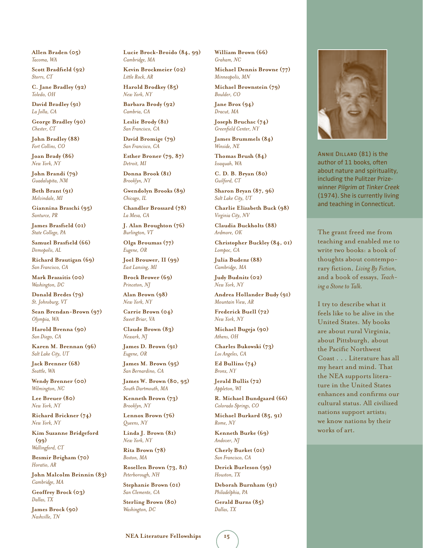**Allen Braden (05)** *Tacoma, WA*

**Scott Bradfield (92)** *Storrs, CT*

**C. Jane Bradley (92)** *Toledo, OH*

**David Bradley (91)** *La Jolla, CA*

**George Bradley (90)** *Chester, CT*

**John Bradley (88)** *Fort Collins, CO*

**Joan Brady (86)** *New York, NY*

**John Brandi (79)** *Guadalupita, NM*

**Beth Brant (91)** *Melvindale, MI*

**Giannina Braschi (95)** *Santurce, PR*

**James Brasfield (01)** *State College, PA*

**Samuel Brasfield (66)** *Demopolis, AL*

**Richard Brautigan (69)** *San Francisco, CA*

**Mark Brazaitis (00)** *Washington, DC*

**Donald Bredes (79)** *St. Johnsburg, VT*

**Sean Brendan-Brown (97)** *Olympia, WA*

**Harold Brenna (90)** *San Diego, CA*

**Karen M. Brennan (96)** *Salt Lake City, UT*

**Jack Brenner (68)** *Seattle, WA*

**Wendy Brenner (00)** *Wilmington, NC*

**Lee Breuer (80)** *New York, NY*

**Richard Brickner (74)** *New York, NY*

**Kim Suzanne Bridgeford (99)** *Wallingford, CT*

**Besmir Brigham (70)** *Horatio, AR*

**John Malcolm Brinnin (83)** *Cambridge, MA*

**Geoffrey Brock (03)** *Dallas, TX*

**James Brock (90)** *Nashville, TN*

**Lucie Brock-Broido (84, 99)** *Cambridge, MA*

**Kevin Brockmeier (02)** *Little Rock, AR*

**Harold Brodkey (85)** *New York, NY*

**Barbara Brody (92)** *Cambria, CA*

**Leslie Brody (81)** *San Francisco, CA*

**David Bromige (79)** *San Francisco, CA*

**Esther Broner (79, 87)** *Detroit, MI*

**Donna Brook (81)** *Brooklyn, NY*

**Gwendolyn Brooks (89)** *Chicago, IL*

**Chandler Brossard (78)** *La Mesa, CA*

**J. Alan Broughton (76)** *Burlington, VT*

**Olga Broumas (77)** *Eugene, OR*

**Joel Brouwer, II (99)** *East Lansing, MI*

**Brock Brower (69)** *Princeton, NJ*

**Alan Brown (98)** *New York, NY*

**Carrie Brown (04)** *Sweet Briar, VA*

**Claude Brown (83)** *Newark, NJ*

**James D. Brown (91)** *Eugene, OR*

**James M. Brown (95)** *San Bernardino, CA*

**James W. Brown (80, 95)** *South Dartmouth, MA*

**Kenneth Brown (73)** *Brooklyn, NY*

**Lennox Brown (76)** *Queens, NY*

**Linda J. Brown (81)** *New York, NY*

**Rita Brown (78)** *Boston, MA*

**Rosellen Brown (73, 81)** *Peterborough, NH*

**Stephanie Brown (01)** *San Clemente, CA*

**Sterling Brown (80)** *Washington, DC*

**William Brown (66)** *Graham, NC*

**Michael Dennis Browne (77)** *Minneapolis, MN*

*Boulder, CO*

**Jane Brox (94)** *Dracut, MA*

**Joseph Bruchac (74)** *Greenfield Center, NY*

*Winside, NE*

*Issaquah, WA*

*Guilford, CT*

*Salt Lake City, UT*

**Charlie Elizabeth Buck (98)** *Virginia City, NV*

**Claudia Buckholts (88)**

**Christopher Buckley (84, 01)**

The grant freed me from teaching and enabled me to write two books: a book of thoughts about contemporary fiction, *Living By Fiction,* and a book of essays, *Teach-*

Annie Dillard (81) is the author of 11 books, often about nature and spirituality, including the Pulitzer Prizewinner *Pilgrim at Tinker Creek*  (1974). She is currently living and teaching in Connecticut.

*ing a Stone to Talk.*

works of art.

I try to describe what it feels like to be alive in the United States. My books are about rural Virginia, about Pittsburgh, about the Pacific Northwest Coast . . . Literature has all my heart and mind. That the NEA supports literature in the United States enhances and confirms our cultural status. All civilized nations support artists; we know nations by their

**Julia Budenz (88)** *Cambridge, MA*

**Judy Budnitz (02)**

**Andrea Hollander Budy (91)** *Mountain View, AR*

**Frederick Buell (72)** *New York, NY*

**Charles Bukowski (73)** *Los Angeles, CA*

**Ed Bullins (74)**

**Jerald Bullis (72)** *Appleton, WI*

**R. Michael Bundgaard (66)** *Colorado Springs, CO*

**Michael Burkard (85, 91)** *Rome, NY*

**Kenneth Burke (69)** *Andover, NJ*

**Cherly Burket (01)** *San Francisco, CA*

**Derick Burleson (99)** *Houston, TX*

**Deborah Burnham (91)** *Philadelphia, PA*

**Gerald Burns (85)** *Dallas, TX*

**Michael Brownstein (79)**

**James Brummels (84)**

**Thomas Brush (84)**

**C. D. B. Bryan (80)**

**Sharon Bryan (87, 96)**

*Ardmore, OK*

*Lompoc, CA*

*New York, NY*

**Michael Bugeja (90)** *Athens, OH*

*Bronx, NY*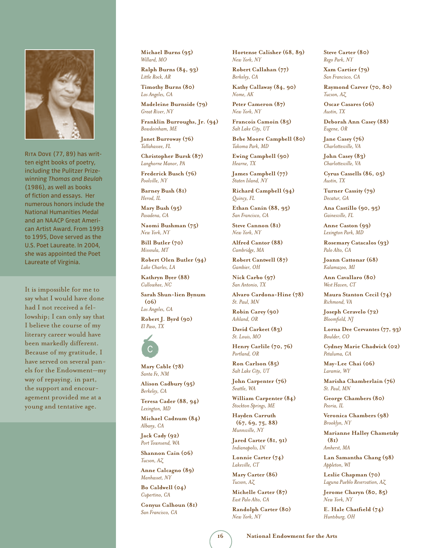

Rita Dove (77, 89) has written eight books of poetry, including the Pulitzer Prizewinning *Thomas and Beulah* (1986), as well as books of fiction and essays. Her numerous honors include the National Humanities Medal and an NAACP Great American Artist Award. From 1993 to 1995, Dove served as the U.S. Poet Laureate. In 2004, she was appointed the Poet Laureate of Virginia.

It is impossible for me to say what I would have done had I not received a fellowship; I can only say that I believe the course of my literary career would have been markedly different. Because of my gratitude, I have served on several panels for the Endowment—my way of repaying, in part, the support and encouragement provided me at a young and tentative age.

**Michael Burns (95)** *Willard, MO*

**Ralph Burns (84, 93)** *Little Rock, AR*

**Timothy Burns (80)** *Los Angeles, CA*

**Madeleine Burnside (79)** *Great River, NY*

**Franklin Burroughs, Jr. (94)** *Bowdoinham, ME*

**Janet Burroway (76)** *Tallahassee, FL*

**Christopher Bursk (87)** *Langhorne Manor, PA*

**Frederick Busch (76)** *Poolville, NY*

**Barney Bush (81)** *Herod, IL*

**Mary Bush (95)** *Pasadena, CA*

**Naomi Bushman (75)** *New York, NY*

**Bill Butler (70)** *Missoula, MT*

**Robert Olen Butler (94)** *Lake Charles, LA*

**Kathryn Byer (88)** *Cullowhee, NC*

**Sarah Shun-lien Bynum (06)** *Los Angeles, CA*

**Robert J. Byrd (90)** *El Paso, TX* 



**Mary Cable (78)** *Santa Fe, NM*

**Alison Cadbury (95)** *Berkeley, CA*

**Teresa Cader (88, 94)** *Lexington, MD*

**Michael Cadnum (84)** *Albany, CA*

**Jack Cady (92)** *Port Townsend, WA*

**Shannon Cain (06)** *Tucson, AZ*

**Anne Calcagno (89)** *Manhasset, NY*

**Bo Caldwell (04)** *Cupertino, CA*

**Conyus Calhoun (81)** *San Francisco, CA*

**Hortense Calisher (68, 89)** *New York, NY*

**Robert Callahan (77)** *Berkeley, CA*

**Kathy Callaway (84, 90)** *Nome, AK*

**Peter Cameron (87)** *New York, NY*

**Francois Camoin (85)** *Salt Lake City, UT*

**Bebe Moore Campbell (80)** *Takoma Park, MD*

**Ewing Campbell (90)** *Hearne, TX*

**James Campbell (77)** *Staten Island, NY*

**Richard Campbell (94)** *Quincy, FL*

**Ethan Canin (88, 95)** *San Francisco, CA*

**Steve Cannon (81)** *New York, NY*

**Alfred Cantor (88)** *Cambridge, MA*

**Robert Cantwell (87)** *Gambier, OH*

**Nick Carbo (97)** *San Antonio, TX*

**Alvaro Cardona-Hine (78)** *St. Paul, MN*

**Robin Carey (90)** *Ashland, OR*

**David Carkeet (83)** *St. Louis, MO*

**Henry Carlile (70, 76)** *Portland, OR*

**Ron Carlson (85)** *Salt Lake City, UT*

**John Carpenter (76)** *Seattle, WA*

**William Carpenter (84)** *Stockton Springs, ME*

**Hayden Carruth (67, 69, 75, 88)**  *Munnsville, NY*

**Jared Carter (81, 91)** *Indianapolis, IN*

**Lonnie Carter (74)** *Lakeville, CT*

**Mary Carter (86)** *Tucson, AZ*

**Michelle Carter (87)** *East Palo Alto, CA*

**Randolph Carter (80)** *New York, NY*

**Steve Carter (80)** *Rego Park, NY*

**Xam Cartier (79)** *San Francisco, CA*

**Raymond Carver (70, 80)** *Tucson, AZ*

**Oscar Casares (06)** *Austin, TX*

**Deborah Ann Casey (88)** *Eugene, OR*

**Jane Casey (76)** *Charlottesville, VA*

**John Casey (83)** *Charlottesville, VA*

**Cyrus Cassells (86, 05)** *Austin, TX*

**Turner Cassity (79)** *Decatur, GA*

**Ana Castillo (90, 95)** *Gainesville, FL*

**Anne Caston (99)** *Lexington Park, MD*

**Rosemary Catacalos (93)** *Palo Alto, CA*

**Joann Cattonar (68)** *Kalamazoo, MI*

**Ann Cavallaro (80)** *West Haven, CT*

**Maura Stanton Cecil (74)** *Richmond, VA*

**Joseph Ceravelo (72)** *Bloomfield, NJ*

**Lorna Dee Cervantes (77, 93)** *Boulder, CO*

**Cydney Marie Chadwick (02)** *Petaluma, CA*

**May-Lee Chai (06)** *Laramie, WY*

**Marisha Chamberlain (76)** *St. Paul, MN*

**George Chambers (80)** *Peoria, IL*

**Veronica Chambers (98)** *Brooklyn, NY*

**Marianne Halley Chametzky (81)** *Amherst, MA*

**Lan Samantha Chang (98)** *Appleton, WI*

**Leslie Chapman (70)** *Laguna Pueblo Reservation, AZ*

**Jerome Charyn (80, 85)** *New York, NY*

**E. Hale Chatfield (74)** *Huntsburg, OH*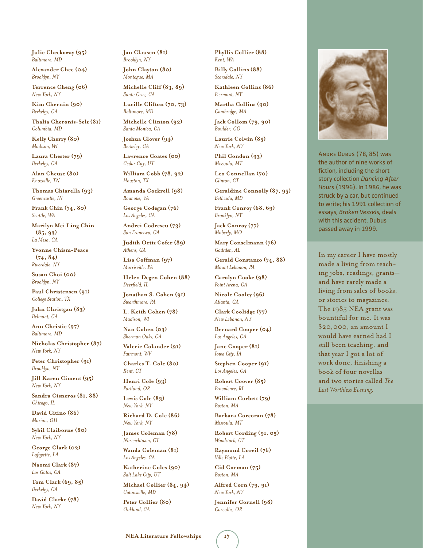**Julie Checkoway (95)** *Baltimore, MD*

**Alexander Chee (04)** *Brooklyn, NY*

**Terrence Cheng (06)** *New York, NY*

**Kim Chernin (90)** *Berkeley, CA*

**Thalia Cheronis-Selz (81)** *Columbia, MD*

**Kelly Cherry (80)** *Madison, WI*

**Laura Chester (79)** *Berkeley, CA*

**Alan Cheuse (80)** *Knoxville, TN*

**Thomas Chiarella (93)** *Greencastle, IN*

**Frank Chin (74, 80)** *Seattle, WA*

**Marilyn Mei Ling Chin (85, 93)** *La Mesa, CA*

**Yvonne Chism-Peace (74, 84)** *Riverdale, NY*

**Susan Choi (00)** *Brooklyn, NY*

**Paul Christensen (91)** *College Station, TX*

**John Christgau (83)** *Belmont, CA*

**Ann Christie (97)** *Baltimore, MD*

**Nicholas Christopher (87)** *New York, NY*

**Peter Christopher (91)** *Brooklyn, NY*

**Jill Karen Ciment (95)** *New York, NY*

**Sandra Cisneros (81, 88)** *Chicago, IL*

**David Citino (86)** *Marion, OH*

**Sybil Claiborne (80)** *New York, NY*

**George Clark (02)** *Lafayette, LA*

**Naomi Clark (87)** *Los Gatos, CA*

**Tom Clark (69, 85)** *Berkeley, CA*

**David Clarke (78)** *New York, NY*

**Jan Clausen (81)** *Brooklyn, NY*

**John Clayton (80)** *Montague, MA*

**Michelle Cliff (83, 89)** *Santa Cruz, CA*

**Lucille Clifton (70, 73)** *Baltimore, MD*

**Michelle Clinton (92)** *Santa Monica, CA*

**Joshua Clover (94)** *Berkeley, CA*

**Lawrence Coates (00)** *Cedar City, UT*

**William Cobb (78, 92)** *Houston, TX*

**Amanda Cockrell (98)** *Roanoke, VA*

**George Codegan (76)** *Los Angeles, CA*

**Andrei Codrescu (73)** *San Francisco, CA*

**Judith Ortiz Cofer (89)** *Athens, GA*

**Lisa Coffman (97)** *Morrisville, PA*

**Helen Degen Cohen (88)** *Deerfield, IL*

**Jonathan S. Cohen (91)** *Swarthmore, PA*

**L. Keith Cohen (78)** *Madison, WI*

**Nan Cohen (03)** *Sherman Oaks, CA*

**Valerie Colander (91)** *Fairmont, WV*

**Charles T. Cole (80)** *Kent, CT*

**Henri Cole (93)** *Portland, OR*

**Lewis Cole (83)** *New York, NY*

**Richard D. Cole (86)** *New York, NY*

**James Coleman (78)** *Norwichtown, CT*

**Wanda Coleman (81)** *Los Angeles, CA*

**Katherine Coles (90)** *Salt Lake City, UT*

**Michael Collier (84, 94)** *Catonsville, MD*

**Peter Collier (80)** *Oakland, CA*

**Phyllis Collier (88)** *Kent, WA*

**Billy Collins (88)** *Scarsdale, NY*

**Kathleen Collins (86)** *Piermont, NY*

**Martha Collins (90)** *Cambridge, MA*

**Jack Collom (79, 90)** *Boulder, CO*

**Laurie Colwin (85)** *New York, NY* **Phil Condon (93)**

*Missoula, MT*

**Leo Connellan (70)** *Clinton, CT*

**Geraldine Connolly (87, 95)** *Bethesda, MD*

**Frank Conroy (68, 69)** *Brooklyn, NY*

**Jack Conroy (77)** *Moberly, MO*

**Mary Conselmann (76)** *Gadsden, AL*

**Gerald Constanzo (74, 88)** *Mount Lebanon, PA*

**Carolyn Cooke (98)** *Point Arena, CA*

**Nicole Cooley (96)** *Atlanta, GA*

**Clark Coolidge (77)** *New Lebanon, NY*

**Bernard Cooper (04)** *Los Angeles, CA*

**Jane Cooper (81)** *Iowa City, IA*

**Stephen Cooper (91)** *Los Angeles, CA*

**Robert Coover (85)** *Providence, RI*

**William Corbett (79)** *Boston, MA*

**Barbara Corcoran (78)** *Missoula, MT*

**Robert Cording (91, 05)** *Woodstock, CT*

**Raymond Coreil (76)** *Ville Platte, LA*

**Cid Corman (75)** *Boston, MA*

**Alfred Corn (79, 91)** *New York, NY*

**Jennifer Cornell (98)** *Corvallis, OR*

Andre Dubus (78, 85) was the author of nine works of fiction, including the short story collection *Dancing After* 

*Hours* (1996). In 1986, he was struck by a car, but continued to write; his 1991 collection of essays, *Broken Vessels,* deals with this accident. Dubus passed away in 1999.

In my career I have mostly made a living from teaching jobs, readings, grants and have rarely made a living from sales of books, or stories to magazines. The 1985 NEA grant was bountiful for me. It was \$20,000, an amount I would have earned had I still been teaching, and that year I got a lot of work done, finishing a book of four novellas and two stories called *The Last Worthless Evening.*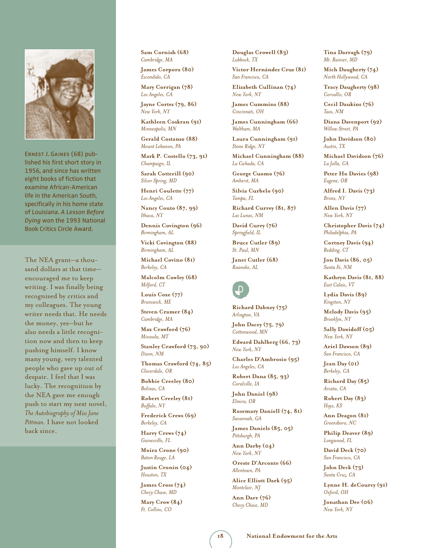

Ernest J. Gaines (68) published his first short story in 1956, and since has written eight books of fiction that examine African-American life in the American South, specifically in his home state of Louisiana. *A Lesson Before Dying* won the 1993 National Book Critics Circle Award.

The NEA grant—a thousand dollars at that time encouraged me to keep writing. I was finally being recognized by critics and my colleagues. The young writer needs that. He needs the money, yes—but he also needs a little recognition now and then to keep pushing himself. I know many young, very talented people who gave up out of despair. I feel that I was lucky. The recognition by the NEA gave me enough push to start my next novel, *The Autobiography of Miss Jane Pittman.* I have not looked back since.

**Sam Cornish (68)** *Cambridge, MA*

**James Corpora (80)** *Escondido, CA* **Mary Corrigan (78)**

*Los Angeles, CA* **Jayne Cortez (79, 86)**

*New York, NY*

**Kathleen Coskran (91)** *Minneapolis, MN*

**Gerald Costanzo (88)** *Mount Lebanon, PA*

**Mark P. Costello (73, 91)** *Champaign, IL*

**Sarah Cotterill (90)** *Silver Spring, MD*

**Henri Coulette (77)** *Los Angeles, CA*

**Nancy Couto (87, 99)** *Ithaca, NY*

**Dennis Covington (96)** *Birmingham, AL*

**Vicki Covington (88)** *Birmingham, AL*

**Michael Covino (81)** *Berkeley, CA*

**Malcolm Cowley (68)** *Milford, CT*

**Louis Coxe (77)** *Brunswick, ME*

**Steven Cramer (84)** *Cambridge, MA*

**Max Crawford (76)** *Missoula, MT*

**Stanley Crawford (73, 90)** *Dixon, NM*

**Thomas Crawford (74, 85)** *Cloverdale, OR*

**Bobbie Creeley (80)** *Bolinas, CA*

**Robert Creeley (81)** *Buffalo, NY*

**Frederick Crews (69)** *Berkeley, CA*

**Harry Crews (74)** *Gainesville, FL*

**Moira Crone (90)** *Baton Rouge, LA*

**Justin Cronin (04)** *Houston, TX*

**James Cross (74)** *Chevy Chase, MD*

**Mary Crow (84)** *Ft. Collins, CO*

**Douglas Crowell (83)** *Lubbock, TX*

**Victor Hernández Cruz (81)** *San Francisco, CA*

**Elizabeth Cullinan (74)** *New York, NY*

**James Cummins (88)** *Cincinnati, OH*

**James Cunningham (66)** *Waltham, MA*

**Laura Cunningham (91)** *Stone Ridge, NY*

**Michael Cunningham (88)** *La Ca~nada, CA*

**George Cuomo (76)** *Amherst, MA*

**Silvia Curbelo (90)** *Tampa, FL*

**Richard Currey (81, 87)** *Las Lunas, NM*

**David Curry (76)** *Springfield, IL*

**Bruce Cutler (89)** *St. Paul, MN*

**Janet Cutler (68)** *Roanoke, AL* 

## d

**Richard Dabney (75)** *Arlington, VA*

**John Dacey (75, 79)** *Cottonwood, MN*

**Edward Dahlberg (66, 73)** *New York, NY*

**Charles D'Ambrosio (95)** *Los Angeles, CA*

**Robert Dana (85, 93)** *Coralville, IA*

**John Daniel (98)** *Elmira, OR*

**Rosemary Daniell (74, 81)** *Savannah, GA*

**James Daniels (85, 05)** *Pittsburgh, PA*

**Ann Darby (04)** *New York, NY*

**Oreste D'Arconte (66)** *Allentown, PA*

**Alice Elliott Dark (95)** *Montclair, NJ*

**Ann Darr (76)** *Chevy Chase, MD*

**Tina Darragh (79)** *Mt. Rainier, MD*

**Mich Daugherty (74)** *North Hollywood, CA*

**Tracy Daugherty (98)** *Corvallis, OR*

**Cecil Daukins (76)** *Taos, NM*

**Diana Davenport (92)** *Willow Street, PA*

**John Davidson (80)** *Austin, TX*

**Michael Davidson (76)** *La Jolla, CA*

**Peter Ho Davies (98)** *Eugene, OR*

**Alfred I. Davis (73)** *Bronx, NY*

**Allen Davis (77)** *New York, NY*

**Christopher Davis (74)** *Philadelphia, PA*

**Cortney Davis (94)** *Redding, CT*

**Jon Davis (86, 05)** *Santa Fe, NM*

**Kathryn Davis (81, 88)** *East Calais, VT*

**Lydia Davis (89)** *Kingston, NY*

**Melody Davis (95)** *Brooklyn, NY*

**Sally Dawidoff (05)** *New York, NY*

**Ariel Dawson (89)** *San Francisco, CA*

**Jean Day (01)** *Berkeley, CA*

**Richard Day (85)** *Arcata, CA*

**Robert Day (83)** *Hays, KS*

**Ann Deagon (81)** *Greensboro, NC*

**Philip Deaver (89)** *Longwood, FL*

**David Deck (70)** *San Francisco, CA*

**John Deck (73)** *Santa Cruz, CA*

**Lynne H. deCourcy (91)** *Oxford, OH*

**Jonathan Dee (06)** *New York, NY*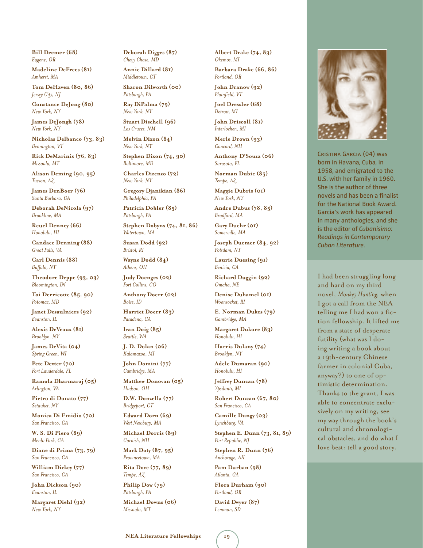**Bill Deemer (68)** *Eugene, OR*

**Madeline DeFrees (81)** *Amherst, MA*

**Tom DeHaven (80, 86)** *Jersey City, NJ*

**Constance DeJong (80)** *New York, NY*

**James DeJongh (78)** *New York, NY*

**Nicholas Delbanco (73, 83)** *Bennington, VT*

**Rick DeMarinis (76, 83)** *Missoula, MT*

**Alison Deming (90, 95)** *Tucson, AZ*

**James DenBoer (76)** *Santa Barbara, CA*

**Deborah DeNicola (97)** *Brookline, MA*

**Reuel Denney (66)** *Honolulu, HI*

**Candace Denning (88)** *Great Falls, VA*

**Carl Dennis (88)** *Buffalo, NY*

**Theodore Deppe (93, 03)** *Bloomington, IN*

**Toi Derricotte (85, 90)** *Potomac, MD*

**Janet Desaulniers (92)** *Evanston, IL*

**Alexis DeVeaux (81)** *Brooklyn, NY*

**James DeVita (04)** *Spring Green, WI*

**Pete Dexter (70)** *Fort Lauderdale, FL*

**Ramola Dharmaraj (05)** *Arlington, VA*

**Pietro di Donato (77)** *Setauket, NY*

**Monica Di Emidio (70)** *San Francisco, CA*

**W. S. Di Piero (89)** *Menlo Park, CA*

**Diane di Prima (73, 79)** *San Francisco, CA*

**William Dickey (77)** *San Francisco, CA*

**John Dickson (90)** *Evanston, IL*

**Margaret Diehl (92)** *New York, NY*

**Deborah Digges (87)** *Chevy Chase, MD*

**Annie Dillard (81)** *Middletown, CT*

**Sharon Dilworth (00)** *Pittsburgh, PA*

**Ray DiPalma (79)** *New York, NY*

**Stuart Dischell (96)** *Las Cruces, NM*

**Melvin Dixon (84)** *New York, NY*

**Stephen Dixon (74, 90)** *Baltimore, MD*

**Charles Dizenzo (72)** *New York, NY*

**Gregory Djanikian (86)** *Philadelphia, PA*

**Patricia Dobler (85)** *Pittsburgh, PA*

**Stephen Dobyns (74, 81, 86)**  *Watertown, MA*

**Susan Dodd (92)** *Bristol, RI*

**Wayne Dodd (84)** *Athens, OH*

**Judy Doenges (02)** *Fort Collins, CO*

**Anthony Doerr (02)** *Boise, ID*

**Harriet Doerr (83)** *Pasadena, CA*

**Ivan Doig (85)** *Seattle, WA*

**J. D. Dolan (06)** *Kalamazoo, MI*

**John Domini (77)** *Cambridge, MA*

**Matthew Donovan (05)** *Hudson, OH*

**D.W. Donzella (77)** *Bridgeport, CT*

**Edward Dorn (69)** *West Newbury, MA*

**Michael Dorris (89)** *Cornish, NH*

**Mark Doty (87, 95)** *Provincetown, MA*

**Rita Dove (77, 89)** *Tempe, AZ*

**Philip Dow (79)** *Pittsburgh, PA*

**Michael Downs (06)** *Missoula, MT*

**Albert Drake (74, 83)** *Okemos, MI*

**Barbara Drake (66, 86)** *Portland, OR*

**John Dranow (92)** *Plainfield, VT*

**Joel Dressler (68)** *Detroit, MI*

**John Driscoll (81)** *Interlochen, MI*

**Merle Drown (93)** *Concord, NH*

**Anthony D'Souza (06)** *Sarasota, FL*

**Norman Dubie (85)** *Tempe, AZ*

**Maggie Dubris (01)** *New York, NY*

**Andre Dubus (78, 85)** *Bradford, MA*

**Gary Duehr (01)** *Somerville, MA*

**Joseph Duemer (84, 92)** *Potsdam, NY*

**Laurie Duesing (91)** *Benicia, CA*

**Richard Duggin (92)** *Omaha, NE*

**Denise Duhamel (01)** *Woonsocket, RI*

**E. Norman Dukes (79)** *Cambridge, MA*

**Margaret Dukore (83)** *Honolulu, HI*

**Harris Dulany (74)** *Brooklyn, NY*

**Adele Dumaran (90)** *Honolulu, HI*

**Jeffrey Duncan (78)** *Ypsilanti, MI*

**Robert Duncan (67, 80)** *San Francisco, CA*

**Camille Dungy (03)** *Lynchburg, VA*

**Stephen E. Dunn (73, 81, 89)**  *Port Republic, NJ*

**Stephen R. Dunn (76)** *Anchorage, AK*

**Pam Durban (98)** *Atlanta, GA*

**Flora Durham (90)** *Portland, OR*

**David Dwyer (87)** *Lemmon, SD*



Cristina Garcia (04) was born in Havana, Cuba, in 1958, and emigrated to the U.S. with her family in 1960. She is the author of three novels and has been a finalist for the National Book Award. Garcia's work has appeared in many anthologies, and she is the editor of *Cubanisimo: Readings in Contemporary Cuban Literature.*

I had been struggling long and hard on my third novel, *Monkey Hunting,* when I got a call from the NEA telling me I had won a fiction fellowship. It lifted me from a state of desperate futility (what was I doing writing a book about a 19th-century Chinese farmer in colonial Cuba, anyway?) to one of optimistic determination. Thanks to the grant, I was able to concentrate exclusively on my writing, see my way through the book's cultural and chronological obstacles, and do what I love best: tell a good story.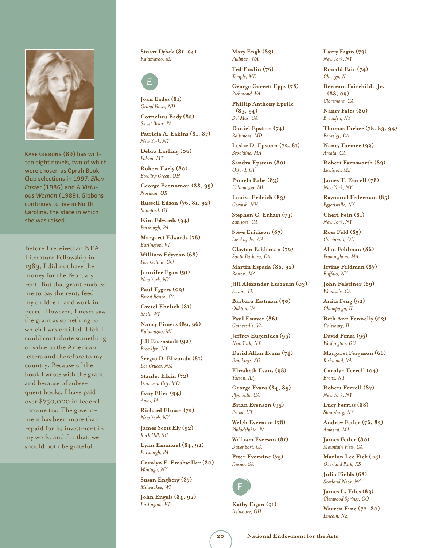

Kaye Gibbons (89) has written eight novels, two of which were chosen as Oprah Book Club selections in 1997: *Ellen Foster* (1986) and *A Virtuous Woman* (1989). Gibbons continues to live in North Carolina, the state in which she was raised.

Before I received an NEA Literature Fellowship in 1989, I did not have the money for the February rent. But that grant enabled me to pay the rent, feed my children, and work in peace. However, I never saw the grant as something to which I was entitled. I felt I could contribute something of value to the American letters and therefore to my country. Because of the book I wrote with the grant and because of subsequent books, I have paid over \$750,000 in federal income tax. The government has been more than repaid for its investment in my work, and for that, we should both be grateful.

**Stuart Dybek (81, 94)** *Kalamazoo, MI* 



**Joan Eades (81)** *Grand Forks, ND*

**Cornelius Eady (85)** *Sweet Briar, PA*

**Patricia A. Eakins (81, 87)** *New York, NY*

**Debra Earling (06)** *Polson, MT*

**Robert Early (80)** *Bowling Green, OH*

**George Economou (88, 99)** *Norman, OK*

**Russell Edson (76, 81, 92)** *Stamford, CT*

**Kim Edwards (94)** *Pittsburgh, PA*

**Margaret Edwards (78)** *Burlington, VT*

**William Edyvean (68)** *Fort Collins, CO*

**Jennifer Egan (91)** *New York, NY*

**Paul Eggers (02)** *Forest Ranch, CA*

**Gretel Ehrlich (81)** *Shell, WY*

**Nancy Eimers (89, 96)** *Kalamazoo, MI*

**Jill Eisenstadt (92)** *Brooklyn, NY*

**Sergio D. Elizondo (81)** *Las Cruces, NM*

**Stanley Elkin (72)** *Universal City, MO*

**Gary Eller (94)** *Ames, IA*

**Richard Elman (72)** *New York, NY*

**James Scott Ely (92)** *Rock Hill, SC*

**Lynn Emanuel (84, 92)** *Pittsburgh, PA*

**Carolyn F. Emshwiller (80)** *Wantagh, NY*

**Susan Engberg (87)** *Milwaukee, WI*

**John Engels (84, 92)** *Burlington, VT*

**Mary Engh (83)** *Pullman, WA*

**Ted Enslin (76)** *Temple, ME*

**George Garrett Epps (78)** *Richmond, VA*

**Phillip Anthony Eprile (83, 94)** *Del Mar, CA*

**Daniel Epstein (74)** *Baltimore, MD*

**Leslie D. Epstein (72, 81)** *Brookline, MA*

**Sandra Epstein (80)** *Oxford, CT*

**Pamela Erbe (83)** *Kalamazoo, MI*

**Louise Erdrich (83)** *Cornish, NH*

**Stephen C. Erhart (73)** *San Jose, CA*

**Steve Erickson (87)** *Los Angeles, CA*

**Clayton Eshleman (79)** *Santa Barbara, CA*

**Martin Espada (86, 92)** *Boston, MA*

**Jill Alexander Essbaum (03)** *Austin, TX*

**Barbara Esstman (90)** *Oakton, VA*

**Paul Estaver (86)** *Gainesville, VA*

**Jeffrey Eugenides (95)** *New York, NY*

**David Allan Evans (74)** *Brookings, SD*

**Elizabeth Evans (98)** *Tucson, AZ*

**George Evans (84, 89)** *Plymouth, CA*

**Brian Evenson (95)** *Provo, UT*

**Welch Everman (78)** *Philadelphia, PA*

**William Everson (81)** *Davenport, CA*

**Peter Everwine (75)** *Fresno, CA* 



**Kathy Fagan (91)** *Delaware, OH*

**Larry Fagin (79)** *New York, NY*

**Ronald Fair (74)** *Chicago, IL*

**Bertram Fairchild, Jr. (88, 05)** *Claremont, CA*

**Nancy Fales (80)** *Brooklyn, NY*

**Thomas Farber (78, 83, 94)**  *Berkeley, CA*

**Nancy Farmer (92)** *Arcata, CA*

**Robert Farnsworth (89)** *Lewiston, ME*

**James T. Farrell (78)** *New York, NY*

**Raymond Federman (85)** *Eggertsville, NY*

**Cheri Fein (81)** *New York, NY*

**Ross Feld (85)** *Cincinnati, OH*

**Alan Feldman (86)** *Framingham, MA*

**Irving Feldman (87)** *Buffalo, NY*

**John Felstiner (69)** *Woodside, CA*

**Anita Feng (92)** *Champaign, IL*

**Beth Ann Fennelly (03)** *Galesburg, IL*

**David Fenza (95)** *Washington, DC*

**Margaret Ferguson (66)** *Richmond, VA*

**Carolyn Ferrell (04)** *Bronx, NY*

**Robert Ferrell (87)** *New York, NY*

**Lucy Ferriss (88)** *Staatsburg, NY*

**Andrew Fetler (76, 83)** *Amherst, MA*

**James Fetler (80)** *Mountain View, CA*

**Marlon Lee Fick (05)** *Overland Park, KS*

**Julia Fields (68)** *Scotland Neck, NC*

**James L. Files (83)** *Glenwood Springs, CO*

**Warren Fine (72, 80)** *Lincoln, NE*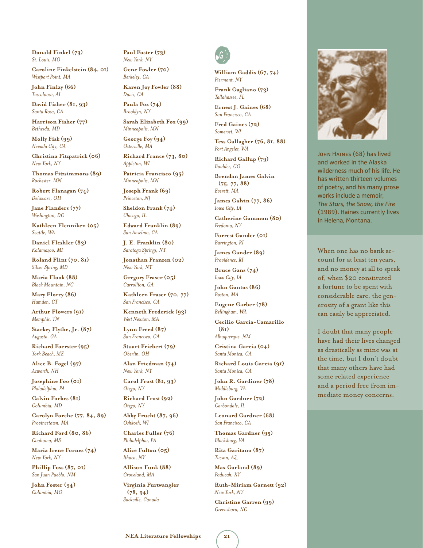**Donald Finkel (73)** *St. Louis, MO*

**Caroline Finkelstein (84, 01)** *Westport Point, MA*

**John Finlay (66)** *Tuscaloosa, AL*

**David Fisher (81, 93)** *Santa Rosa, CA*

**Harrison Fisher (77)** *Bethesda, MD*

**Molly Fisk (99)** *Nevada City, CA*

**Christina Fitzpatrick (06)** *New York, NY*

**Thomas Fitzsimmons (89)** *Rochester, MN*

**Robert Flanagan (74)** *Delaware, OH*

**Jane Flanders (77)** *Washington, DC*

**Kathleen Flenniken (05)** *Seattle, WA*

**Daniel Fleshler (83)** *Kalamazoo, MI*

**Roland Flint (70, 81)** *Silver Spring, MD*

**Maria Flook (88)** *Black Mountain, NC*

**Mary Florey (86)** *Hamden, CT*

**Arthur Flowers (91)** *Memphis, TN*

**Starkey Flythe, Jr. (87)** *Augusta, GA*

**Richard Foerster (95)** *York Beach, ME*

**Alice B. Fogel (97)** *Acworth, NH*

**Josephine Foo (01)** *Philadelphia, PA*

**Calvin Forbes (81)** *Columbia, MD*

**Carolyn Forche (77, 84, 89)**  *Provincetown, MA*

**Richard Ford (80, 86)** *Coahoma, MS*

**Maria Irene Fornes (74)** *New York, NY*

**Phillip Foss (87, 01)** *San Juan Pueblo, NM*

**John Foster (94)** *Columbia, MO*

**Paul Foster (73)** *New York, NY*

**Gene Fowler (70)** *Berkeley, CA*

**Karen Joy Fowler (88)** *Davis, CA*

**Paula Fox (74)** *Brooklyn, NY*

**Sarah Elizabeth Fox (99)** *Minneapolis, MN*

**George Foy (94)** *Osterville, MA*

**Richard France (73, 80)** *Appleton, WI*

**Patricia Francisco (95)** *Minneapolis, MN*

**Joseph Frank (69)** *Princeton, NJ*

**Sheldon Frank (74)** *Chicago, IL*

**Edward Franklin (89)** *San Anselmo, CA*

**J. E. Franklin (80)** *Saratoga Springs, NY*

**Jonathan Franzen (02)** *New York, NY*

**Gregory Fraser (05)** *Carrollton, GA*

**Kathleen Fraser (70, 77)** *San Francisco, CA*

**Kenneth Frederick (93)** *West Newton, MA*

**Lynn Freed (87)** *San Francisco, CA*

**Stuart Friebert (79)** *Oberlin, OH*

**Alan Friedman (74)** *New York, NY*

**Carol Frost (81, 93)** *Otego, NY*

**Richard Frost (92)** *Otego, NY*

**Abby Frucht (87, 96)** *Oshkosh, WI*

**Charles Fuller (76)** *Philadelphia, PA*

**Alice Fulton (05)** *Ithaca, NY*

**Allison Funk (88)** *Groveland, MA*

**Virginia Furtwangler (78, 94)** *Sackville, Canada*



**William Gaddis (67, 74)** *Piermont, NY*

**Frank Gagliano (73)** *Tallahassee, FL*

**Ernest J. Gaines (68)** *San Francisco, CA*

**Fred Gaines (72)** *Somerset, WI*

**Tess Gallagher (76, 81, 88)**  *Port Angeles, WA*

**Richard Gallup (79)** *Boulder, CO*

**Brendan James Galvin (75, 77, 88)**  *Everett, MA*

**James Galvin (77, 86)** *Iowa City, IA* 

**Catherine Gammon (80)** *Fredonia, NY*

**Forrest Gander (01)** *Barrington, RI*

**James Gander (89)** *Providence, RI*

**Bruce Gans (74)** *Iowa City, IA*

**John Gantos (86)** *Boston, MA*

**Eugene Garber (78)** *Bellingham, WA*

**Cecilio García-Camarillo (81)** *Albuquerque, NM*

**Cristina Garcia (04)**

*Santa Monica, CA* **Richard Louis Garcia (91)**

*Santa Monica, CA* **John R. Gardiner (78)**

*Middleburg, VA*

**John Gardner (72)** *Carbondale, IL*

**Leonard Gardner (68)** *San Francisco, CA*

**Thomas Gardner (95)** *Blacksburg, VA*

**Rita Garitano (87)** *Tucson, AZ*

**Max Garland (89)** *Paducah, KY*

**Ruth-Miriam Garnett (92)** *New York, NY*

**Christine Garren (99)** *Greensboro, NC*



John Haines (68) has lived and worked in the Alaska wilderness much of his life. He has written thirteen volumes of poetry, and his many prose works include a memoir, *The Stars, the Snow, the Fire* (1989). Haines currently lives in Helena, Montana.

When one has no bank account for at least ten years, and no money at all to speak of, when \$20 constituted a fortune to be spent with considerable care, the generosity of a grant like this can easily be appreciated.

I doubt that many people have had their lives changed as drastically as mine was at the time, but I don't doubt that many others have had some related experience and a period free from immediate money concerns.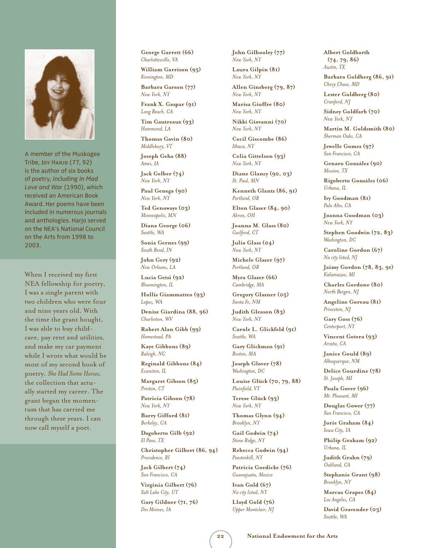

A member of the Muskogee Tribe, Joy Harjo (77, 92) is the author of six books of poetry, including *In Mad Love and War* (1990), which received an American Book Award. Her poems have been included in numerous journals and anthologies. Harjo served on the NEA's National Council on the Arts from 1998 to 2003.

When I received my first NEA fellowship for poetry, I was a single parent with two children who were four and nine years old. With the time the grant bought, I was able to buy childcare, pay rent and utilities, and make my car payment while I wrote what would be most of my second book of poetry, *She Had Some Horses,*  the collection that actually started my career. The grant began the momentum that has carried me through these years. I can now call myself a poet.

**George Garrett (66)** *Charlottesville, VA*

**William Garrison (95)** *Kensington, MD*

**Barbara Garson (77)** *New York, NY*

**Frank X. Gaspar (91)** *Long Beach, CA*

**Tim Gautreaux (93)** *Hammond, LA*

**Thomas Gavin (80)** *Middlebury, VT*

**Joseph Geha (88)** *Ames, IA*

**Jack Gelber (74)** *New York, NY*

**Paul Genega (90)** *New York, NY*

**Ted Genoways (03)** *Minneapolis, MN*

**Diana George (06)** *Seattle, WA*

**Sonia Gernes (99)** *South Bend, IN*

**John Gery (92)** *New Orleans, LA*

**Lucia Getsi (92)** *Bloomington, IL*

**Hollis Giammatteo (93)** *Lopez, WA*

**Denise Giardina (88, 96)** *Charleston, WV*

**Robert Alan Gibb (99)** *Homestead, PA*

**Kaye Gibbons (89)** *Raleigh, NC*

**Reginald Gibbons (84)** *Evanston, IL*

**Margaret Gibson (85)** *Preston, CT*

**Patricia Gibson (78)** *New York, NY*

**Barry Gifford (81)** *Berkeley, CA*

**Dagoberto Gilb (92)** *El Paso, TX*

**Christopher Gilbert (86, 94)** *Providence, RI*

**Jack Gilbert (74)** *San Francisco, CA*

**Virginia Gilbert (76)** *Salt Lake City, UT*

**Gary Gildner (71, 76)** *Des Moines, IA*

**John Gilhooley (77)** *New York, NY*

**Laura Gilpin (81)** *New York, NY*

**Allen Ginsberg (79, 87)** *New York, NY*

**Marisa Gioffre (80)** *New York, NY*

**Nikki Giovanni (70)** *New York, NY*

**Cecil Giscombe (86)** *Ithaca, NY*

**Celia Gittelson (93)** *New York, NY*

**Diane Glancy (90, 03)** *St. Paul, MN*

**Kenneth Glantz (86, 91)** *Portland, OR*

**Elton Glaser (84, 90)** *Akron, OH*

**Joanna M. Glass (80)** *Guilford, CT*

**Julia Glass (04)** *New York, NY*

**Michele Glazer (97)** *Portland, OR*

**Myra Glazer (66)** *Cambridge, MA*

**Gregory Glazner (05)** *Santa Fe, NM*

**Judith Gleason (83)** *New York, NY*

**Carole L. Glickfeld (91)** *Seattle, WA*

**Gary Glickman (91)** *Boston, MA*

**Joseph Glover (78)** *Washington, DC*

**Louise Glück (70, 79, 88)** *Plainfield, VT*

**Tereze Glück (93)** *New York, NY*

**Thomas Glynn (94)** *Brooklyn, NY*

**Gail Godwin (74)** *Stone Ridge, NY*

**Rebecca Godwin (94)** *Poestenkill, NY*

**Patricia Goedicke (76)** *Guanajuato, Mexico*

**Ivan Gold (67)** *No city listed, NY*

**Lloyd Gold (76)** *Upper Montclair, NJ*

**Albert Goldbarth (74, 79, 86)**  *Austin, TX*

**Barbara Goldberg (86, 91)** *Chevy Chase, MD*

**Lester Goldberg (80)** *Cranford, NJ*

**Sidney Goldfarb (70)** *New York, NY*

**Martin M. Goldsmith (80)** *Sherman Oaks, CA*

**Jewelle Gomez (97)** *San Francisco, CA*

**Genaro González (90)** *Mission, TX*

**Rigoberto González (06)** *Urbana, IL*

**Ivy Goodman (81)** *Palo Alto, CA*

**Joanna Goodman (03)** *New York, NY*

**Stephen Goodwin (72, 83)** *Washington, DC*

**Caroline Gordon (67)** *No city listed, NJ*

**Jaimy Gordon (78, 83, 91)** *Kalamazoo, MI*

**Charles Gordone (80)** *North Bergen, NJ*

**Angeline Goreau (81)** *Princeton, NJ*

**Gary Goss (76)** *Centerport, NY*

**Vincent Gotera (93)** *Arcata, CA*

**Janice Gould (89)** *Albuquerque, NM*

**Delice Gourdine (78)** *St. Joseph, MI*

**Paula Gover (96)** *Mt. Pleasant, MI*

**Douglas Gower (77)** *San Francisco, CA*

**Jorie Graham (84)** *Iowa City, IA*

**Philip Graham (92)** *Urbana, IL*

**Judith Grahn (79)** *Oakland, CA*

**Stephanie Grant (98)** *Brooklyn, NY*

**Marcus Grapes (84)** *Los Angeles, CA*

**David Gravender (03)** *Seattle, WA*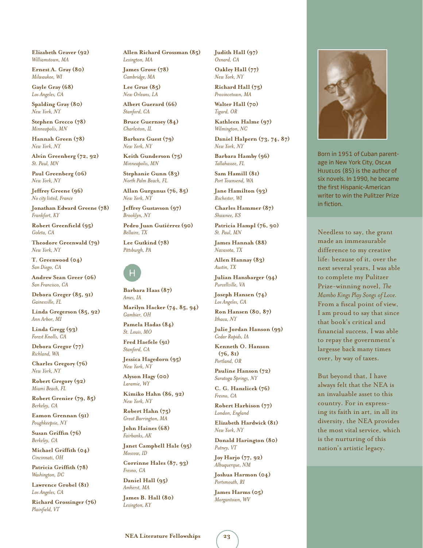**Elizabeth Graver (92)** *Williamstown, MA*

**Ernest A. Gray (80)** *Milwaukee, WI*

**Gayle Gray (68)** *Los Angeles, CA*

**Spalding Gray (80)** *New York, NY*

**Stephen Grecco (78)** *Minneapolis, MN*

**Hannah Green (78)** *New York, NY*

**Alvin Greenberg (72, 92)** *St. Paul, MN*

**Paul Greenberg (06)** *New York, NY*

**Jeffrey Greene (96)** *No city listed, France*

**Jonathan Edward Greene (78)** *Frankfort, KY*

**Robert Greenfield (95)** *Goleta, CA*

**Theodore Greenwald (79)** *New York, NY*

**T. Greenwood (04)** *San Diego, CA*

**Andrew Sean Greer (06)** *San Francisco, CA*

**Debora Greger (85, 91)** *Gainesville, FL*

**Linda Gregerson (85, 92)** *Ann Arbor, MI*

**Linda Gregg (93)** *Forest Knolls, CA*

**Debora Gregor (77)** *Richland, WA*

**Charles Gregory (76)** *New York, NY*

**Robert Gregory (92)** *Miami Beach, FL*

**Robert Grenier (79, 85)** *Berkeley, CA*

**Eamon Grennan (91)** *Poughkeepsie, NY*

**Susan Griffin (76)** *Berkeley, CA*

**Michael Griffith (04)** *Cincinnati, OH*

**Patricia Griffith (78)** *Washington, DC*

**Lawrence Grobel (81)** *Los Angeles, CA*

**Richard Grossinger (76)** *Plainfield, VT*

**Allen Richard Grossman (85)** *Lexington, MA*

**James Grove (78)** *Cambridge, MA*

**Lee Grue (85)** *New Orleans, LA*

**Albert Guerard (66)** *Stanford, CA*

**Bruce Guernsey (84)** *Charleston, IL*

**Barbara Guest (79)** *New York, NY*

**Keith Gunderson (75)** *Minneapolis, MN*

**Stephanie Gunn (83)** *North Palm Beach, FL*

**Allan Gurganus (76, 85)** *New York, NY*

**Jeffrey Gustavson (97)** *Brooklyn, NY*

**Pedro Juan Gutiérrez (90)** *Bellaire, TX*

**Lee Gutkind (78)** *Pittsburgh, PA* 



**Barbara Haas (87)** *Ames, IA* **Marilyn Hacker (74, 85, 94)**  *Gambier, OH*

**Pamela Hadas (84)** *St. Louis, MO*

**Fred Haefele (91)** *Stanford, CA*

**Jessica Hagedorn (95)** *New York, NY*

**Alyson Hagy (00)** *Laramie, WY*

**Kimiko Hahn (86, 92)** *New York, NY*

**Robert Hahn (75)** *Great Barrington, MA*

**John Haines (68)** *Fairbanks, AK*

**Janet Campbell Hale (95)** *Moscow, ID*

**Corrinne Hales (87, 93)** *Fresno, CA*

**Daniel Hall (95)** *Amherst, MA*

**James B. Hall (80)** *Lexington, KY*

**Judith Hall (97)** *Oxnard, CA*

**Oakley Hall (77)** *New York, NY*

**Richard Hall (75)** *Provincetown, MA*

**Walter Hall (70)** *Tigard, OR*

**Kathleen Halme (97)** *Wilmington, NC*

**Daniel Halpern (73, 74, 87)**  *New York, NY*

**Barbara Hamby (96)** *Tallahassee, FL*

**Sam Hamill (81)** *Port Townsend, WA*

**Jane Hamilton (93)** *Rochester, WI*

**Charles Hammer (87)** *Shawnee, KS*

**Patricia Hampl (76, 90)** *St. Paul, MN*

**James Hannah (88)** *Navasota, TX*

**Allen Hannay (83)** *Austin, TX*

**Julian Hansbarger (94)** *Purcellville, VA*

**Joseph Hansen (74)** *Los Angeles, CA*

**Ron Hansen (80, 87)** *Ithaca, NY*

**Julie Jordan Hanson (99)** *Cedar Rapids, IA*

**Kenneth O. Hanson (76, 81)** *Portland, OR*

**Pauline Hanson (72)** *Saratoga Springs, NY*

**C. G. Hanzlicek (76)** *Fresno, CA*

**Robert Harbison (77)** *London, England*

**Elizabeth Hardwick (81)** *New York, NY*

**Donald Harington (80)** *Putney, VT*

**Joy Harjo (77, 92)** *Albuquerque, NM*

**Joshua Harmon (04)** *Portsmouth, RI*

**James Harms (05)** *Morgantown, WV*



Born in 1951 of Cuban parentage in New York City, Oscar Hijuelos (85) is the author of six novels. In 1990, he became the first Hispanic-American writer to win the Pulitzer Prize in fiction.

Needless to say, the grant made an immeasurable difference to my creative life: because of it, over the next several years, I was able to complete my Pulitzer Prize-winning novel, *The Mambo Kings Play Songs of Love.* From a fiscal point of view, I am proud to say that since that book's critical and financial success, I was able to repay the government's largesse back many times over, by way of taxes.

But beyond that, I have always felt that the NEA is an invaluable asset to this country. For in expressing its faith in art, in all its diversity, the NEA provides the most vital service, which is the nurturing of this nation's artistic legacy.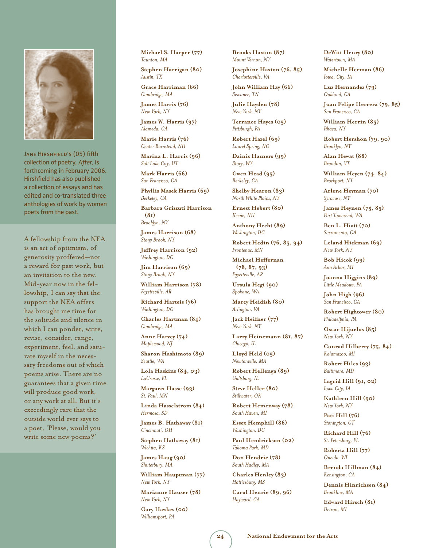

JANE HIRSHFIELD'S (05) fifth collection of poetry, *After,* is forthcoming in February 2006. Hirshfield has also published a collection of essays and has edited and co-translated three anthologies of work by women poets from the past.

A fellowship from the NEA is an act of optimism, of generosity proffered—not a reward for past work, but an invitation to the new. Mid-year now in the fellowship, I can say that the support the NEA offers has brought me time for the solitude and silence in which I can ponder, write, revise, consider, range, experiment, feel, and saturate myself in the necessary freedoms out of which poems arise. There are no guarantees that a given time will produce good work, or any work at all. But it's exceedingly rare that the outside world ever says to a poet, 'Please, would you write some new poems?'

**Michael S. Harper (77)** *Taunton, MA*

**Stephen Harrigan (80)** *Austin, TX* **Grace Harriman (66)**

*Cambridge, MA* **James Harris (76)**

*New York, NY*

**James W. Harris (97)** *Alameda, CA*

**Marie Harris (76)** *Center Barnstead, NH*

**Marina L. Harris (96)** *Salt Lake City, UT*

**Mark Harris (66)** *San Francisco, CA*

**Phyllis Masek Harris (69)** *Berkeley, CA*

**Barbara Grizzuti Harrison (81)** *Brooklyn, NY*

**James Harrison (68)** *Stony Brook, NY*

**Jeffrey Harrison (92)** *Washington, DC*

**Jim Harrison (69)** *Stony Brook, NY*

**William Harrison (78)** *Fayetteville, AR*

**Richard Harteis (76)** *Washington, DC*

**Charles Hartman (84)** *Cambridge, MA*

**Anne Harvey (74)** *Maplewood, NJ*

**Sharon Hashimoto (89)** *Seattle, WA*

**Lola Haskins (84, 03)** *LaCrosse, FL*

**Margaret Hasse (93)** *St. Paul, MN*

**Linda Hasselstrom (84)** *Hermosa, SD*

**James B. Hathaway (81)** *Cincinnati, OH*

**Stephen Hathaway (81)** *Wichita, KS*

**James Haug (90)** *Shutesbury, MA*

**William Hauptman (77)** *New York, NY*

**Marianne Hauser (78)** *New York, NY*

**Gary Hawkes (00)** *Williamsport, PA*

**Brooks Haxton (87)** *Mount Vernon, NY*

**Josephine Haxton (76, 85)** *Charlottesville, VA*

**John William Hay (66)** *Sewanee, TN*

**Julie Hayden (78)** *New York, NY*

**Terrance Hayes (05)** *Pittsburgh, PA*

**Robert Hazel (69)** *Laurel Spring, NC*

**Dainis Hazners (99)** *Story, WY*

**Gwen Head (95)** *Berkeley, CA*

**Shelby Hearon (83)** *North White Plains, NY*

**Ernest Hebert (80)** *Keene, NH*

**Anthony Hecht (89)** *Washington, DC*

**Robert Hedin (76, 85, 94)** *Frontenac, MN*

**Michael Heffernan (78, 87, 93)**  *Fayetteville, AR*

**Ursula Hegi (90)** *Spokane, WA*

**Marcy Heidish (80)** *Arlington, VA*

**Jack Heifner (77)** *New York, NY*

**Larry Heinemann (81, 87)** *Chicago, IL*

**Lloyd Held (05)** *Newtonville, MA*

**Robert Hellenga (89)** *Galtsburg, IL*

**Steve Heller (80)** *Stillwater, OK*

**Robert Hemenway (78)** *South Haven, MI*

**Essex Hemphill (86)** *Washington, DC*

**Paul Hendrickson (02)** *Takoma Park, MD*

**Don Hendrie (78)** *South Hadley, MA*

**Charles Henley (83)** *Hattiesburg, MS*

**Carol Henrie (89, 96)** *Hayward, CA*

**DeWitt Henry (80)** *Watertown, MA*

**Michelle Herman (86)** *Iowa, City, IA*

**Luz Hernandez (79)** *Oakland, CA*

**Juan Felipe Herrera (79, 85)** *San Francisco, CA*

**William Herrin (85)** *Ithaca, NY*

**Robert Hershon (79, 90)** *Brooklyn, NY*

**Alan Hewat (88)** *Brandon, VT*

**William Heyen (74, 84)** *Brockport, NY*

**Arlene Heyman (70)** *Syracuse, NY*

**James Heynen (75, 85)** *Port Townsend, WA*

**Ben L. Hiatt (70)** *Sacramento, CA*

**Leland Hickman (69)** *New York, NY*

**Bob Hicok (99)** *Ann Arbor, MI*

**Joanna Higgins (89)** *Little Meadows, PA*

**John High (96)** *San Francisco, CA*

**Robert Hightower (80)** *Philadelphia, PA*

**Oscar Hijuelos (85)** *New York, NY*

**Conrad Hilberry (75, 84)** *Kalamazoo, MI*

**Robert Hiles (93)** *Baltimore, MD*

**Ingrid Hill (91, 02)** *Iowa City, IA*

**Kathleen Hill (90)** *New York, NY*

**Pati Hill (76)** *Stonington, CT*

**Richard Hill (76)** *St. Petersburg, FL*

**Roberta Hill (77)** *Oneida, WI*

**Brenda Hillman (84)** *Kensington, CA*

**Dennis Hinrichsen (84)** *Brookline, MA*

**Edward Hirsch (81)** *Detroit, MI*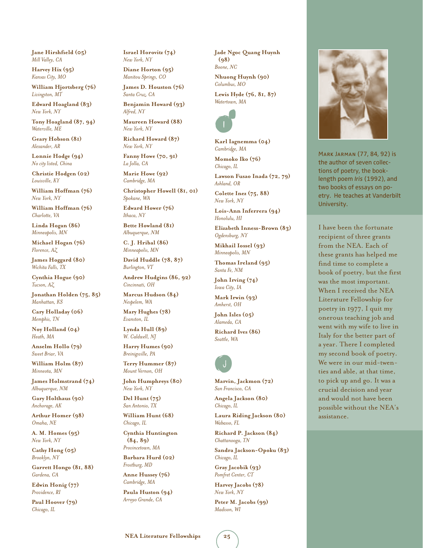**Jane Hirshfield (05)** *Mill Valley, CA*

**Harvey Hix (95)** *Kansas City, MO*

**William Hjortsberg (76)** *Livingston, MT*

**Edward Hoagland (83)** *New York, NY*

**Tony Hoagland (87, 94)** *Waterville, ME*

**Geary Hobson (81)** *Alexander, AR*

**Lonnie Hodge (94)** *No city listed, China*

**Christie Hodgen (02)** *Louisville, KY*

**William Hoffman (76)** *New York, NY*

**William Hoffman (76)** *Charlotte, VA*

**Linda Hogan (86)** *Minneapolis, MN*

**Michael Hogan (76)** *Florence, AZ*

**James Hoggard (80)** *Wichita Falls, TX*

**Cynthia Hogue (90)** *Tucson, AZ*

**Jonathan Holden (75, 85)** *Manhattan, KS*

**Cary Holladay (06)** *Memphis, TN*

**Noy Holland (04)** *Heath, MA*

**Anselm Hollo (79)** *Sweet Briar, VA*

**William Holm (87)** *Minneota, MN*

**James Holmstrand (74)** *Albuquerque, NM*

**Gary Holthaus (90)** *Anchorage, AK*

**Arthur Homer (98)** *Omaha, NE*

**A. M. Homes (95)** *New York, NY*

**Cathy Hong (05)** *Brooklyn, NY*

**Garrett Hongo (81, 88)** *Gardena, CA*

**Edwin Honig (77)** *Providence, RI*

**Paul Hoover (79)** *Chicago, IL*

**Israel Horovitz (74)** *New York, NY*

**Diane Horton (95)** *Manitou Springs, CO*

**James D. Houston (76)** *Santa Cruz, CA*

**Benjamin Howard (93)** *Alfred, NY*

**Maureen Howard (88)** *New York, NY*

**Richard Howard (87)** *New York, NY*

**Fanny Howe (70, 91)** *La Jolla, CA*

**Marie Howe (92)** *Cambridge, MA*

**Christopher Howell (81, 01)** *Spokane, WA*

**Edward Hower (76)** *Ithaca, NY*

**Bette Howland (81)** *Albuquerque, NM*

**C. J. Hribal (86)** *Minneapolis, MN*

**David Huddle (78, 87)** *Burlington, VT*

**Andrew Hudgins (86, 92)** *Cincinnati, OH*

**Marcus Hudson (84)** *Nespelem, WA*

**Mary Hughes (78)** *Evanston, IL*

**Lynda Hull (89)** *W. Caldwell, NJ*

**Harry Humes (90)** *Breinigsville, PA*

**Terry Hummer (87)** *Mount Vernon, OH*

**John Humphreys (80)** *New York, NY*

**Del Hunt (75)** *San Antonio, TX*

**William Hunt (68)** *Chicago, IL*

**Cynthia Huntington (84, 89)** *Provincetown, MA*

**Barbara Hurd (02)** *Frostburg, MD*

**Anne Hussey (76)** *Cambridge, MA*

**Paula Huston (94)** *Arroyo Grande, CA*

**Jade Ngoc Quang Huynh (98)** *Boone, NC* **Nhuong Huynh (90)** *Columbus, MO*

**Lewis Hyde (76, 81, 87)** *Watertown, MA* 



**Karl Iagnemma (04)** *Cambridge, MA*

**Momoko Iko (76)** *Chicago, IL*

**Lawson Fusao Inada (72, 79)** *Ashland, OR*

**Colette Inez (75, 88)** *New York, NY*

**Lois-Ann Inferrera (94)** *Honolulu, HI*

**Elizabeth Inness-Brown (83)** *Ogdensburg, NY*

**Mikhail Iossel (93)** *Minneapolis, MN*

**Thomas Ireland (95)** *Santa Fe, NM*

**John Irving (74)** *Iowa City, IA*

**Mark Irwin (93)** *Amherst, OH*

**John Isles (05)** *Alameda, CA*

**Richard Ives (86)** *Seattle, WA*



**Marvin, Jackmon (72)** *San Francisco, CA*

**Angela Jackson (80)** *Chicago, IL*

**Laura Riding Jackson (80)** *Wabasso, FL*

**Richard P. Jackson (84)** *Chattanooga, TN*

**Sandra Jackson-Opoku (83)** *Chicago, IL*

**Gray Jacobik (93)** *Pomfret Center, CT*

**Harvey Jacobs (78)** *New York, NY*

**Peter M. Jacobs (99)** *Madison, WI*

Mark Jarman (77, 84, 92) is the author of seven collections of poetry, the booklength poem *Iris* (1992), and two books of essays on poetry. He teaches at Vanderbilt University.

I have been the fortunate recipient of three grants from the NEA. Each of these grants has helped me find time to complete a book of poetry, but the first was the most important. When I received the NEA Literature Fellowship for poetry in 1977, I quit my onerous teaching job and went with my wife to live in Italy for the better part of a year. There I completed my second book of poetry. We were in our mid-twenties and able, at that time, to pick up and go. It was a crucial decision and year and would not have been possible without the NEA's assistance.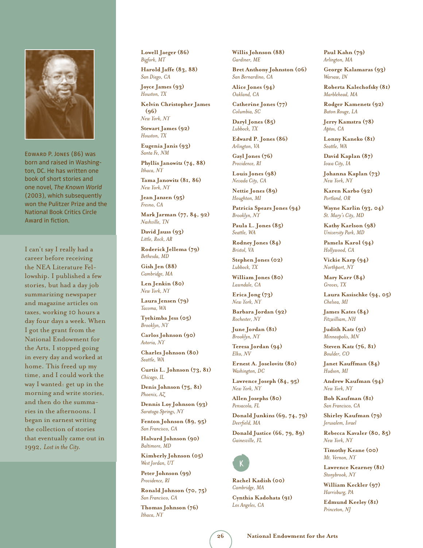

Edward P. Jones (86) was born and raised in Washington, DC. He has written one book of short stories and one novel, *The Known World*  (2003), which subsequently won the Pulitzer Prize and the National Book Critics Circle Award in fiction.

I can't say I really had a career before receiving the NEA Literature Fellowship. I published a few stories, but had a day job summarizing newspaper and magazine articles on taxes, working 10 hours a day four days a week. When I got the grant from the National Endowment for the Arts, I stopped going in every day and worked at home. This freed up my time, and I could work the way I wanted: get up in the morning and write stories, and then do the summaries in the afternoons. I began in earnest writing the collection of stories that eventually came out in 1992, *Lost in the City.*

**Lowell Jaeger (86)** *Bigfork, MT* **Harold Jaffe (83, 88)**

*San Diego, CA*

**Joyce James (93)** *Houston, TX*

**Kelvin Christopher James (96)** *New York, NY*

**Stewart James (92)** *Houston, TX*

**Eugenia Janis (93)** *Santa Fe, NM*

**Phyllis Janowitz (74, 88)** *Ithaca, NY*

**Tama Janowitz (81, 86)** *New York, NY*

**Jean Janzen (95)** *Fresno, CA*

**Mark Jarman (77, 84, 92)**  *Nashville, TN*

**David Jauss (93)** *Little, Rock, AR*

**Roderick Jellema (79)** *Bethesda, MD*

**Gish Jen (88)** *Cambridge, MA*

**Len Jenkin (80)** *New York, NY*

**Laura Jensen (79)** *Tacoma, WA*

**Tyehimba Jess (05)** *Brooklyn, NY*

**Carlos Johnson (90)** *Astoria, NY*

**Charles Johnson (80)** *Seattle, WA* **Curtis L. Johnson (73, 81)**

*Chicago, IL*

**Denis Johnson (75, 81)** *Phoenix, AZ*

**Dennis Loy Johnson (93)** *Saratoga Springs, NY*

**Fenton Johnson (89, 95)** *San Francisco, CA*

**Halvard Johnson (90)** *Baltimore, MD*

**Kimberly Johnson (05)** *West Jordan, UT*

**Peter Johnson (99)** *Providence, RI*

**Ronald Johnson (70, 75)** *San Francisco, CA*

**Thomas Johnson (76)** *Ithaca, NY*

**Willis Johnson (88)** *Gardiner, ME*

**Bret Anthony Johnston (06)** *San Bernardino, CA*

**Alice Jones (94)** *Oakland, CA*

**Catherine Jones (77)** *Columbia, SC*

**Daryl Jones (85)** *Lubbock, TX*

**Edward P. Jones (86)** *Arlington, VA*

**Gayl Jones (76)** *Providence, RI*

**Louis Jones (98)** *Nevada City, CA*

**Nettie Jones (89)** *Houghton, MI*

**Patricia Spears Jones (94)** *Brooklyn, NY*

**Paula L. Jones (85)** *Seattle, WA*

**Rodney Jones (84)** *Bristol, VA*

**Stephen Jones (02)** *Lubbock, TX*

**William Jones (80)** *Lawndale, CA*

**Erica Jong (73)** *New York, NY*

**Barbara Jordan (92)** *Rochester, NY*

**June Jordan (81)** *Brooklyn, NY*

**Teresa Jordan (94)** *Elko, NV*

**Ernest A. Joselovitz (80)** *Washington, DC*

**Lawrence Joseph (84, 95)** *New York, NY*

**Allen Josephs (80)** *Pensacola, FL*

**Donald Junkins (69, 74, 79)**  *Deerfield, MA*

**Donald Justice (66, 79, 89)**  *Gainesville, FL* 



**Rachel Kadish (00)** *Cambridge, MA*

**Cynthia Kadohata (91)** *Los Angeles, CA*

**Paul Kahn (79)** *Arlington, MA*

**George Kalamaras (93)** *Warsaw, IN*

**Roberta Kalechofsky (81)** *Marblehead, MA*

**Rodger Kamenetz (92)** *Baton Rouge, LA*

**Jerry Kamstra (78)** *Aptos, CA*

**Lonny Kaneko (81)** *Seattle, WA*

**David Kaplan (87)** *Iowa City, IA*

**Johanna Kaplan (73)** *New York, NY*

**Karen Karbo (92)** *Portland, OR*

**Wayne Karlin (93, 04)** *St. Mary's City, MD*

**Kathy Karlson (98)** *University Park, MD*

**Pamela Karol (94)** *Hollywood, CA*

**Vickie Karp (94)** *Northport, NY*

**Mary Karr (84)** *Groves, TX*

**Laura Kasischke (94, 05)** *Chelsea, MI*

**James Kates (84)** *Fitzwilliam, NH*

**Judith Katz (91)** *Minneapolis, MN*

**Steven Katz (76, 81)** *Boulder, CO*

**Janet Kauffman (84)** *Hudson, MI*

**Andrew Kaufman (94)** *New York, NY*

**Bob Kaufman (81)** *San Francisco, CA*

**Shirley Kaufman (79)** *Jerusalem, Israel*

**Rebecca Kavaler (80, 85)** *New York, NY*

**Timothy Keane (00)** *Mt. Vernon, NY*

**Lawrence Kearney (81)** *Stonybrook, NY*

**William Keckler (97)** *Harrisburg, PA*

**Edmund Keeley (81)** *Princeton, NJ*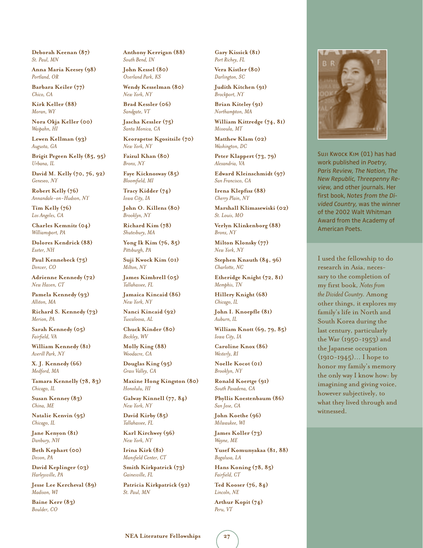**Deborah Keenan (87)** *St. Paul, MN*

**Anna Maria Keesey (98)** *Portland, OR*

**Barbara Keiler (77)** *Chico, CA*

**Kirk Keller (88)** *Moran, WY*

**Nora Okja Keller (00)** *Waipahn, HI*

**Lewen Kellman (93)** *Augusta, GA*

**Brigit Pegeen Kelly (85, 95)** *Urbana, IL*

**David M. Kelly (70, 76, 92)** *Geneseo, NY*

**Robert Kelly (76)** *Annandale-on-Hudson, NY*

**Tim Kelly (76)** *Los Angeles, CA*

**Charles Kemnitz (04)** *Williamsport, PA*

**Dolores Kendrick (88)** *Exeter, NH*

**Paul Kennebeck (75)** *Denver, CO*

**Adrienne Kennedy (72)** *New Haven, CT*

**Pamela Kennedy (93)** *Allston, MA*

**Richard S. Kennedy (73)** *Merion, PA*

**Sarah Kennedy (05)** *Fairfield, VA*

**William Kennedy (81)** *Averill Park, NY*

**X. J. Kennedy (66)** *Medford, MA*

**Tamara Kennelly (78, 83)** *Chicago, IL*

**Susan Kenney (83)** *China, ME*

**Natalie Kenvin (95)** *Chicago, IL*

**Jane Kenyon (81)** *Danbury, NH*

**Beth Kephart (00)** *Devon, PA*

**David Keplinger (03)** *Harleysville, PA*

**Jesse Lee Kercheval (89)** *Madison, WI*

**Baine Kerr (83)** *Boulder, CO*

**Anthony Kerrigan (88)** *South Bend, IN*

**John Kessel (80)** *Overland Park, KS*

**Wendy Kesselman (80)** *New York, NY*

**Brad Kessler (06)** *Sandgate, VT*

**Jascha Kessler (75)** *Santa Monica, CA*

**Keorapetse Kgositsile (70)** *New York, NY*

**Faizul Khan (80)** *Bronx, NY*

**Faye Kicknosway (85)** *Bloomfield, MI*

**Tracy Kidder (74)** *Iowa City, IA*

**John O. Killens (80)** *Brooklyn, NY*

**Richard Kim (78)** *Shutesbury, MA*

**Yong Ik Kim (76, 85)** *Pittsburgh, PA*

**Suji Kwock Kim (01)** *Milton, NY*

**James Kimbrell (05)** *Tallahassee, FL*

**Jamaica Kincaid (86)** *New York, NY*

**Nanci Kincaid (92)** *Tuscaloosa, AL*

**Chuck Kinder (80)** *Beckley, WV*

**Molly King (88)** *Woodacre, CA*

**Douglas King (95)** *Grass Valley, CA*

**Maxine Hong Kingston (80)** *Honolulu, HI*

**Galway Kinnell (77, 84)** *New York, NY*

**David Kirby (85)** *Tallahassee, FL*

**Karl Kirchwey (96)** *New York, NY*

**Irina Kirk (81)** *Mansfield Center, CT*

**Smith Kirkpatrick (73)** *Gainesville, FL*

**Patricia Kirkpatrick (92)** *St. Paul, MN*

**Gary Kissick (81)** *Port Richey, FL*

**Vera Kistler (80)** *Darlington, SC*

**Judith Kitchen (91)** *Brockport, NY*

**Brian Kiteley (91)** *Northampton, MA*

**William Kittredge (74, 81)** *Missoula, MT*

**Matthew Klam (02)** *Washington, DC*

**Peter Klappert (73, 79)** *Alexandria, VA*

**Edward Kleinschmidt (97)** *San Francisco, CA*

**Irena Klepfisz (88)** *Cherry Plain, NY*

**Marshall Klimasewiski (02)** *St. Louis, MO*

**Verlyn Klinkenborg (88)** *Bronx, NY*

**Milton Klonsky (77)** *New York, NY*

**Stephen Knauth (84, 96)** *Charlotte, NC*

**Etheridge Knight (72, 81)** *Memphis, TN*

**Hillery Knight (68)** *Chicago, IL*

**John I. Knoepfle (81)** *Auburn, IL*

**William Knott (69, 79, 85)** *Iowa City, IA*

**Caroline Knox (86)** *Westerly, RI*

**Noelle Kocot (01)** *Brooklyn, NY*

**Ronald Koertge (91)** *South Pasadena, CA*

**Phyllis Koestenbaum (86)** *San Jose, CA*

**John Koethe (96)** *Milwaukee, WI*

**James Koller (73)** *Wayne, ME*

**Yusef Komunyakaa (81, 88)** *Bogalusa, LA*

**Hans Koning (78, 85)** *Fairfield, CT*

**Ted Kooser (76, 84)** *Lincoln, NE*

**Arthur Kopit (74)** *Peru, VT*



Suji Kwock Kim (01) has had work published in *Poetry, Paris Review, The Nation, The New Republic, Threepenny Review,* and other journals. Her first book, *Notes from the Divided Country,* was the winner of the 2002 Walt Whitman Award from the Academy of American Poets.

I used the fellowship to do research in Asia, necessary to the completion of my first book, *Notes from the Divided Country.* Among other things, it explores my family's life in North and South Korea during the last century, particularly the War (1950-1953) and the Japanese occupation (1910-1945)… I hope to honor my family's memory the only way I know how: by imagining and giving voice, however subjectively, to what they lived through and witnessed.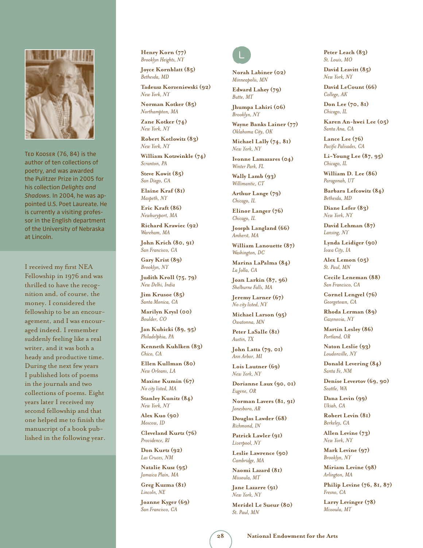

Ted Kooser (76, 84) is the author of ten collections of poetry, and was awarded the Pulitzer Prize in 2005 for his collection *Delights and Shadows.* In 2004, he was appointed U.S. Poet Laureate. He is currently a visiting professor in the English department of the University of Nebraska at Lincoln.

I received my first NEA Fellowship in 1976 and was thrilled to have the recognition and, of course, the money. I considered the fellowship to be an encouragement, and I was encouraged indeed. I remember suddenly feeling like a real writer, and it was both a heady and productive time. During the next few years I published lots of poems in the journals and two collections of poems. Eight years later I received my second fellowship and that one helped me to finish the manuscript of a book published in the following year. **Henry Korn (77)** *Brooklyn Heights, NY*

**Joyce Kornblatt (85)** *Bethesda, MD*

**Tadeusz Korzeniewski (92)** *New York, NY*

**Norman Kotker (85)** *Northampton, MA*

**Zane Kotker (74)** *New York, NY*

**Robert Kotlowitz (83)** *New York, NY*

**William Kotzwinkle (74)** *Scranton, PA*

**Steve Kowit (85)** *San Diego, CA*

**Elaine Kraf (81)** *Maspeth, NY*

**Eric Kraft (86)** *Newburyport, MA*

**Richard Krawiec (92)** *Wareham, MA*

**John Krich (80, 91)** *San Francisco, CA*

**Gary Krist (89)** *Brooklyn, NY*

**Judith Kroll (75, 79)** *New Delhi, India*

**Jim Krusoe (85)** *Santa Monica, CA*

**Marilyn Krysl (00)** *Boulder, CO*

**Jan Kubicki (89, 95)** *Philadelphia, PA*

**Kenneth Kuhlken (83)** *Chico, CA*

**Ellen Kullman (80)** *New Orleans, LA*

**Maxine Kumin (67)** *No city listed, MA*

**Stanley Kunitz (84)** *New York, NY*

**Alex Kuo (90)** *Moscow, ID*

**Cleveland Kurtz (76)** *Providence, RI*

**Don Kurtz (92)** *Las Cruces, NM*

**Natalie Kusz (95)** *Jamaica Plain, MA*

**Greg Kuzma (81)** *Lincoln, NE*

**Joanne Kyger (69)** *San Francisco, CA* 



**Norah Labiner (02)** *Minneapolis, MN*

**Edward Lahey (79)** *Butte, MT*

**Jhumpa Lahiri (06)** *Brooklyn, NY*

**Wayne Banks Lainer (77)** *Oklahoma City, OK*

**Michael Lally (74, 81)** *New York, NY*

**Ivonne Lamazares (04)** *Winter Park, FL*

**Wally Lamb (93)** *Willimantic, CT*

**Arthur Lange (79)** *Chicago, IL*

**Elinor Langer (76)** *Chicago, IL*

**Joseph Langland (66)** *Amherst, MA*

**William Lanouette (87)** *Washington, DC*

**Marina LaPalma (84)** *La Jolla, CA*

**Joan Larkin (87, 96)** *Shelburne Falls, MA*

**Jeremy Larner (67)** *No city listed, NY*

**Michael Larson (95)** *Owatonna, MN*

**Peter LaSalle (81)** *Austin, TX*

**John Latta (79, 01)** *Ann Arbor, MI*

**Lois Lautner (69)** *New York, NY*

**Dorianne Laux (90, 01)** *Eugene, OR*

**Norman Lavers (81, 91)** *Jonesboro, AR*

**Douglas Lawder (68)** *Richmond, IN*

**Patrick Lawler (91)** *Liverpool, NY*

**Leslie Lawrence (90)** *Cambridge, MA*

**Naomi Lazard (81)** *Missoula, MT*

**Jane Lazarre (91)** *New York, NY*

**Meridel Le Sueur (80)** *St. Paul, MN*

**Peter Leach (83)** *St. Louis, MO*

**David Leavitt (85)** *New York, NY*

**David LeCount (66)** *College, AK*

**Don Lee (70, 81)** *Chicago, IL*

**Karen An-hwei Lee (05)** *Santa Ana, CA*

**Lance Lee (76)** *Pacific Palisades, CA*

**Li-Young Lee (87, 95)** *Chicago, IL*

**William D. Lee (86)** *Paragonah, UT*

**Barbara Lefcowitz (84)** *Bethesda, MD*

**Diane Lefer (83)** *New York, NY*

**David Lehman (87)** *Lansing, NY*

**Lynda Leidiger (90)** *Iowa City, IA*

**Alex Lemon (05)** *St. Paul, MN*

**Cecile Leneman (88)** *San Francisco, CA*

**Cornel Lengyel (76)** *Georgetown, CA*

**Rhoda Lerman (89)** *Cazenovia, NY*

**Martin Lesley (86)** *Portland, OR*

**Naton Leslie (93)** *Loudonville, NY*

**Donald Levering (84)** *Santa Fe, NM*

**Denise Levertov (69, 90)** *Seattle, WA*

**Dana Levin (99)** *Ukiah, CA*

**Robert Levin (81)** *Berkeley, CA*

**Allen Levine (73)** *New York, NY*

**Mark Levine (97)** *Brooklyn, NY*

**Miriam Levine (98)** *Arlington, MA*

**Philip Levine (76, 81, 87)** *Fresno, CA*

**Larry Levinger (78)** *Missoula, MT*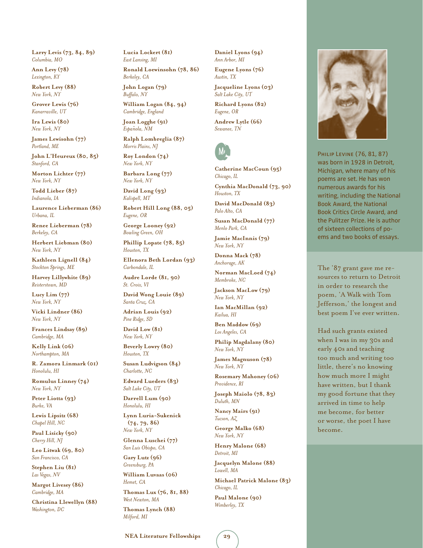**Larry Levis (73, 84, 89)** *Columbia, MO*

**Ann Levy (78)** *Lexington, KY*

**Robert Levy (88)** *New York, NY*

**Grover Lewis (76)** *Kanarraville, UT*

**Ira Lewis (80)** *New York, NY*

**James Lewisohn (77)** *Portland, ME*

**John L'Heureux (80, 85)** *Stanford, CA*

**Morton Lichter (77)** *New York, NY*

**Todd Lieber (87)** *Indianola, IA*

**Laurence Lieberman (86)** *Urbana, IL*

**Renee Lieberman (78)** *Berkeley, CA*

**Herbert Liebman (80)** *New York, NY*

**Kathleen Lignell (84)** *Stockton Springs, ME*

**Harvey Lillywhite (89)** *Reisterstown, MD*

**Lucy Lim (77)** *New York, NY*

**Vicki Lindner (86)** *New York, NY*

**Frances Lindsay (89)** *Cambridge, MA*

**Kelly Link (06)** *Northampton, MA*

**R. Zamora Linmark (01)** *Honolulu, HI*

**Romulus Linney (74)** *New York, NY*

**Peter Liotta (93)** *Burke, VA*

**Lewis Lipsitz (68)** *Chapel Hill, NC*

**Paul Lisicky (90)** *Cherry Hill, NJ*

**Leo Litwak (69, 80)** *San Francisco, CA*

**Stephen Liu (81)** *Las Vegas, NV*

**Margot Livesey (86)** *Cambridge, MA*

**Christina Llewellyn (88)** *Washington, DC*

**Lucia Lockert (81)** *East Lansing, MI*

**Ronald Loewinsohn (78, 86)** *Berkeley, CA*

**John Logan (79)** *Buffalo, NY*

**William Logan (84, 94)** *Cambridge, England*

**Joan Logghe (91)** *Espa˜nola, NM*

**Ralph Lombreglia (87)** *Morris Plains, NJ*

**Roy London (74)** *New York, NY*

**Barbara Long (77)** *New York, NY*

**David Long (93)** *Kalispell, MT*

**Robert Hill Long (88, 05)** *Eugene, OR*

**George Looney (92)** *Bowling Green, OH*

**Phillip Lopate (78, 85)** *Houston, TX*

**Ellenora Beth Lordan (93)** *Carbondale, IL*

**Audre Lorde (81, 90)** *St. Croix, VI*

**David Wong Louie (89)** *Santa Cruz, CA*

**Adrian Louis (92)** *Pine Ridge, SD*

**David Low (81)** *New York, NY*

**Beverly Lowry (80)** *Houston, TX*

**Susan Ludvigson (84)** *Charlotte, NC*

**Edward Lueders (83)** *Salt Lake City, UT*

**Darrell Lum (90)** *Honolulu, HI*

**Lynn Luria-Sukenick (74, 79, 86)** *New York, NY*

**Glenna Luschei (77)** *San Luis Obispo, CA*

**Gary Lutz (96)** *Greensburg, PA*

**William Luvaas (06)** *Hemet, CA*

**Thomas Lux (76, 81, 88)** *West Newton, MA*

**Thomas Lynch (88)** *Milford, MI*

#### **Daniel Lyons (94)** *Ann Arbor, MI*

**Eugene Lyons (76)** *Austin, TX*

**Jacqueline Lyons (03)** *Salt Lake City, UT*

**Richard Lyons (82)** *Eugene, OR*

**Andrew Lytle (66)** *Sewanee, TN* 



**Catherine MacCoun (95)** *Chicago, IL* **Cynthia MacDonald (73, 90)**

*Houston, TX*

**David MacDonald (83)** *Palo Alto, CA*

**Susan MacDonald (77)** *Menlo Park, CA*

**Jamie MacInnis (79)** *New York, NY*

**Donna Mack (78)** *Anchorage, AK*

**Norman MacLoed (74)** *Membroke, NC*

**Jackson MacLow (79)** *New York, NY*

**Ian MacMillan (92)** *Kailua, HI*

**Ben Maddow (69)** *Los Angeles, CA*

**Philip Magdalany (80)** *New York, NY*

**James Magnuson (78)** *New York, NY*

**Rosemary Mahoney (06)** *Providence, RI*

**Joseph Maiolo (78, 83)** *Duluth, MN*

**Nancy Mairs (91)** *Tucson, AZ*

**George Malko (68)** *New York, NY*

**Henry Malone (68)** *Detroit, MI* **Jacquelyn Malone (88)**

*Lowell, MA*

**Michael Patrick Malone (83)** *Chicago, IL*

**Paul Malone (90)** *Wimberley, TX*



Philip Levine (76, 81, 87) was born in 1928 in Detroit, Michigan, where many of his poems are set. He has won numerous awards for his writing, including the National Book Award, the National Book Critics Circle Award, and the Pulitzer Prize. He is author of sixteen collections of poems and two books of essays.

The '87 grant gave me resources to return to Detroit in order to research the poem, 'A Walk with Tom Jefferson,' the longest and best poem I've ever written.

Had such grants existed when I was in my 30s and early 40s and teaching too much and writing too little, there's no knowing how much more I might have written, but I thank my good fortune that they arrived in time to help me become, for better or worse, the poet I have become.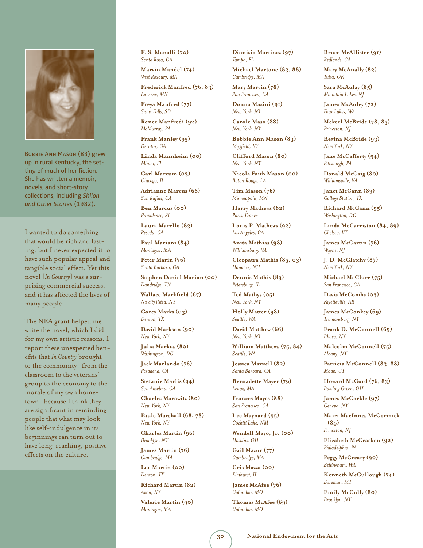

BOBBIE ANN MASON (83) grew up in rural Kentucky, the setting of much of her fiction. She has written a memoir, novels, and short-story collections, including *Shiloh and Other Stories* (1982).

I wanted to do something that would be rich and lasting, but I never expected it to have such popular appeal and tangible social effect. Yet this novel [*In Country*] was a surprising commercial success, and it has affected the lives of many people.

The NEA grant helped me write the novel, which I did for my own artistic reasons. I report these unexpected benefits that *In Country* brought to the community—from the classroom to the veterans' group to the economy to the morale of my own hometown—because I think they are significant in reminding people that what may look like self-indulgence in its beginnings can turn out to have long-reaching, positive effects on the culture.

**F. S. Manalli (70)** *Santa Rosa, CA*

**Marvin Mandel (74)** *West Roxbury, MA*

**Frederick Manfred (76, 83)** *Luverne, MN*

**Freya Manfred (77)** *Sioux Falls, SD*

**Renee Manfredi (92)** *McMurray, PA*

**Frank Manley (95)** *Decatur, GA*

**Linda Mannheim (00)** *Miami, FL*

**Carl Marcum (03)** *Chicago, IL*

**Adrianne Marcus (68)** *San Rafael, CA*

**Ben Marcus (00)** *Providence, RI*

**Laura Marello (83)** *Reseda, CA*

**Paul Mariani (84)** *Montague, MA*

**Peter Marin (76)** *Santa Barbara, CA*

**Stephen Daniel Marion (00)** *Dandridge, TN*

**Wallace Markfield (67)** *No city listed, NY*

**Corey Marks (03)** *Denton, TX*

**David Markson (90)** *New York, NY*

**Julia Markus (80)** *Washington, DC*

**Jack Marlando (76)** *Pasadena, CA*

**Stefanie Marlis (94)** *San Anselmo, CA*

**Charles Marowitz (80)** *New York, NY*

**Paule Marshall (68, 78)** *New York, NY*

**Charles Martin (96)** *Brooklyn, NY*

**James Martin (76)** *Cambridge, MA*

**Lee Martin (00)** *Denton, TX*

**Richard Martin (82)** *Avon, NY*

**Valerie Martin (90)** *Montague, MA*

**Dionisio Martinez (97)** *Tampa, FL*

**Michael Martone (83, 88)** *Cambridge, MA*

**Mary Marvin (78)** *San Francisco, CA*

**Donna Masini (91)** *New York, NY*

**Carole Maso (88)** *New York, NY*

**Bobbie Ann Mason (83)** *Mayfield, KY*

**Clifford Mason (80)** *New York, NY*

**Nicola Faith Mason (00)** *Baton Rouge, LA*

**Tim Mason (76)** *Minneapolis, MN*

**Harry Mathews (82)** *Paris, France*

**Louis P. Mathews (92)** *Los Angeles, CA*

**Anita Mathias (98)** *Williamsburg, VA*

**Cleopatra Mathis (85, 03)** *Hanover, NH*

**Dennis Mathis (83)** *Petersburg, IL*

**Ted Mathys (05)** *New York, NY*

**Holly Matter (98)** *Seattle, WA*

**David Matthew (66)** *New York, NY*

**William Matthews (75, 84)** *Seattle, WA*

**Jessica Maxwell (82)** *Santa Barbara, CA*

**Bernadette Mayer (79)** *Lenox, MA*

**Frances Mayes (88)** *San Francisco, CA*

**Lee Maynard (95)** *Cochiti Lake, NM*

**Wendell Mayo, Jr. (00)** *Haskins, OH*

**Gail Mazur (77)** *Cambridge, MA*

**Cris Mazza (00)** *Elmhurst, IL*

**James McAfee (76)** *Columbia, MO*

**Thomas McAfee (69)** *Columbia, MO*

**Bruce McAllister (91)** *Redlands, CA*

**Mary McAnally (82)** *Tulsa, OK*

**Sara McAulay (85)** *Mountain Lakes, NJ*

**James McAuley (72)** *Four Lakes, WA*

**Mekeel McBride (78, 85)** *Princeton, NJ*

**Regina McBride (93)** *New York, NY*

**Jane McCafferty (94)** *Pittsburgh, PA*

**Donald McCaig (80)** *Williamsville, VA*

**Janet McCann (89)** *College Station, TX*

**Richard McCann (95)** *Washington, DC*

**Linda McCarriston (84, 89)** *Chelsea, VT*

**James McCartin (76)** *Wayne, NJ*

**J. D. McClatchy (87)** *New York, NY*

**Michael McClure (75)** *San Francisco, CA*

**Davis McCombs (03)** *Fayetteville, AR*

**James McConkey (69)** *Trumansburg, NY*

**Frank D. McConnell (69)** *Ithaca, NY*

**Malcolm McConnell (75)** *Albany, NY*

**Patricia McConnell (83, 88)** *Moab, UT*

**Howard McCord (76, 83)** *Bowling Green, OH*

**James McCorkle (97)** *Geneva, NY*

**Mairi MacInnes McCormick (84)** *Princeton, NJ*

**Elizabeth McCracken (92)** *Philadelphia, PA*

**Peggy McCreary (90)** *Bellingham, WA*

**Kenneth McCullough (74)** *Bozeman, MT*

**Emily McCully (80)** *Brooklyn, NY*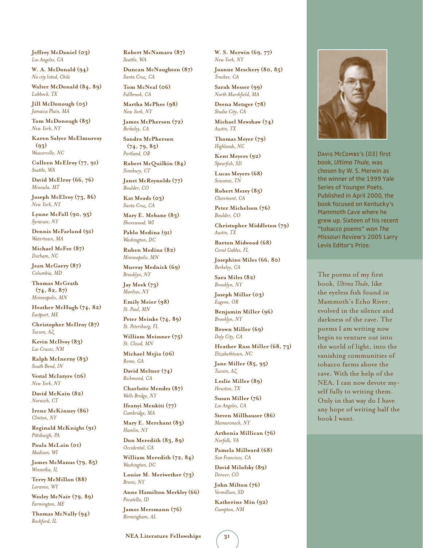**Jeffrey McDaniel (03)** *Los Angeles, CA*

**W. A. McDonald (94)** *No city listed, Chile*

**Walter McDonald (84, 89)** *Lubbock, TX*

**Jill McDonough (05)** *Jamaica Plain, MA*

**Tom McDonough (85)** *New York, NY*

**Karen Salyer McElmurray (93)** *Weaverville, NC*

**Colleen McElroy (77, 91)** *Seattle, WA*

**David McElroy (66, 76)** *Missoula, MT*

**Joseph McElroy (73, 86)** *New York, NY*

**Lynne McFall (90, 95)** *Syracuse, NY*

**Dennis McFarland (91)** *Watertown, MA*

**Michael McFee (87)** *Durham, NC*

**Jean McGarry (87)** *Columbia, MD*

**Thomas McGrath (74, 82, 87)**  *Minneapolis, MN*

**Heather McHugh (74, 82)** *Eastport, ME*

**Christopher McIlroy (87)** *Tucson, AZ*

**Kevin McIlvoy (83)** *Las Cruces, NM*

**Ralph McInerny (83)** *South Bend, IN*

**Vestal McIntyre (06)** *New York, NY*

**David McKain (82)** *Norwich, CT*

**Irene McKinney (86)** *Clinton, NY*

**Reginald McKnight (91)** *Pittsburgh, PA*

**Paula McLain (01)** *Madison, WI*

**James McManus (79, 85)** *Winnetka, IL*

**Terry McMillan (88)** *Laramie, WY*

**Wesley McNair (79, 89)** *Farmington, ME*

**Thomas McNally (94)** *Rockford, IL*

**Robert McNamara (87)** *Seattle, WA*

**Duncan McNaughton (87)** *Santa Cruz, CA*

**Tom McNeal (06)** *Fallbrook, CA*

**Martha McPhee (98)** *New York, NY*

**James McPherson (72)** *Berkeley, CA*

**Sandra McPherson (74, 79, 85)** *Portland, OR*

**Robert McQuilkin (84)** *Simsbury, CT*

**Janet McReynolds (77)** *Boulder, CO*

**Kat Meads (03)** *Santa Cruz, CA*

**Mary E. Mebane (83)** *Shorewood, WI*

**Pablo Medina (91)** *Washington, DC*

**Ruben Medina (82)** *Minneapolis, MN*

**Murray Mednick (69)** *Brooklyn, NY*

**Jay Meek (73)** *Manlius, NY*

**Emily Meier (98)** *St. Paul, MN*

**Peter Meinke (74, 89)** *St. Petersburg, FL*

**William Meissner (75)** *St. Cloud, MN*

**Michael Mejia (06)** *Rome, GA*

**David Meltzer (74)** *Richmond, CA*

**Charlotte Mendez (87)** *Wells Bridge, NY*

**Ifeanyi Menkiti (77)** *Cambridge, MA*

**Mary E. Merchant (83)** *Hamlin, NY*

**Don Meredith (83, 89)** *Occidental, CA*

**William Meredith (72, 84)** *Washington, DC*

**Louise M. Meriwether (73)** *Bronx, NY*

**Anne Hamilton Merkley (66)** *Pocatello, ID*

**James Mersmann (76)** *Birmingham, AL*

**W. S. Merwin (69, 77)** *New York, NY*

**Joanne Meschery (80, 85)** *Truckee, CA*

**Sarah Messer (99)** *North Marshfield, MA*

**Deena Metzger (78)** *Studio City, CA*

**Michael Mewshaw (74)** *Austin, TX*

**Thomas Meyer (79)** *Highlands, NC*

**Kent Meyers (92)** *Spearfish, SD*

**Lucas Meyers (68)** *Sewanee, TN*

**Robert Mezey (85)** *Claremont, CA*

**Peter Michelson (76)** *Boulder, CO*

**Christopher Middleton (79)** *Austin, TX*

**Barton Midwood (68)** *Coral Gables, FL*

**Josephine Miles (66, 80)** *Berkeley, CA*

**Sara Miles (82)** *Brooklyn, NY*

**Joseph Millar (03)** *Eugene, OR*

**Benjamin Miller (96)** *Brooklyn, NY*

**Brown Miller (69)** *Daly City, CA*

**Heather Ross Miller (68, 73)** *Elizabethtown, NC*

**Jane Miller (85, 95)** *Tucson, AZ*

**Leslie Miller (89)** *Houston, TX*

**Susan Miller (76)** *Los Angeles, CA*

**Steven Millhauser (86)** *Mamaroneck, NY*

**Arthenia Millican (76)** *Norfolk, VA*

**Pamela Millward (68)** *San Francisco, CA*

**David Milofsky (89)** *Denver, CO*

**John Milton (76)** *Vermillion, SD*

**Katherine Min (92)** *Campton, NM*



Davis McCombs's (03) first book, *Ultima Thule,* was chosen by W. S. Merwin as the winner of the 1999 Yale Series of Younger Poets. Published in April 2000, the book focused on Kentucky's Mammoth Cave where he grew up. Sixteen of his recent "tobacco poems" won *The Missouri Review's* 2005 Larry Levis Editor's Prize.

The poems of my first book, *Ultima Thule,* like the eyeless fish found in Mammoth's Echo River, evolved in the silence and darkness of the cave. The poems I am writing now begin to venture out into the world of light, into the vanishing communities of tobacco farms above the cave. With the help of the NEA, I can now devote myself fully to writing them. Only in that way do I have any hope of writing half the book I want.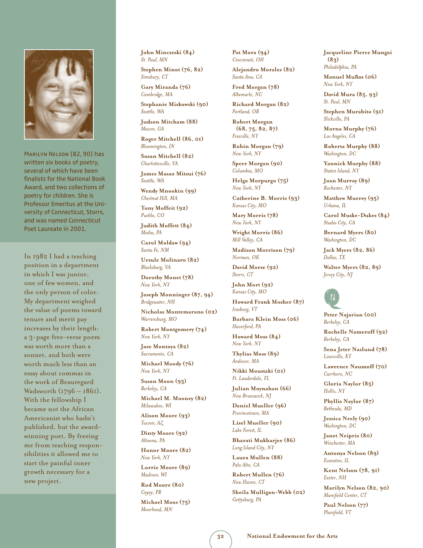

Marilyn Nelson (82, 90) has written six books of poetry, several of which have been finalists for the National Book Award, and two collections of poetry for children. She is Professor Emeritus at the University of Connecticut, Storrs, and was named Connecticut Poet Laureate in 2001.

In 1982 I had a teaching position in a department in which I was junior, one of few women, and the only person of color. My department weighed the value of poems toward tenure and merit pay increases by their length: a 3-page free-verse poem was worth more than a sonnet, and both were worth much less than an essay about commas in the work of Beauregard Wadsworth (1796 – 1861). With the fellowship I became not the African Americanist who hadn't published, but the awardwinning poet. By freeing me from teaching responsibilities it allowed me to start the painful inner growth necessary for a new project.

**John Minczeski (84)** *St. Paul, MN*

**Stephen Minot (76, 82)** *Simsbury, CT*

**Gary Miranda (76)** *Cambridge, MA*

**Stephanie Miskowski (90)** *Seattle, WA*

**Judson Mitcham (88)** *Macon, GA*

**Roger Mitchell (86, 01)** *Bloomington, IN*

**Susan Mitchell (82)** *Charlottesville, VA*

**James Masao Mitsui (76)** *Seattle, WA*

**Wendy Mnookin (99)** *Chestnut Hill, MA*

**Tony Moffeit (92)** *Pueblo, CO*

**Judith Moffett (84)** *Media, PA*

**Carol Moldaw (94)** *Santa Fe, NM*

**Ursule Molinaro (82)** *Blacksburg, VA*

**Dorothy Monet (78)** *New York, NY*

**Joseph Monninger (87, 94)** *Bridgewater, NH*

**Nicholas Montemarano (02)** *Warrensburg, MO*

**Robert Montgomery (74)** *New York, NY*

**Jose Montoya (82)** *Sacramento, CA*

**Michael Moody (76)** *New York, NY*

**Susan Moon (93)** *Berkeley, CA*

**Michael M. Mooney (82)** *Milwaukee, WI*

**Alison Moore (93)** *Tucson, AZ*

**Dinty Moore (92)** *Altoona, PA*

**Honor Moore (82)** *New York, NY*

**Lorrie Moore (89)** *Madison, WI*

**Rod Moore (80)** *Cayey, PR*

**Michael Moos (75)** *Moorhead, MN*

**Pat Mora (94)** *Cincinnati, OH*

**Alejandro Morales (82)** *Santa Ana, CA*

**Fred Morgan (78)** *Albemarle, NC*

**Richard Morgan (82)** *Portland, OR*

**Robert Morgan (68, 75, 82, 87)**  *Freeville, NY*

**Robin Morgan (79)** *New York, NY*

**Speer Morgan (90)** *Columbia, MO*

**Helga Morpurgo (75)** *New York, NY*

**Catherine B. Morris (93)** *Kansas City, MO*

**Mary Morris (78)** *New York, NY*

**Wright Morris (86)** *Mill Valley, CA*

**Madison Morrison (79)** *Norman, OK*

**David Morse (92)** *Storrs, CT*

**John Mort (92)** *Kansas City, MO*

**Howard Frank Mosher (87)** *Irasburg, VT*

**Barbara Klein Moss (06)** *Haverford, PA*

**Howard Moss (84)** *New York, NY*

**Thylias Moss (89)** *Andover, MA*

**Nikki Moustaki (01)** *Ft. Lauderdale, FL*

**Julian Moynahan (66)** *New Brunswick, NJ*

**Daniel Mueller (96)** *Provincetown, MA*

**Lisel Mueller (90)** *Lake Forest, IL*

**Bharati Mukharjee (86)** *Long Island City, NY*

**Laura Mullen (88)** *Palo Alto, CA*

**Robert Mullen (76)** *New Haven, CT*

**Sheila Mulligan-Webb (02)** *Gettysburg, PA*

**Jacqueline Pierce Mungai (83)** *Philadelphia, PA*

Manuel Muñoz (06) *New York, NY*

**David Mura (85, 93)** *St. Paul, MN*

**Stephen Murabito (91)** *Slickville, PA*

**Morna Murphy (76)** *Los Angeles, CA*

**Roberta Murphy (88)** *Washington, DC*

**Yannick Murphy (88)** *Staten Island, NY*

**Joan Murray (89)** *Rochester, NY*

**Matthew Murrey (95)** *Urbana, IL*

**Carol Muske-Dukes (84)** *Studio City, CA*

**Bernard Myers (80)** *Washington, DC*

**Jack Myers (82, 86)** *Dallas, TX*

**Walter Myers (82, 89)** *Jersey City, NJ* 



**Peter Najarian (00)** *Berkeley, CA*

**Rochelle Nameroff (92)** *Berkeley, CA*

**Sena Jeter Naslund (78)** *Louisville, KY*

**Lawrence Naumoff (70)** *Carrboro, NC*

**Gloria Naylor (85)** *Hollis, NY*

**Phyllis Naylor (87)** *Bethesda, MD*

**Jessica Neely (90)** *Washington, DC*

**Janet Neipris (80)** *Winchester, MA*

**Antonya Nelson (89)** *Evanston, IL*

**Kent Nelson (78, 91)** *Exeter, NH*

**Marilyn Nelson (82, 90)** *Mansfield Center, CT*

**Paul Nelson (77)** *Plainfield, VT*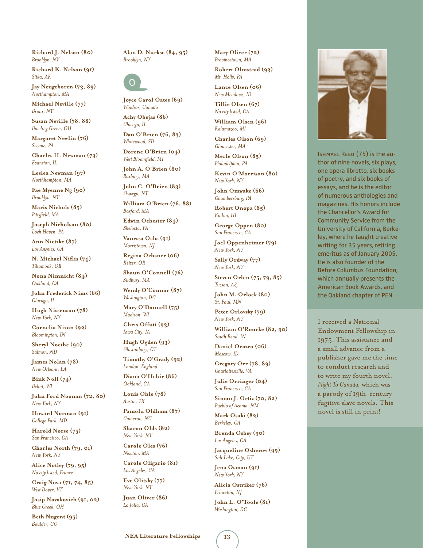**Richard J. Nelson (80)** *Brooklyn, NY*

**Richard K. Nelson (91)** *Sitka, AK*

**Jay Neugeboren (73, 89)** *Northampton, MA*

**Michael Neville (77)** *Bronx, NY*

**Susan Neville (78, 88)** *Bowling Green, OH*

**Margaret Newlin (76)** *Secane, PA*

**Charles H. Newman (73)** *Evanston, IL*

**Leslea Newman (97)** *Northhampton, MA*

**Fae Myenne Ng (90)** *Brooklyn, NY*

**Maris Nichols (85)** *Pittsfield, MA*

**Joseph Nicholson (80)** *Loch Haven, PA*

**Ann Nietzke (87)** *Los Angeles, CA*

**N. Michael Niflis (74)** *Tillamook, OR*

**Nona Nimnicht (84)** *Oakland, CA*

**John Frederick Nims (66)** *Chicago, IL*

**Hugh Nissenson (78)** *New York, NY*

**Cornelia Nixon (92)** *Bloomington, IN*

**Sheryl Noethe (90)** *Salmon, ND*

**James Nolan (78)** *New Orleans, LA*

**Bink Noll (74)** *Beloit, WI*

**John Ford Noonan (72, 80)** *New York, NY*

**Howard Norman (91)** *College Park, MD*

**Harold Norse (75)** *San Francisco, CA*

**Charles North (79, 01)** *New York, NY*

**Alice Notley (79, 95)** *No city listed, France*

**Craig Nova (71, 74, 85)** *West Dover, VT*

**Josip Novakovich (91, 02)** *Blue Creek, OH*

**Beth Nugent (95)** *Boulder, CO*

**Alan D. Nurkse (84, 95)** *Brooklyn, NY*



**Joyce Carol Oates (69)** *Windsor, Canada*

**Achy Obejas (86)** *Chicago, IL*

**Dan O'Brien (76, 83)** *Whitewood, SD*

**Dorene O'Brien (04)** *West Bloomfield, MI*

**John A. O'Brien (80)** *Roxbury, MA*

**John C. O'Brien (83)** *Oswego, NY*

**William O'Brien (76, 88)** *Boxford, MA*

**Edwin Ochester (84)** *Shelocta, PA*

**Vanessa Ochs (91)** *Morristown, NJ*

**Regina Ochsner (06)** *Keizer, OR*

**Shaun O'Connell (76)** *Sudbury, MA*

**Wendy O'Connor (87)** *Washington, DC*

**Mary O'Donnell (75)** *Madison, WI*

**Chris Offutt (93)** *Iowa City, IA*

**Hugh Ogden (93)** *Glastonbury, CT*

**Timothy O'Grady (92)** *London, England*

**Diana O'Hehir (86)** *Oakland, CA*

**Louis Ohle (78)** *Austin, TX*

**Pamolu Oldham (87)** *Cameron, NC*

**Sharon Olds (82)** *New York, NY*

**Carole Oles (76)** *Newton, MA*

**Carole Oligario (81)** *Los Angeles, CA*

**Eve Olitsky (77)** *New York, NY*

**Juan Oliver (86)** *La Jolla, CA*

**Mary Oliver (72)** *Provincetown, MA*

**Robert Olmstead (93)** *Mt. Holly, PA*

**Lance Olsen (06)** *New Meadows, ID*

**Tillie Olsen (67)** *No city listed, CA*

**William Olsen (96)** *Kalamazoo, MI*

**Charles Olson (69)** *Gloucester, MA* **Merle Olson (85)**

*Philadelphia, PA*

**Kevin O'Morrison (80)** *New York, NY*

**John Omwake (66)** *Chambersburg, PA*

**Robert Onopa (85)** *Kailua, HI*

**George Oppen (80)** *San Francisco, CA*

**Joel Oppenheimer (79)** *New York, NY*

**Sally Ordway (77)** *New York, NY*

**Steven Orlen (75, 79, 85)** *Tucson, AZ*

**John M. Orlock (80)** *St. Paul, MN*

**Peter Orlovsky (79)** *New York, NY*

**William O'Rourke (82, 90)** *South Bend, IN*

**Daniel Orozco (06)** *Moscow, ID*

**Gregory Orr (78, 89)** *Charlottesville, VA*

**Julie Orringer (04)** *San Francisco, CA*

**Simon J. Ortiz (70, 82)** *Pueblo of Acoma, NM*

**Mark Osaki (82)** *Berkeley, CA*

**Brenda Osbey (90)** *Los Angeles, CA*

**Jacqueline Osherow (99)** *Salt Lake, City, UT*

**Jena Osman (91)** *New York, NY*

**Alicia Ostriker (76)** *Princeton, NJ*

**John L. O'Toole (81)** *Washington, DC*



Ishmael Reed (75) is the author of nine novels, six plays, one opera libretto, six books of poetry, and six books of essays, and he is the editor of numerous anthologies and magazines. His honors include the Chancellor's Award for Community Service from the University of California, Berkeley, where he taught creative writing for 35 years, retiring emeritus as of January 2005. He is also founder of the Before Columbus Foundation, which annually presents the American Book Awards, and the Oakland chapter of PEN.

I received a National Endowment Fellowship in 1975. This assistance and a small advance from a publisher gave me the time to conduct research and to write my fourth novel, *Flight To Canada,* which was a parody of 19th-century fugitive slave novels. This novel is still in print!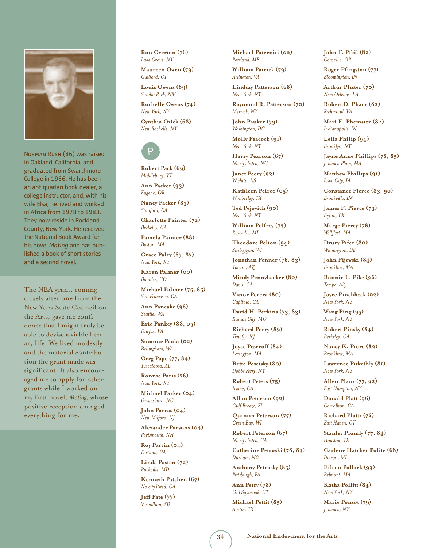

Norman Rush (86) was raised in Oakland, California, and graduated from Swarthmore College in 1956. He has been an antiquarian book dealer, a college instructor, and, with his wife Elsa, he lived and worked in Africa from 1978 to 1983. They now reside in Rockland County, New York. He received the National Book Award for his novel *Mating* and has published a book of short stories and a second novel.

The NEA grant, coming closely after one from the New York State Council on the Arts, gave me confidence that I might truly be able to devise a viable literary life. We lived modestly, and the material contribution the grant made was significant. It also encouraged me to apply for other grants while I worked on my first novel, *Mating,* whose positive reception changed everything for me.

**Ron Overton (76)** *Lake Grove, NY*

**Maureen Owen (79)** *Guilford, CT*

**Louis Owens (89)** *Sandia Park, NM*

**Rochelle Owens (74)** *New York, NY*

**Cynthia Ozick (68)** *New Rochelle, NY*



**Robert Pack (69)** *Middlebury, VT*

**Ann Packer (93)** *Eugene, OR*

**Nancy Packer (83)** *Stanford, CA*

**Charlotte Painter (72)** *Berkeley, CA*

**Pamela Painter (88)** *Boston, MA*

**Grace Paley (67, 87)** *New York, NY*

**Karen Palmer (00)** *Boulder, CO*

**Michael Palmer (75, 85)** *San Francisco, CA*

**Ann Pancake (96)** *Seattle, WA*

**Eric Pankey (88, 05)** *Fairfax, VA*

**Suzanne Paola (02)** *Bellingham, WA* **Greg Pape (77, 84)**

*Tuscaloosa, AL*

**Ronnie Paris (76)** *New York, NY*

**Michael Parker (04)** *Greensboro, NC*

**John Parras (04)** *New Milford, NJ*

**Alexander Parsons (04)** *Portsmouth, NH*

**Roy Parvin (04)** *Fortuna, CA*

**Linda Pasten (72)** *Rockville, MD*

**Kenneth Patchen (67)** *No city listed, CA*

**Jeff Pate (77)** *Vermillion, SD*

**Michael Paterniti (02)** *Portland, ME*

**William Patrick (79)** *Arlington, VA*

**Lindsay Patterson (68)** *New York, NY*

**Raymond R. Patterson (70)** *Merrick, NY*

**John Pauker (79)** *Washington, DC*

**Molly Peacock (91)** *New York, NY*

**Harry Pearson (67)** *No city listed, NC*

**Janet Peery (92)** *Wichita, KS*

**Kathleen Peirce (05)** *Wimberley, TX*

**Ted Pejovich (90)** *New York, NY*

**William Pelfrey (73)** *Roseville, MI*

**Theodore Pelton (94)** *Sheboygan, WI*

**Jonathan Penner (76, 83)** *Tucson, AZ*

**Mindy Pennybacker (80)** *Davis, CA*

**Victor Perera (80)** *Capitola, CA*

**David H. Perkins (73, 83)** *Kansas City, MO*

**Richard Perry (89)** *Tenafly, NJ*

**Joyce Peseroff (84)** *Lexington, MA*

**Bette Pesetsky (80)** *Dobbs Ferry, NY*

**Robert Peters (75)** *Irvine, CA*

**Allan Peterson (92)** *Gulf Breeze, FL*

**Quintin Peterson (77)** *Green Bay, WI*

**Robert Peterson (67)** *No city listed, CA*

**Catherine Petroski (78, 83)** *Durham, NC*

**Anthony Petrosky (85)** *Pittsburgh, PA*

**Ann Petry (78)** *Old Saybrook, CT*

**Michael Pettit (85)** *Austin, TX*

**John F. Pfeil (82)** *Corvallis, OR*

**Roger Pfingston (77)** *Bloomington, IN*

**Arthur Pfister (70)** *New Orleans, LA*

**Robert D. Pharr (82)** *Richmond, VA*

**Mari E. Phemster (82)** *Indianapolis, IN*

**Leila Philip (94)** *Brooklyn, NY*

**Jayne Anne Phillips (78, 85)** *Jamaica Plain, MA*

**Matthew Phillips (91)** *Iowa City, IA*

**Constance Pierce (83, 90)** *Brookville, IN*

**James F. Pierce (73)** *Bryan, TX*

**Marge Piercy (78)** *Wellfleet, MA*

**Drury Pifer (80)** *Wilmington, DE*

**John Pijewski (84)** *Brookline, MA*

**Bonnie L. Pike (96)** *Tempe, AZ*

**Joyce Pinchbeck (92)** *New York, NY*

**Wang Ping (95)** *New York, NY*

**Robert Pinsky (84)** *Berkeley, CA*

**Nancy K. Piore (82)** *Brookline, MA*

**Lawrence Pitkethly (81)** *New York, NY*

**Allen Planz (77, 92)** *East Hampton, NY*

**Donald Platt (96)** *Carrollton, GA*

**Richard Plattz (76)** *East Haven, CT*

**Stanley Plumly (77, 84)** *Houston, TX*

**Carlene Hatcher Polite (68)** *Detroit, MI*

**Eileen Pollack (93)** *Belmont, MA*

**Katha Pollitt (84)** *New York, NY*

**Marie Ponsot (79)** *Jamaica, NY*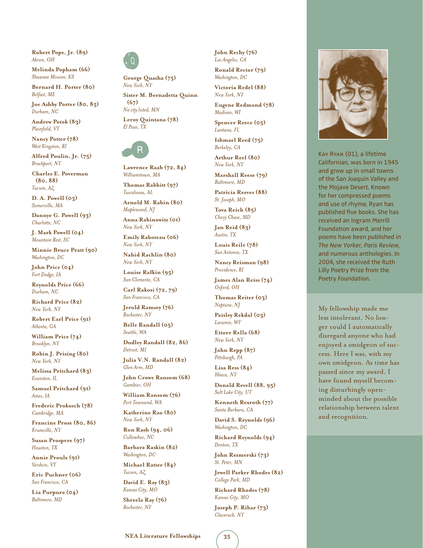**Robert Pope, Jr. (89)** *Akron, OH*

**Melinda Popham (66)** *Shawnee Mission, KS*

**Bernard H. Porter (80)** *Belfast, ME*

**Joe Ashby Porter (80, 85)** *Durham, NC*

**Andrew Potok (83)** *Plainfield, VT*

**Nancy Potter (78)** *West Kingston, RI*

**Alfred Poulin, Jr. (75)** *Brockport, NY*

**Charles E. Poverman (80, 88)** *Tucson, AZ*

**D. A. Powell (03)** *Somerville, MA*

**Dannye G. Powell (93)** *Charlotte, NC*

**J. Mark Powell (04)** *Mountain Rest, SC*

**Minnie Bruce Pratt (90)** *Washington, DC*

**John Price (04)** *Fort Dodge, IA*

**Reynolds Price (66)** *Durham, NC*

**Richard Price (82)** *New York, NY*

**Robert Earl Price (91)** *Atlanta, GA*

**William Price (74)** *Brooklyn, NY*

**Robin J. Prising (80)** *New York, NY*

**Melissa Pritchard (83)** *Evanston, IL*

**Samuel Pritchard (91)** *Ames, IA*

**Frederic Prokosch (78)** *Cambridge, MA*

**Francine Prose (80, 86)** *Krumville, NY*

**Susan Prospere (97)** *Houston, TX*

**Annie Proulx (91)** *Vershire, VT*

**Eric Puchner (06)** *San Francisco, CA*

**Lia Purpura (04)** *Baltimore, MD* 



**George Quasha (75)** *New York, NY* **Sister M. Bernadetta Quinn (67)** *No city listed, MN*

**Leroy Quintana (78)** *El Paso, TX* 



**Lawrence Raab (72, 84)** *Williamstown, MA*

**Thomas Rabbitt (97)** *Tuscaloosa, AL*

**Arnold M. Rabin (80)** *Maplewood, NJ*

**Anna Rabinowitz (01)** *New York, NY*

**Emily Raboteau (06)** *New York, NY*

**Nahid Rachlin (80)** *New York, NY*

**Louise Rafkin (95)** *San Clemente, CA*

**Carl Rakosi (72, 79)** *San Francisco, CA*

**Jerold Ramsey (76)** *Rochester, NY*

**Belle Randall (05)** *Seattle, WA*

**Dudley Randall (82, 86)** *Detroit, MI*

**Julia V.N. Randall (82)** *Glen Arm, MD*

**John Crowe Ransom (68)** *Gambier, OH*

**William Ransom (76)** *Port Townsend, WA*

**Katherine Rao (80)** *New York, NY*

**Ron Rash (94, 06)** *Cullowhee, NC*

**Barbara Raskin (82)** *Washington, DC*

**Michael Rattee (84)** *Tucson, AZ*

**David E. Ray (83)** *Kansas City, MO* **Shreela Ray (76)**

*Rochester, NY*

**John Rechy (76)** *Los Angeles, CA*

**Ronald Rector (79)** *Washington, DC*

**Victoria Redel (88)** *New York, NY*

**Eugene Redmond (78)** *Madison, WI*

**Spencer Reece (05)** *Lantana, FL*

**Ishmael Reed (75)** *Berkeley, CA*

**Arthur Reel (80)** *New York, NY*

**Marshall Reese (79)** *Baltimore, MD*

**Patricia Reeves (88)** *St. Joseph, MO*

**Tova Reich (85)** *Chevy Chase, MD*

**Jan Reid (83)** *Austin, TX*

**Louis Reile (78)** *San Antonio, TX*

**Nancy Reisman (98)** *Providence, RI*

**James Alan Reiss (74)** *Oxford, OH*

**Thomas Reiter (03)** *Neptune, NJ*

**Paisley Rekdal (03)** *Laramie, WY*

**Ettore Rella (68)** *New York, NY*

**John Repp (87)** *Pittsburgh, PA*

**Lisa Ress (84)** *Ithaca, NY*

**Donald Revell (88, 95)** *Salt Lake City, UT*

**Kenneth Rexroth (77)** *Santa Barbara, CA*

**David S. Reynolds (96)** *Washington, DC*

**Richard Reynolds (94)** *Denton, TX* **John Rezmerski (73)**

*St. Peter, MN*

**Jewell Parker Rhodes (82)** *College Park, MD*

**Richard Rhodes (78)** *Kansas City, MO*

**Joseph P. Ribar (73)** *Claverack, NY*



Kay Ryan (01), a lifetime Californian, was born in 1945 and grew up in small towns of the San Joaquin Valley and the Mojave Desert. Known for her compressed poems and use of rhyme, Ryan has published five books. She has received an Ingram Merrill Foundation award, and her poems have been published in *The New Yorker, Paris Review,*  and numerous anthologies. In 2004, she received the Ruth Lilly Poetry Prize from the Poetry Foundation.

My fellowship made me less intolerant. No longer could I automatically disregard anyone who had enjoyed a smidgeon of success. Here I was, with my own smidgeon. As time has passed since my award, I have found myself becoming disturbingly openminded about the possible relationship between talent and recognition.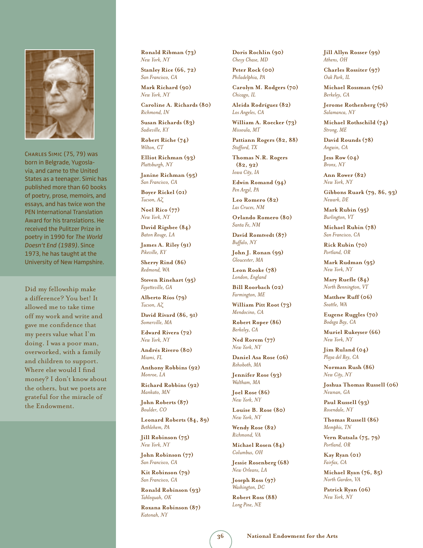

Charles Simic (75, 79) was born in Belgrade, Yugoslavia, and came to the United States as a teenager. Simic has published more than 60 books of poetry, prose, memoirs, and essays, and has twice won the PEN International Translation Award for his translations. He received the Pulitzer Prize in poetry in 1990 for *The World Doesn't End (1989)*. Since 1973, he has taught at the University of New Hampshire.

Did my fellowship make a difference? You bet! It allowed me to take time off my work and write and gave me confidence that my peers value what I'm doing. I was a poor man, overworked, with a family and children to support. Where else would I find money? I don't know about the others, but we poets are grateful for the miracle of the Endowment.

**Ronald Ribman (73)** *New York, NY*

**Stanley Rice (66, 72)** *San Francisco, CA*

**Mark Richard (90)** *New York, NY*

**Caroline A. Richards (80)** *Richmond, IN*

**Susan Richards (83)** *Sadieville, KY*

**Robert Riche (74)** *Wilton, CT*

**Elliot Richman (93)** *Plattsburgh, NY*

**Janine Richman (95)** *San Francisco, CA*

**Boyer Rickel (01)** *Tucson, AZ*

**Noel Rico (77)** *New York, NY*

**David Rigsbee (84)** *Baton Rouge, LA*

**James A. Riley (91)** *Pikeville, KY*

**Sherry Rind (86)** *Redmond, WA*

**Steven Rinehart (95)** *Fayetteville, GA*

**Alberto Ríos (79)** *Tucson, AZ*

**David Rivard (86, 91)** *Somerville, MA*

**Edward Rivera (72)** *New York, NY*

**Andrés Rivero (80)** *Miami, FL*

**Anthony Robbins (92)** *Monroe, LA*

**Richard Robbins (92)** *Mankato, MN*

**John Roberts (87)** *Boulder, CO*

**Leonard Roberts (84, 89)** *Bethlehem, PA*

**Jill Robinson (75)** *New York, NY*

**John Robinson (77)** *San Francisco, CA*

**Kit Robinson (79)** *San Francisco, CA*

**Ronald Robinson (93)** *Tahlequah, OK*

**Roxana Robinson (87)** *Katonah, NY*

**Doris Rochlin (90)** *Chevy Chase, MD*

**Peter Rock (00)** *Philadelphia, PA*

**Carolyn M. Rodgers (70)** *Chicago, IL*

**Aleida Rodríguez (82)** *Los Angeles, CA*

**William A. Roecker (73)** *Missoula, MT*

**Pattiann Rogers (82, 88)** *Stafford, TX*

**Thomas N.R. Rogers (82, 92)** *Iowa City, IA*

**Edwin Romand (94)** *Pen Argyl, PA*

**Leo Romero (82)** *Las Cruces, NM*

**Orlando Romero (80)** *Santa Fe, NM*

**David Romtvedt (87)** *Buffalo, NY*

**John J. Ronan (99)** *Gloucester, MA*

**Leon Rooke (78)** *London, England*

**Bill Roorbach (02)** *Farmington, ME*

**William Pitt Root (73)** *Mendocino, CA*

**Robert Roper (86)** *Berkeley, CA*

**Ned Rorem (77)** *New York, NY*

**Daniel Asa Rose (06)** *Rehoboth, MA*

**Jennifer Rose (93)** *Waltham, MA*

**Joel Rose (86)** *New York, NY*

**Louise B. Rose (80)** *New York, NY*

**Wendy Rose (82)** *Richmond, VA*

**Michael Rosen (84)** *Columbus, OH*

**Jessie Rosenberg (68)** *New Orleans, LA*

**Joseph Ross (97)** *Washington, DC*

**Robert Ross (88)** *Long Pine, NE*

**Jill Allyn Rosser (99)** *Athens, OH*

**Charles Rossiter (97)** *Oak Park, IL*

**Michael Rossman (76)** *Berkeley, CA*

**Jerome Rothenberg (76)** *Salamanca, NY*

**Michael Rothschild (74)** *Strong, ME*

**David Rounds (78)** *Angwin, CA*

**Jess Row (04)** *Bronx, NY*

**Ann Rower (82)** *New York, NY*

**Gibbons Ruark (79, 86, 93)** *Newark, DE*

**Mark Rubin (95)** *Burlington, VT*

**Michael Rubin (78)** *San Francisco, CA*

**Rick Rubin (70)** *Portland, OR*

**Mark Rudman (95)** *New York, NY*

**Mary Ruefle (84)** *North Bennington, VT*

**Matthew Ruff (06)** *Seattle, WA*

**Eugene Ruggles (70)** *Bodega Bay, CA*

**Muriel Rukeyser (66)** *New York, NY*

**Jim Ruland (04)** *Playa del Rey, CA*

**Norman Rush (86)** *New City, NY*

**Joshua Thomas Russell (06)** *Newnan, GA*

**Paul Russell (93)** *Rosendale, NY*

**Thomas Russell (86)** *Memphis, TN*

**Vern Rutsala (75, 79)** *Portland, OR*

**Kay Ryan (01)** *Fairfax, CA*

**Michael Ryan (76, 85)** *North Garden, VA*

**Patrick Ryan (06)** *New York, NY*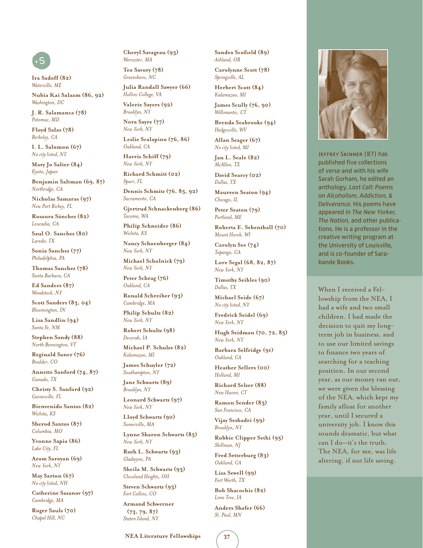## s

**Ira Sadoff (82)** *Waterville, ME*

**Nubia Kai Salaam (86, 92)** *Washington, DC*

**J. R. Salamanca (78)** *Potomac, MD*

**Floyd Salas (78)** *Berkeley, CA*

**I. L. Salomon (67)** *No city listed, NY*

**Mary Jo Salter (84)** *Kyoto, Japan*

**Benjamin Saltman (69, 87)** *Northridge, CA*

**Nicholas Samaras (97)** *New Port Richey, FL*

**Rosaura Sánchez (82)** *Leucadia, CA*

**Saul O. Sanchez (80)** *Laredo, TX*

**Sonia Sanchez (77)** *Philadelphia, PA*

**Thomas Sanchez (78)** *Santa Barbara, CA*

**Ed Sanders (87)** *Woodstock, NY*

**Scott Sanders (83, 04)** *Bloomington, IN*

**Lisa Sandlin (94)** *Santa Fe, NM*

**Stephen Sandy (88)** *North Bennington, VT*

**Reginald Saner (76)** *Boulder, CO*

**Annette Sanford (74, 87)** *Ganado, TX*

**Christy S. Sanford (92)** *Gainesville, FL*

**Bienvenido Santos (82)** *Wichita, KS*

**Sherod Santos (87)** *Columbia, MO*

**Yvonne Sapia (86)** *Lake City, FL*

**Aram Saroyan (69)** *New York, NY*

**May Sarton (67)** *No city listed, NH*

**Catherine Sasanov (97)** *Cambridge, MA*

**Roger Sauls (70)** *Chapel Hill, NC*

**Cheryl Savageau (93)** *Worcester, MA*

**Teo Savory (78)** *Greensboro, NC*

**Julia Randall Sawyer (66)** *Hollins College, VA* **Valerie Sayers (92)**

*Brooklyn, NY*

**Nora Sayre (77)** *New York, NY*

**Leslie Scalapino (76, 86)** *Oakland, CA*

**Harris Schiff (79)** *New York, NY*

**Richard Schmitt (02)**

*Sparr, FL* **Dennis Schmitz (76, 85, 92)** 

*Sacramento, CA*

**Gjertrud Schnackenberg (86)** *Tacoma, WA*

**Philip Schneider (86)** *Wichita, KS*

**Nancy Schoenberger (84)** *New York, NY*

**Michael Scholnick (79)** *New York, NY*

**Peter Schrag (76)** *Oakland, CA*

**Ronald Schreiber (93)** *Cambridge, MA*

**Philip Schultz (82)** *New York, NY*

**Robert Schultz (98)** *Decorah, IA*

**Michael P. Schulze (82)** *Kalamazoo, MI*

**James Schuyler (72)** *Southampton, NY*

**Jane Schwartz (89)** *Brooklyn, NY*

**Leonard Schwartz (97)** *New York, NY*

**Lloyd Schwartz (90)** *Somerville, MA*

**Lynne Sharon Schwartz (85)** *New York, NY*

**Ruth L. Schwartz (93)** *Gladwyne, PA*

**Sheila M. Schwartz (93)** *Cleveland Heights, OH*

**Steven Schwartz (93)** *Fort Collins, CO*

**Armand Schwerner (73, 79, 87)** *Staten Island, NY*

**Sandra Scofield (89)** *Ashland, OR*

**Carolynne Scott (78)** *Springville, AL* **Herbert Scott (84)**

*Kalamazoo, MI*

**James Scully (76, 90)** *Willimantic, CT*

**Brenda Seabrooke (94)** *Hedgesville, WV*

**Allan Seager (67)** *No city listed, MI*

**Jan L. Seale (82)** *McAllen, TX*

**David Searcy (02)** *Dallas, TX*

**Maureen Seaton (94)** *Chicago, IL*

**Peter Seaton (79)** *Portland, ME*

**Roberta E. Sebenthall (70)** *Mount Horeb, WI*

**Carolyn See (74)** *Topango, CA*

**Lore Segal (68, 82, 87)** *New York, NY*

**Timothy Seibles (90)** *Dallas, TX*

**Michael Seide (67)** *No city listed, NY*

**Fredrick Seidel (69)** *New York, NY*

**Hugh Seidman (70, 72, 85)**  *New York, NY*

**Barbara Selfridge (91)** *Oakland, CA*

**Heather Sellers (00)** *Holland, MI*

**Richard Selzer (88)** *New Haven, CT*

**Ramon Sender (83)** *San Francisco, CA*

**Vijay Seshadri (99)** *Brooklyn, NY*

**Robbie Clipper Sethi (95)** *Skillman, NJ*

**Fred Setterburg (83)** *Oakland, CA*

**Lisa Sewell (99)** *Fort Worth, TX*

**Bob Shacochis (82)** *Lone Tree, IA*

**Anders Shafer (66)** *St. Paul, MN*



Jeffrey Skinner (87) has published five collections of verse and with his wife Sarah Gorham, he edited an anthology, *Last Call: Poems on Alcoholism, Addiction, & Deliverance.* His poems have appeared in *The New Yorker, The Nation,* and other publications. He is a professor in the creative writing program at the University of Louisville, and is co-founder of Sarabande Books.

When I received a Fellowship from the NEA, I had a wife and two small children. I had made the decision to quit my longterm job in business, and to use our limited savings to finance two years of searching for a teaching position. In our second year, as our money ran out, we were given the blessing of the NEA, which kept my family afloat for another year, until I secured a university job. I know this sounds dramatic, but what can I do—it's the truth. The NEA, for me, was life altering, if not life saving.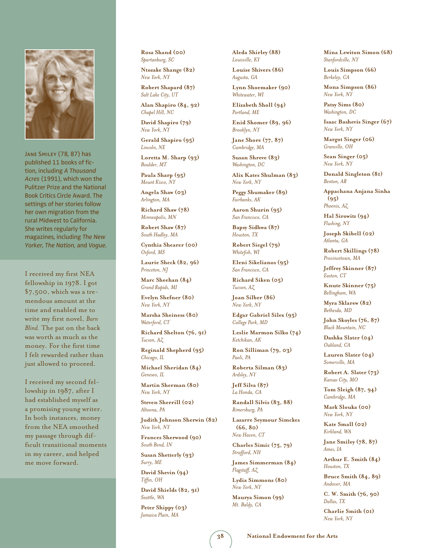

Jane Smiley (78, 87) has published 11 books of fiction, including *A Thousand Acres* (1991), which won the Pulitzer Prize and the National Book Critics Circle Award. The settings of her stories follow her own migration from the rural Midwest to California. She writes regularly for magazines, including *The New Yorker, The Nation,* and *Vogue.*

I received my first NEA fellowship in 1978. I got \$7,500, which was a tremendous amount at the time and enabled me to write my first novel, *Barn Blind.* The pat on the back was worth as much as the money. For the first time I felt rewarded rather than just allowed to proceed.

I received my second fellowship in 1987, after I had established myself as a promising young writer. In both instances, money from the NEA smoothed my passage through difficult transitional moments in my career, and helped me move forward.

**Rosa Shand (00)** *Spartanburg, SC*

**Ntozake Shange (82)** *New York, NY* **Robert Shapard (87)**

*Salt Lake City, UT*

**Alan Shapiro (84, 92)** *Chapel Hill, NC*

**David Shapiro (79)** *New York, NY*

**Gerald Shapiro (95)** *Lincoln, NE*

**Loretta M. Sharp (93)** *Boulder, MT*

**Paula Sharp (95)** *Mount Kisco, NY*

**Angela Shaw (03)** *Arlington, MA*

**Richard Shaw (78)** *Minneapolis, MN*

**Robert Shaw (87)** *South Hadley, MA*

**Cynthia Shearer (00)** *Oxford, MS*

**Laurie Sheck (82, 96)** *Princeton, NJ*

**Marc Sheehan (84)** *Grand Rapids, MI*

**Evelyn Shefner (80)** *New York, NY*

**Marsha Sheiness (80)** *Waterford, CT*

**Richard Shelton (76, 91)** *Tucson, AZ*

**Reginald Shepherd (95)** *Chicago, IL*

**Michael Sheridan (84)** *Geneseo, IL*

**Martin Sherman (80)** *New York, NY*

**Steven Sherrill (02)** *Altoona, PA*

**Judith Johnson Sherwin (82)** *New York, NY*

**Frances Sherwood (90)** *South Bend, IN*

**Susan Shetterly (93)** *Surry, ME*

**David Shevin (94)** *Tiffin, OH*

**David Shields (82, 91)** *Seattle, WA*

**Peter Shippy (03)** *Jamaica Plain, MA*

**Aleda Shirley (88)** *Louisville, KY*

**Louise Shivers (86)** *Augusta, GA*

**Lynn Shoemaker (90)** *Whitewater, WI*

**Elizabeth Sholl (94)** *Portland, ME*

**Enid Shomer (89, 96)** *Brooklyn, NY*

**Jane Shore (77, 87)** *Cambridge, MA*

**Susan Shreve (83)** *Washington, DC*

**Alix Kates Shulman (83)** *New York, NY*

**Peggy Shumaker (89)** *Fairbanks, AK*

**Aaron Shurin (95)** *San Francisco, CA*

**Bapsy Sidhwa (87)** *Houston, TX*

**Robert Siegel (79)** *Whitefish, WI*

**Eleni Sikelianos (95)** *San Francisco, CA*

**Richard Siken (05)** *Tucson, AZ*

**Joan Silber (86)** *New York, NY*

**Edgar Gabriel Silex (95)** *College Park, MD*

**Leslie Marmon Silko (74)** *Ketchikan, AK*

**Ron Silliman (79, 03)** *Paoli, PA*

**Roberta Silman (83)** *Ardsley, NY*

**Jeff Silva (87)** *La Honda, CA*

**Randall Silvis (83, 88)** *Rimersburg, PA*

**Lazarre Seymour Simckes (66, 80)** *New Haven, CT*

**Charles Simic (75, 79)** *Strafford, NH*

**James Simmerman (84)** *Flagstaff, AZ*

**Lydia Simmons (80)** *New York, NY*

**Maurya Simon (99)** *Mt. Baldy, CA*

**Mina Lewiton Simon (68)** *Stanfordville, NY*

**Louis Simpson (66)** *Berkeley, CA*

**Mona Simpson (86)** *New York, NY*

**Patsy Sims (80)** *Washington, DC*

**Isaac Bashevis Singer (67)** *New York, NY*

**Margot Singer (06)** *Granville, OH*

**Sean Singer (05)** *New York, NY*

**Donald Singleton (81)** *Benton, AR*

**Appachana Anjana Sinha (95)** *Phoenix, AZ*

**Hal Sirowitz (94)** *Flushing, NY*

**Joseph Skibell (02)** *Atlanta, GA*

**Robert Skillings (78)** *Provincetown, MA*

**Jeffrey Skinner (87)** *Easton, CT*

**Knute Skinner (75)** *Bellingham, WA*

**Myra Sklarew (82)** *Bethesda, MD*

**John Skoyles (76, 87)** *Black Mountain, NC*

**Dashka Slater (04)** *Oakland, CA*

**Lauren Slater (04)** *Somerville, MA*

**Robert A. Slater (73)** *Kansas City, MO*

**Tom Sleigh (87, 94)** *Cambridge, MA*

**Mark Slouka (00)** *New York, NY*

**Kate Small (02)** *Kirkland, WA*

**Jane Smiley (78, 87)** *Ames, IA*

**Arthur E. Smith (84)** *Houston, TX*

**Bruce Smith (84, 89)** *Andover, MA*

**C. W. Smith (76, 90)** *Dallas, TX*

**Charlie Smith (01)** *New York, NY*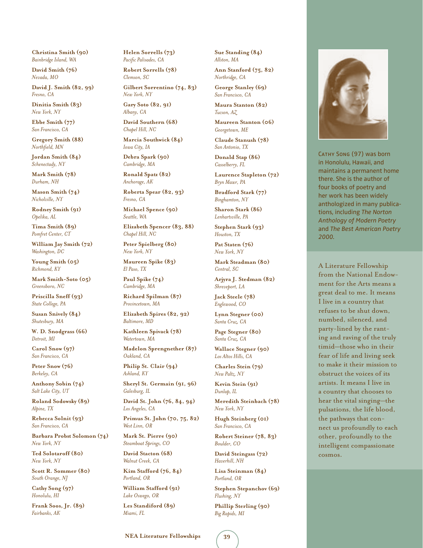**Christina Smith (90)** *Bainbridge Island, WA*

**David Smith (76)** *Nevada, MO*

**David J. Smith (82, 99)** *Fresno, CA*

**Dinitia Smith (83)** *New York, NY*

**Ebbe Smith (77)** *San Francisco, CA*

**Gregory Smith (88)** *Northfield, MN*

**Jordan Smith (84)** *Schenectady, NY*

**Mark Smith (78)** *Durham, NH*

**Mason Smith (74)** *Nicholville, NY*

**Rodney Smith (91)** *Opelika, AL*

**Tima Smith (89)** *Pomfret Center, CT*

**William Jay Smith (72)** *Washington, DC*

**Young Smith (05)** *Richmond, KY*

**Mark Smith-Soto (05)** *Greensboro, NC*

**Priscilla Sneff (93)** *State College, PA*

**Susan Snively (84)** *Shutesbury, MA*

**W. D. Snodgrass (66)** *Detroit, MI*

**Carol Snow (97)** *San Francisco, CA*

**Peter Snow (76)** *Berkeley, CA*

**Anthony Sobin (74)** *Salt Lake City, UT*

**Roland Sodowsky (89)** *Alpine, TX*

**Rebecca Solnit (93)** *San Francisco, CA*

**Barbara Probst Solomon (74)** *New York, NY*

**Ted Solotaroff (80)** *New York, NY*

**Scott R. Sommer (80)** *South Orange, NJ*

**Cathy Song (97)** *Honolulu, HI*

**Frank Soos, Jr. (89)** *Fairbanks, AK*

**Helen Sorrells (73)** *Pacific Palisades, CA*

**Robert Sorrells (78)** *Clemson, SC*

**Gilbert Sorrentino (74, 83)** *New York, NY* **Gary Soto (82, 91)**

**David Southern (68)** *Chapel Hill, NC*

*Albany, CA*

**Marcia Southwick (84)** *Iowa City, IA*

**Debra Spark (90)** *Cambridge, MA*

**Ronald Spatz (82)** *Anchorage, AK*

**Roberta Spear (82, 93)** *Fresno, CA*

**Michael Spence (90)** *Seattle, WA*

**Elizabeth Spencer (83, 88)** *Chapel Hill, NC*

**Peter Spielberg (80)** *New York, NY*

**Maureen Spike (83)** *El Paso, TX*

**Paul Spike (74)** *Cambridge, MA*

**Richard Spilman (87)** *Provincetown, MA*

**Elizabeth Spires (82, 92)** *Baltimore, MD*

**Kathleen Spivack (78)** *Watertown, MA*

**Madelon Sprengnether (87)** *Oakland, CA*

**Philip St. Clair (94)** *Ashland, KY*

**Sheryl St. Germain (91, 96)** *Galesburg, IL*

**David St. John (76, 84, 94)**  *Los Angeles, CA*

**Primus St. John (70, 75, 82)**  *West Linn, OR*

**Mark St. Pierre (90)** *Steamboat Springs, CO*

**David Stacton (68)** *Walnut Creek, CA*

**Kim Stafford (76, 84)** *Portland, OR*

**William Stafford (91)** *Lake Oswego, OR*

**Les Standiford (89)** *Miami, FL*

**Sue Standing (84)** *Allston, MA*

**Ann Stanford (75, 82)** *Northridge, CA* **George Stanley (69)**

*San Francisco, CA*

**Maura Stanton (82)** *Tucson, AZ*

**Maureen Stanton (06)** *Georgetown, ME*

**Claude Stanush (78)** *San Antonio, TX*

**Donald Stap (86)** *Casselberry, FL*

**Laurence Stapleton (72)** *Bryn Mawr, PA*

**Bradford Stark (77)** *Binghamton, NY*

**Sharon Stark (86)** *Lenhartsville, PA*

**Stephen Stark (93)** *Houston, TX* **Pat Staten (76)**

*New York, NY*

**Mark Steadman (80)** *Central, SC*

**Arjyra J. Stedman (82)** *Shreveport, LA*

**Jack Steele (78)** *Englewood, CO*

**Lynn Stegner (00)** *Santa Cruz, CA*

**Page Stegner (80)** *Santa Cruz, CA*

**Wallace Stegner (90)** *Los Altos Hills, CA*

**Charles Stein (79)** *New Paltz, NY*

**Kevin Stein (91)** *Dunlap, IL*

**Meredith Steinbach (78)** *New York, NY*

**Hugh Steinberg (01)** *San Francisco, CA*

**Robert Steiner (78, 83)** *Boulder, CO*

**David Steingass (72)** *Haverhill, NH*

**Lisa Steinman (84)** *Portland, OR*

**Stephen Stepanchov (69)** *Flushing, NY*

**Phillip Sterling (90)** *Big Rapids, MI*



CATHY SONG (97) was born in Honolulu, Hawaii, and maintains a permanent home there. She is the author of four books of poetry and her work has been widely anthologized in many publications, including *The Norton Anthology of Modern Poetry* and *The Best American Poetry 2000.*

A Literature Fellowship from the National Endowment for the Arts means a great deal to me. It means I live in a country that refuses to be shut down, numbed, silenced, and party-lined by the ranting and raving of the truly timid—those who in their fear of life and living seek to make it their mission to obstruct the voices of its artists. It means I live in a country that chooses to hear the vital singing—the pulsations, the life blood, the pathways that connect us profoundly to each other, profoundly to the intelligent compassionate cosmos.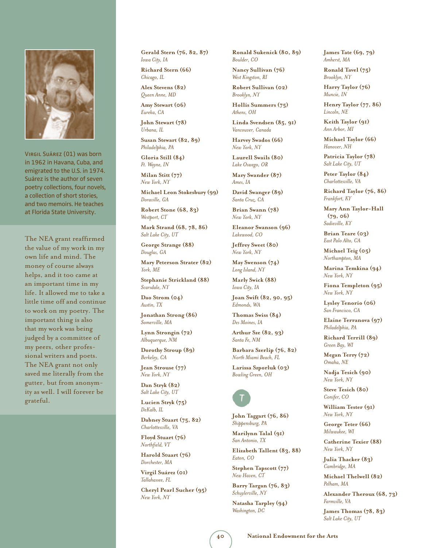

Virgil Suárez (01) was born in 1962 in Havana, Cuba, and emigrated to the U.S. in 1974. Suárez is the author of seven poetry collections, four novels, a collection of short stories, and two memoirs. He teaches at Florida State University.

The NEA grant reaffirmed the value of my work in my own life and mind. The money of course always helps, and it too came at an important time in my life. It allowed me to take a little time off and continue to work on my poetry. The important thing is also that my work was being judged by a committee of my peers, other professional writers and poets. The NEA grant not only saved me literally from the gutter, but from anonymity as well. I will forever be grateful.

**Gerald Stern (76, 82, 87)** *Iowa City, IA*

**Richard Stern (66)** *Chicago, IL*

**Alex Stevens (82)** *Queen Anne, MD*

**Amy Stewart (06)** *Eureka, CA*

**John Stewart (78)** *Urbana, IL*

**Susan Stewart (82, 89)** *Philadelphia, PA*

**Gloria Still (84)** *Ft. Wayne, IN*

**Milan Stitt (77)** *New York, NY*

**Michael Leon Stokesbury (99)** *Doraville, GA*

**Robert Stone (68, 83)** *Westport, CT*

**Mark Strand (68, 78, 86)** *Salt Lake City, UT*

**George Strange (88)** *Douglas, GA*

**Mary Peterson Strater (82)** *York, ME*

**Stephanie Strickland (88)** *Scarsdale, NY*

**Dao Strom (04)** *Austin, TX*

**Jonathan Strong (86)** *Somerville, MA*

**Lynn Strongin (72)** *Albuquerque, NM*

**Dorothy Stroup (89)** *Berkeley, CA*

**Jean Strouse (77)** *New York, NY*

**Dan Stryk (82)** *Salt Lake City, UT*

**Lucien Stryk (75)** *DeKalb, IL*

**Dabney Stuart (75, 82)** *Charlottesville, VA*

**Floyd Stuart (76)** *Northfield, VT*

**Harold Stuart (76)** *Dorchester, MA*

**Virgil Suárez (01)** *Tallahassee, FL*

**Cheryl Pearl Sucher (95)** *New York, NY*

**Ronald Sukenick (80, 89)** *Boulder, CO*

**Nancy Sullivan (76)** *West Kingston, RI*

**Robert Sullivan (02)** *Brooklyn, NY*

**Hollis Summers (75)** *Athens, OH*

**Linda Svendsen (85, 91)** *Vancouver, Canada*

**Harvey Swados (66)** *New York, NY*

**Laurell Swails (80)** *Lake Oswego, OR*

**Mary Swander (87)** *Ames, IA*

**David Swanger (89)** *Santa Cruz, CA*

**Brian Swann (78)** *New York, NY*

**Eleanor Swanson (96)** *Lakewood, CO*

**Jeffrey Sweet (80)** *New York, NY*

**May Swenson (74)** *Long Island, NY*

**Marly Swick (88)** *Iowa City, IA*

**Joan Swift (82, 90, 95)** *Edmonds, WA*

**Thomas Swiss (84)** *Des Moines, IA*

**Arthur Sze (82, 93)** *Santa Fe, NM*

**Barbara Szerlip (76, 82)** *North Miami Beach, FL*

**Larissa Szporluk (03)** *Bowling Green, OH* 

## O

**John Taggart (76, 86)** *Shippensburg, PA*

**Marilynn Talal (91)** *San Antonio, TX*

**Elizabeth Tallent (83, 88)** *Eaton, CO*

**Stephen Tapscott (77)** *New Haven, CT*

**Barry Targan (76, 83)** *Schuylerville, NY*

**Natasha Tarpley (94)** *Washington, DC*

**James Tate (69, 79)** *Amherst, MA*

**Ronald Tavel (75)** *Brooklyn, NY*

**Harry Taylor (76)** *Muncie, IN*

**Henry Taylor (77, 86)** *Lincoln, NE*

**Keith Taylor (91)** *Ann Arbor, MI*

**Michael Taylor (66)** *Hanover, NH*

**Patricia Taylor (78)** *Salt Lake City, UT*

**Peter Taylor (84)** *Charlottesville, VA*

**Richard Taylor (76, 86)** *Frankfort, KY*

**Mary Ann Taylor-Hall (79, 06)** *Sadieville, KY*

**Brian Teare (03)** *East Palo Alto, CA*

**Michael Teig (05)** *Northampton, MA*

**Marina Temkina (94)** *New York, NY*

**Fiona Templeton (95)** *New York, NY*

**Lysley Tenorio (06)** *San Francisco, CA*

**Elaine Terranova (97)** *Philadelphia, PA*

**Richard Terrill (89)** *Green Bay, WI*

**Megan Terry (72)** *Omaha, NE*

**Nadja Tesich (90)** *New York, NY*

**Steve Tesich (80)** *Conifer, CO*

**William Tester (91)** *New York, NY*

**George Teter (66)** *Milwaukee, WI*

**Catherine Texier (88)** *New York, NY*

**Julia Thacker (83)** *Cambridge, MA*

**Michael Thelwell (82)** *Pelham, MA*

**Alexander Theroux (68, 73)** *Farmville, VA*

**James Thomas (78, 83)** *Salt Lake City, UT*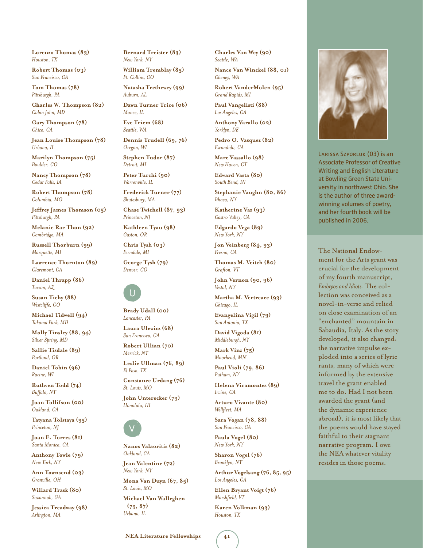**Lorenzo Thomas (83)** *Houston, TX*

**Robert Thomas (03)** *San Francisco, CA*

**Tom Thomas (78)** *Pittsburgh, PA*

**Charles W. Thompson (82)** *Cabin John, MD*

**Gary Thompson (78)** *Chico, CA*

**Jean Louise Thompson (78)** *Urbana, IL*

**Marilyn Thompson (75)** *Boulder, CO*

**Nancy Thompson (78)** *Cedar Falls, IA*

**Robert Thompson (78)** *Columbia, MO*

**Jeffrey James Thomson (05)** *Pittsburgh, PA*

**Melanie Rae Thon (92)** *Cambridge, MA*

**Russell Thorburn (99)** *Marquette, MI*

**Lawrence Thornton (89)** *Claremont, CA*

**Daniel Thrapp (86)** *Tucson, AZ*

**Susan Tichy (88)** *Westcliffe, CO*

**Michael Tidwell (94)** *Takoma Park, MD*

**Molly Tinsley (88, 94)** *Silver Spring, MD*

**Sallie Tisdale (89)** *Portland, OR*

**Daniel Tobin (96)** *Racine, WI*

**Ruthven Todd (74)** *Buffalo, NY*

**Joan Tollifson (00)** *Oakland, CA*

**Tatyana Tolstaya (95)** *Princeton, NJ*

**Joan E. Torres (81)** *Santa Monica, CA*

**Anthony Towle (79)** *New York, NY*

**Ann Townsend (03)** *Granville, OH*

**Willard Trask (80)** *Savannah, GA*

**Jessica Treadway (98)** *Arlington, MA*

**Bernard Treister (83)** *New York, NY*

**William Tremblay (85)** *Ft. Collins, CO*

**Natasha Trethewey (99)** *Auburn, AL*

**Dawn Turner Trice (06)** *Monee, IL*

**Eve Triem (68)** *Seattle, WA*

**Dennis Trudell (69, 76)** *Oregon, WI*

**Stephen Tudor (87)** *Detroit, MI*

**Peter Turchi (90)** *Warrenville, IL*

**Frederick Turner (77)** *Shutesbury, MA*

**Chase Twichell (87, 93)** *Princeton, NJ*

**Kathleen Tyau (98)** *Gaston, OR*

**Chris Tysh (03)** *Ferndale, MI*

**George Tysh (79)** *Denver, CO*



**Brady Udall (00)** *Lancaster, PA*

**Laura Ulewicz (68)** *San Francisco, CA*

**Robert Ullian (70)** *Merrick, NY*

**Leslie Ullman (76, 89)** *El Paso, TX*

**Constance Urdang (76)** *St. Louis, MO*

**John Unterecker (79)** *Honolulu, HI* 



**Nanos Valaoritis (82)** *Oakland, CA*

**Jean Valentine (72)** *New York, NY*

**Mona Van Duyn (67, 85)** *St. Louis, MO*

**Michael Van Walleghen (79, 87)** *Urbana, IL*

**NEA Literature Fellowships 41**

**Charles Van Wey (90)** *Seattle, WA*

**Nance Van Winckel (88, 01)** *Cheney, WA*

**Robert VanderMolen (95)** *Grand Rapids, MI*

**Paul Vangelisti (88)** *Los Angeles, CA*

**Anthony Varallo (02)** *Yorklyn, DE*

**Pedro O. Vasquez (82)** *Escondido, CA*

**Marc Vassallo (98)** *New Haven, CT*

**Edward Vasta (80)** *South Bend, IN*

**Stephanie Vaughn (80, 86)** *Ithaca, NY*

**Katherine Vaz (93)** *Castro Valley, CA*

**Edgardo Vega (89)** *New York, NY*

**Jon Veinberg (84, 93)** *Fresno, CA*

**Thomas M. Veitch (80)** *Grafton, VT*

**John Vernon (90, 96)** *Vestal, NY*

**Martha M. Vertreace (93)** *Chicago, IL*

**Evangelina Vigil (79)** *San Antonio, TX*

**David Vigoda (81)** *Middleburgh, NY*

**Mark Vinz (75)** *Moorhead, MN*

**Paul Violi (79, 86)** *Putham, NY*

**Helena Viramontes (89)** *Irvine, CA*

**Arturo Vivante (80)** *Wellfleet, MA*

**Sara Vogan (78, 88)** *San Francisco, CA*

**Paula Vogel (80)** *New York, NY*

**Sharon Vogel (76)** *Brooklyn, NY*

**Arthur Vogelsang (76, 85, 95)**  *Los Angeles, CA*

**Ellen Bryant Voigt (76)** *Marshfield, VT*

**Karen Volkman (93)** *Houston, TX*



Larissa Szporluk (03) is an Associate Professor of Creative Writing and English Literature at Bowling Green State University in northwest Ohio. She is the author of three awardwinning volumes of poetry, and her fourth book will be published in 2006.

The National Endowment for the Arts grant was crucial for the development of my fourth manuscript, *Embryos and Idiots.* The collection was conceived as a novel-in-verse and relied on close examination of an "enchanted" mountain in Sabaudia, Italy. As the story developed, it also changed: the narrative impulse exploded into a series of lyric rants, many of which were informed by the extensive travel the grant enabled me to do. Had I not been awarded the grant (and the dynamic experience abroad), it is most likely that the poems would have stayed faithful to their stagnant narrative program. I owe the NEA whatever vitality resides in those poems.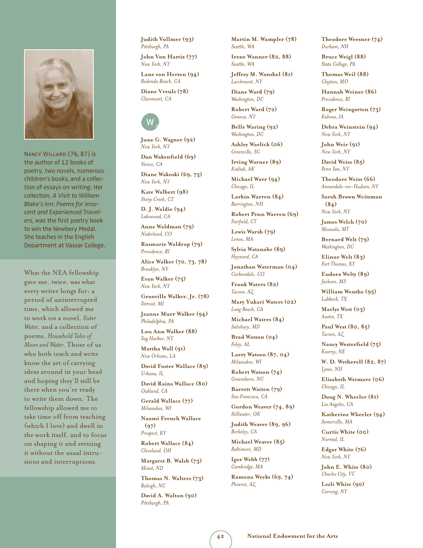

Nancy Willard (76, 87) is the author of 12 books of poetry, two novels, numerous children's books, and a collection of essays on writing. Her collection, *A Visit to William Blake's Inn: Poems for Innocent and Experienced Travelers,* was the first poetry book to win the Newbery Medal. She teaches in the English Department at Vassar College.

What the NEA fellowship gave me, twice, was what every writer longs for: a period of uninterrupted time, which allowed me to work on a novel, *Sister Water,* and a collection of poems, *Household Tales of Moon and Water.* Those of us who both teach and write know the art of carrying ideas around in your head and hoping they'll still be there when you're ready to write them down. The fellowship allowed me to take time off from teaching (which I love) and dwell in the work itself, and to focus on shaping it and revising it without the usual intrusions and interruptions.

**Judith Vollmer (93)** *Pittsburgh, PA*

**John Von Hartix (77)** *New York, NY*

**Lane von Herzen (94)** *Redondo Beach, CA*

**Diane Vreuls (78)** *Claremont, CA* 

## w

**June G. Wagner (92)** *New York, NY*

**Dan Wakenfield (69)** *Venice, CA*

**Diane Wakoski (69, 73)** *New York, NY*

**Kate Walbert (98)** *Stony Creek, CT*

**D. J. Waldie (94)** *Lakewood, CA*

**Anne Waldman (79)** *Nederland, CO*

**Rosmarie Waldrop (79)** *Providence, RI*

**Alice Walker (70, 73, 78)**  *Brooklyn, NY*

**Evan Walker (75)** *New York, NY*

**Granville Walker, Jr. (78)** *Detroit, MI*

**Jeanne Murr Walker (94)** *Philadelphia, PA*

**Lou Ann Walker (88)** *Sag Harbor, NY*

**Martha Wall (91)** *New Orleans, LA*

**David Foster Wallace (89)** *Urbana, IL*

**David Rains Wallace (80)** *Oakland, CA*

**Gerald Wallace (77)** *Milwaukee, WI*

**Naomi French Wallace (97)** *Prospect, KY*

**Robert Wallace (84)**

*Cleveland, OH*

**Margaret B. Walsh (73)** *Minot, ND*

**Thomas N. Walters (73)** *Raleigh, NC*

**David A. Walton (90)** *Pittsburgh, PA*

**Martin M. Wampler (78)** *Seattle, WA*

**Irene Wanner (82, 88)** *Seattle, WA*

**Jeffrey M. Wanshel (81)** *Larchmont, NY*

**Diane Ward (79)** *Washington, DC*

**Robert Ward (72)** *Geneva, NY*

**Belle Waring (92)** *Washington, DC*

**Ashley Warlick (06)** *Greenville, SC*

**Irving Warner (89)** *Kodiak, AK*

**Michael Warr (94)** *Chicago, IL*

**Larkin Warren (84)** *Barrington, NH*

**Robert Penn Warren (69)** *Fairfield, CT*

**Lewis Warsh (79)** *Lenox, MA*

**Sylvia Watanabe (89)** *Heyward, CA*

**Jonathan Waterman (04)** *Carbondale, CO*

**Frank Waters (82)** *Tucson, AZ*

**Mary Yukari Waters (02)** *Long Beach, CA*

**Michael Waters (84)** *Salisbury, MD*

**Brad Watson (04)** *Foley, AL*

**Larry Watson (87, 04)** *Milwaukee, WI*

**Robert Watson (74)** *Greensboro, NC*

**Barrett Watten (79)** *San Francisco, CA*

**Gordon Weaver (74, 89)** *Stillwater, OK*

**Judith Weaver (89, 96)** *Berkeley, CA*

**Michael Weaver (85)** *Baltimore, MD*

**Igor Webb (77)** *Cambridge, MA*

**Ramona Weeks (69, 74)** *Phoenix, AZ*

**Theodore Weesner (74)** *Durham, NH*

**Bruce Weigl (88)** *State College, PA*

**Thomas Weil (88)** *Clayton, MO*

**Hannah Weiner (86)** *Providence, RI*

**Roger Weingarten (73)** *Kalona, IA*

**Debra Weinstein (94)** *New York, NY*

**John Weir (91)** *New York, NY*

**David Weiss (85)** *Penn Yan, NY*

**Theodore Weiss (66)** *Annandale-on-Hudson, NY*

**Sarah Brown Weitzman (84)** *New York, NY*

**James Welch (70)** *Missoula, MT*

**Bernard Welt (79)** *Washington, DC*

**Elinor Welt (83)** *Fort Thomas, KY*

**Eudora Welty (89)** *Jackson, MS*

**William Wenthe (95)** *Lubbock, TX*

**Marlys West (03)** *Austin, TX*

**Paul West (80, 85)** *Tucson, AZ*

**Nancy Westerfield (75)** *Kearny, NE*

**W. D. Wetherell (82, 87)** *Lyme, NH*

**Elizabeth Wetmore (06)** *Chicago, IL*

**Doug N. Wheeler (81)** *Los Angeles, CA*

**Katherine Wheeler (94)** *Somerville, MA*

**Curtis White (00)** *Normal, IL*

**Edgar White (76)** *New York, NY*

**John E. White (80)** *Charles City, VT*

**Lezli White (90)** *Corning, NY*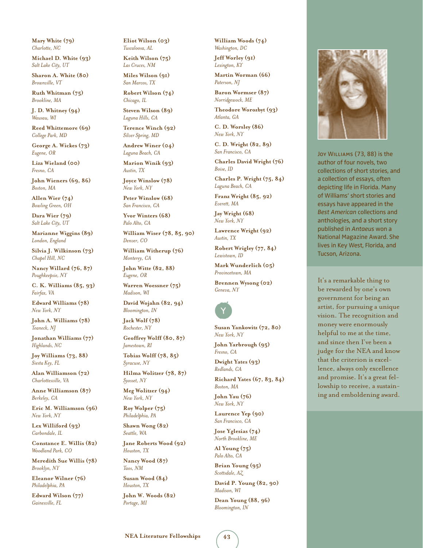**Mary White (79)** *Charlotte, NC*

**Michael D. White (93)** *Salt Lake City, UT*

**Sharon A. White (80)** *Brownville, VT*

**Ruth Whitman (75)** *Brookline, MA*

**J. D. Whitney (94)** *Wausau, WI*

**Reed Whittemore (69)** *College Park, MD*

**George A. Wickes (73)** *Eugene, OR*

**Liza Wieland (00)** *Fresno, CA*

**John Wieners (69, 86)** *Boston, MA*

**Allen Wier (74)** *Bowling Green, OH*

**Dara Wier (79)** *Salt Lake City, UT*

**Marianne Wiggins (89)** *London, England*

**Silvia J. Wilkinson (73)** *Chapel Hill, NC*

**Nancy Willard (76, 87)** *Poughkeepsie, NY*

**C. K. Williams (85, 93)** *Fairfax, VA*

**Edward Williams (78)** *New York, NY*

**John A. Williams (78)** *Teaneck, NJ*

**Jonathan Williams (77)** *Highlands, NC*

**Joy Williams (73, 88)** *Siesta Key, FL*

**Alan Williamson (72)** *Charlottesville, VA*

**Anne Williamson (87)** *Berkeley, CA*

**Eric M. Williamson (96)** *New York, NY*

**Lex Williford (93)** *Carbondale, IL*

**Constance E. Willis (82)** *Woodland Park, CO*

**Meredith Sue Willis (78)** *Brooklyn, NY*

**Eleanor Wilner (76)** *Philadelphia, PA*

**Edward Wilson (77)** *Gainesville, FL*

**Eliot Wilson (03)** *Tuscaloosa, AL*

**Keith Wilson (75)** *Las Cruces, NM*

**Miles Wilson (91)** *San Marcos, TX*

**Robert Wilson (74)** *Chicago, IL*

**Steven Wilson (89)** *Laguna Hills, CA*

**Terence Winch (92)** *Silver Spring, MD*

**Andrew Winer (04)** *Laguna Beach, CA*

**Marion Winik (93)** *Austin, TX*

**Joyce Winslow (78)** *New York, NY*

**Peter Winslow (68)** *San Francisco, CA*

**Yvor Winters (68)** *Palo Alto, CA*

**William Wiser (78, 85, 90)**  *Denver, CO*

**William Witherup (76)** *Monterey, CA*

**John Witte (82, 88)** *Eugene, OR*

**Warren Woessner (75)** *Madison, WI*

**David Wojahn (82, 94)** *Bloomington, IN*

**Jack Wolf (78)** *Rochester, NY*

**Geoffrey Wolff (80, 87)** *Jamestown, RI*

**Tobias Wolff (78, 85)** *Syracuse, NY*

**Hilma Wolitzer (78, 87)** *Syosset, NY*

**Meg Wolitzer (94)** *New York, NY*

**Roy Wolper (75)** *Philadelphia, PA*

**Shawn Wong (82)** *Seattle, WA*

**Jane Roberts Wood (92)** *Houston, TX*

**Nancy Wood (87)** *Taos, NM*

**Susan Wood (84)** *Houston, TX*

**John W. Woods (82)** *Portage, MI*

**William Woods (74)** *Washington, DC*

**Jeff Worley (91)** *Lexington, KY*

**Martin Worman (66)** *Paterson, NJ*

**Baron Wormser (87)** *Norridgewock, ME*

**Theodore Worozbyt (93)** *Atlanta, GA*

**C. D. Worsley (86)** *New York, NY*

**C. D. Wright (82, 89)** *San Francisco, CA*

**Charles David Wright (76)** *Boise, ID*

**Charles P. Wright (75, 84)** *Laguna Beach, CA*

**Franz Wright (85, 92)** *Everett, MA*

**Jay Wright (68)** *New York, NY*

**Lawrence Wright (92)** *Austin, TX*

**Robert Wrigley (77, 84)** *Lewistown, ID*

**Mark Wunderlich (05)** *Provincetown, MA*

**Brennen Wysong (02)** *Geneva, NY* 



**Susan Yankowitz (72, 80)** *New York, NY*

**John Yarbrough (95)** *Fresno, CA*

**Dwight Yates (93)** *Redlands, CA*

**Richard Yates (67, 83, 84)**  *Boston, MA*

**John Yau (76)** *New York, NY*

**Laurence Yep (90)** *San Francisco, CA*

**Jose Yglesias (74)** *North Brookline, ME*

**Al Young (75)** *Palo Alto, CA*

**Brian Young (95)** *Scottsdale, AZ*

**David P. Young (82, 90)** *Madison, WI*

**Dean Young (88, 96)** *Bloomington, IN*



Joy WILLIAMS (73, 88) is the author of four novels, two collections of short stories, and a collection of essays, often depicting life in Florida. Many of Williams' short stories and essays have appeared in the *Best American* collections and anthologies, and a short story published in *Antaeus* won a National Magazine Award. She lives in Key West, Florida, and Tucson, Arizona.

It's a remarkable thing to be rewarded by one's own government for being an artist, for pursuing a unique vision. The recognition and money were enormously helpful to me at the time, and since then I've been a judge for the NEA and know that the criterion is excellence, always only excellence and promise. It's a great fellowship to receive, a sustaining and emboldening award.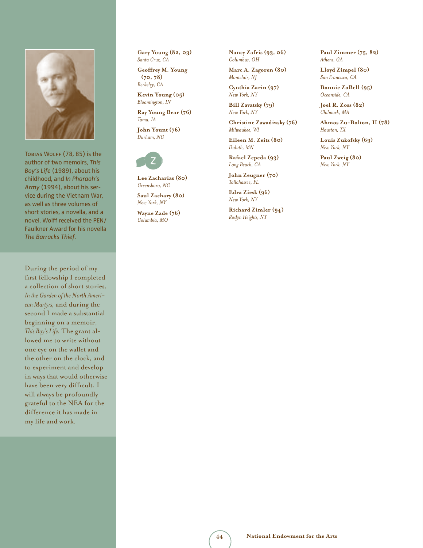

Tobias Wolff (78, 85) is the author of two memoirs, *This Boy's Life* (1989), about his childhood, and *In Pharaoh's Army* (1994), about his service during the Vietnam War, as well as three volumes of short stories, a novella, and a novel. Wolff received the PEN/ Faulkner Award for his novella *The Barracks Thief.*

During the period of my first fellowship I completed a collection of short stories, *In the Garden of the North American Martyrs,* and during the second I made a substantial beginning on a memoir, *This Boy's Life.* The grant allowed me to write without one eye on the wallet and the other on the clock, and to experiment and develop in ways that would otherwise have been very difficult. I will always be profoundly grateful to the NEA for the difference it has made in my life and work.

**Gary Young (82, 03)** *Santa Cruz, CA*

**Geoffrey M. Young (70, 78)** *Berkeley, CA*

**Kevin Young (05)** *Bloomington, IN*

**Ray Young Bear (76)** *Tama, IA*

**John Yount (76)** *Durham, NC*

## z

**Lee Zacharias (80)** *Greensboro, NC*

**Saul Zachary (80)** *New York, NY*

**Wayne Zade (76)** *Columbia, MO*

**Nancy Zafris (93, 06)** *Columbus, OH*

**Marc A. Zagoren (80)** *Montclair, NJ*

**Cynthia Zarin (97)** *New York, NY*

**Bill Zavatsky (79)** *New York, NY*

**Christine Zawadiwsky (76)** *Milwaukee, WI*

**Eileen M. Zeitz (80)** *Duluth, MN*

**Rafael Zepeda (93)** *Long Beach, CA*

**John Zeugner (70)** *Tallahassee, FL*

**Edra Ziesk (96)** *New York, NY*

**Richard Zimler (94)** *Roslyn Heights, NY*

**Paul Zimmer (75, 82)** *Athens, GA*

**Lloyd Zimpel (80)** *San Francisco, CA*

**Bonnie ZoBell (95)** *Oceanside, CA*

**Joel R. Zoss (82)** *Chilmark, MA*

**Ahmos Zu-Bolton, II (78)** *Houston, TX*

**Louis Zukofsky (69)** *New York, NY*

**Paul Zweig (80)** *New York, NY*

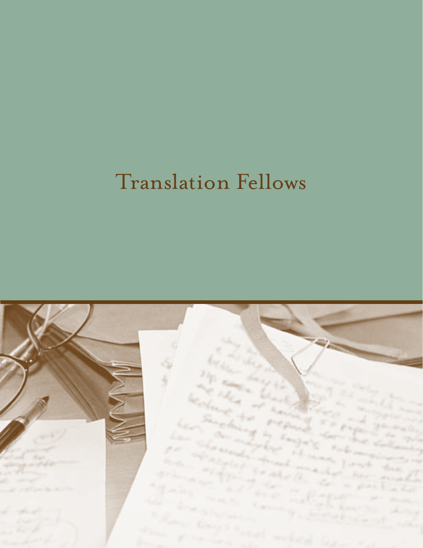# Translation Fellows

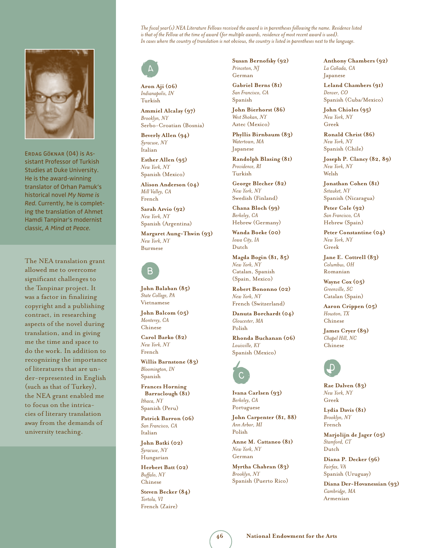

Erdag Göknar (04) is Assistant Professor of Turkish Studies at Duke University. He is the award-winning translator of Orhan Pamuk's historical novel *My Name is Red.* Currently, he is completing the translation of Ahmet Hamdi Tanpinar's modernist classic, *A Mind at Peace.* 

The NEA translation grant allowed me to overcome significant challenges to the Tanpinar project. It was a factor in finalizing copyright and a publishing contract, in researching aspects of the novel during translation, and in giving me the time and space to do the work. In addition to recognizing the importance of literatures that are under-represented in English (such as that of Turkey), the NEA grant enabled me to focus on the intricacies of literary translation away from the demands of university teaching.

*The fiscal year(s) NEA Literature Fellows received the award is in parentheses following the name. Residence listed is that of the Fellow at the time of award (for multiple awards, residence of most recent award is used). In cases where the country of translation is not obvious, the country is listed in parentheses next to the language.* 



**Aron Aji (06)** *Indianapolis, IN*  Turkish

**Ammiel Alcalay (97)** *Brooklyn, NY*  Serbo-Croatian (Bosnia)

**Beverly Allen (94)** *Syracuse, NY*  Italian

**Esther Allen (95)** *New York, NY*  Spanish (Mexico)

**Alison Anderson (04)** *Mill Valley, CA*  French

**Sarah Arvio (92)** *New York, NY*  Spanish (Argentina)

**Margaret Aung-Thwin (93)** *New York, NY*  Burmese



**John Balaban (85)** *State College, PA*  Vietnamese

**John Balcom (05)** *Monterey, CA*  Chinese

**Carol Barko (82)** *New York, NY*  French

**Willis Barnstone (83)** *Bloomington, IN*  Spanish

**Frances Horning Barraclough (81)** *Ithaca, NY*  Spanish (Peru)

**Patrick Barron (06)** *San Francisco, CA*  Italian

**John Batki (02)** *Syracuse, NY*  Hungarian

**Herbert Batt (02)** *Buffalo, NY*  Chinese

**Steven Becker (84)** *Tortola, VI*  French (Zaire)

**Susan Bernofsky (92)** *Princeton, NJ*  German

**Gabriel Berns (81)** *San Francisco, CA*  Spanish

**John Bierhorst (86)** *West Shokan, NY*  Aztec (Mexico)

**Phyllis Birnbaum (83)** *Watertown, MA*  Japanese

**Randolph Blasing (81)** *Providence, RI*  Turkish

**George Blecher (82)** *New York, NY*  Swedish (Finland)

**Chana Bloch (99)** *Berkeley, CA*  Hebrew (Germany)

**Wanda Boeke (00)** *Iowa City, IA*  Dutch

**Magda Bogin (81, 85)**  *New York, NY*  Catalan, Spanish (Spain, Mexico)

**Robert Bononno (02)** *New York, NY*  French (Switzerland)

**Danuta Borchardt (04)** *Gloucester, MA*  Polish

**Rhonda Buchanan (06)** *Louisville, KY*  Spanish (Mexico)



**Ivana Carlsen (93)** *Berkeley, CA*  Portuguese

**John Carpenter (81, 88)**  *Ann Arbor, MI*  Polish

**Anne M. Cattaneo (81)** *New York, NY*  German

**Myrtha Chabran (83)** *Brooklyn, NY*  Spanish (Puerto Rico)

**Anthony Chambers (92)** La Cañada, CA Japanese

**Leland Chambers (91)** *Denver, CO*  Spanish (Cuba/Mexico)

**John Chioles (95)** *New York, NY*  Greek

**Ronald Christ (86)** *New York, NY*  Spanish (Chile)

**Joseph P. Clancy (82, 89)**  *New York, NY*  Welsh

**Jonathan Cohen (81)** *Setauket, NY*  Spanish (Nicaragua)

**Peter Cole (92)** *San Francisco, CA*  Hebrew (Spain)

**Peter Constantine (04)** *New York, NY*  Greek

**Jane E. Cottrell (83)** *Columbus, OH*  Romanian

**Wayne Cox (05)** *Greenville, SC*  Catalan (Spain)

**Aaron Crippen (05)** *Houston, TX*  Chinese

**James Cryer (89)** *Chapel Hill, NC* Chinese



**Rae Dalven (83)** *New York, NY*  Greek

**Lydia Davis (81)** *Brooklyn, NY*  French

**Marjolijn de Jager (05)** *Stamford, CT*  Dutch

**Diana P. Decker (96)** *Fairfax, VA*  Spanish (Uruguay)

**Diana Der-Hovanessian (93)** *Cambridge, MA*  Armenian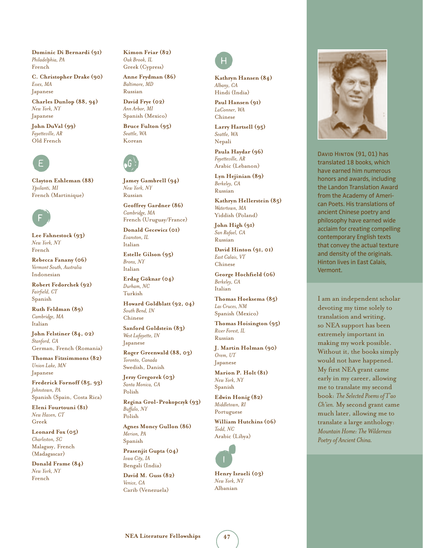**Dominic Di Bernardi (91)** *Philadelphia, PA*  French

**C. Christopher Drake (90)** *Essex, MA*  Japanese

**Charles Dunlop (88, 94)** *New York, NY*  Japanese

**John DuVal (99)** *Fayetteville, AR*  Old French



**Clayton Eshleman (88)** *Ypsilanti, MI*  French (Martinique)



**Lee Fahnestock (93)** *New York, NY*  French

**Rebecca Fanany (06)** *Vermont South, Australia* Indonesian

**Robert Fedorchek (92)** *Fairfield, CT*  Spanish

**Ruth Feldman (89)** *Cambridge, MA*  Italian

**John Felstiner (84, 02)** *Stanford, CA*  German, French (Romania)

**Thomas Fitzsimmons (82)** *Union Lake, MN*  Japanese

**Frederick Fornoff (85, 93)**  *Johnstown, PA*  Spanish (Spain, Costa Rica)

**Eleni Fourtouni (81)** *New Haven, CT*  Greek

**Leonard Fox (05)** *Charleston, SC*  Malagasy, French (Madagascar)

**Donald Frame (84)** *New York, NY*  French

**Kimon Friar (82)** *Oak Brook, IL*  Greek (Cypress)

**Anne Frydman (86)** *Baltimore, MD*  Russian

**David Frye (02)** *Ann Arbor, MI*  Spanish (Mexico)

**Bruce Fulton (95)** *Seattle, WA*  Korean



**Jamey Gambrell (94)** *New York, NY*  Russian

**Geoffrey Gardner (86)** *Cambridge, MA*  French (Uruguay/France)

**Donald Gecewicz (01)** *Evanston, IL*  Italian

**Estelle Gilson (95)** *Bronx, NY*  Italian

**Erdag Göknar (04)** *Durham, NC*  Turkish

**Howard Goldblatt (92, 04)** *South Bend, IN*  Chinese

**Sanford Goldstein (83)** *West Lafayette, IN*  Japanese

**Roger Greenwald (88, 03)** *Toronto, Canada*  Swedish, Danish

**Jerzy Gregorek (03)** *Santa Monica, CA*  Polish

**Regina Grol-Prokopczyk (93)** *Buffalo, NY*  Polish

**Agnes Moncy Gullon (86)** *Merion, PA*  Spanish

**Prasenjit Gupta (04)** *Iowa City, IA*  Bengali (India)

**David M. Guss (82)** *Venice, CA*  Carib (Venezuela)



**Kathryn Hansen (84)** *Albany, CA*  Hindi (India)

**Paul Hansen (91)** *LaConner, WA*  Chinese

**Larry Hartsell (95)** *Seattle, WA*  Nepali

**Paula Haydar (96)** *Fayetteville, AR*  Arabic (Lebanon)

**Lyn Hejinian (89)** *Berkeley, CA*  Russian

**Kathryn Hellerstein (85)** *Watertown, MA*  Yiddish (Poland)

**John High (91)** *San Rafael, CA*  Russian

**David Hinton (91, 01)**  *East Calais, VT*  Chinese

**George Hochfield (06)** *Berkeley, CA*  Italian

**Thomas Hoeksema (85)** *Las Cruces, NM* Spanish (Mexico)

**Thomas Hoisington (95)** *River Forest, IL*  Russian

**J. Martin Holman (90)** *Orem, UT*  Japanese

**Marion P. Holt (81)** *New York, NY*  Spanish

**Edwin Honig (82)** *Middletown, RI*  Portuguese

**William Hutchins (06)** *Todd, NC*  Arabic (Libya)



**Henry Israeli (03)** *New York, NY*  Albanian



David Hinton (91, 01) has translated 18 books, which have earned him numerous honors and awards, including the Landon Translation Award from the Academy of American Poets. His translations of ancient Chinese poetry and philosophy have earned wide acclaim for creating compelling contemporary English texts that convey the actual texture and density of the originals. Hinton lives in East Calais, Vermont.

I am an independent scholar devoting my time solely to translation and writing, so NEA support has been extremely important in making my work possible. Without it, the books simply would not have happened. My first NEA grant came early in my career, allowing me to translate my second book: *The Selected Poems of T'ao Ch'ien.* My second grant came much later, allowing me to translate a large anthology: *Mountain Home: The Wilderness Poetry of Ancient China.*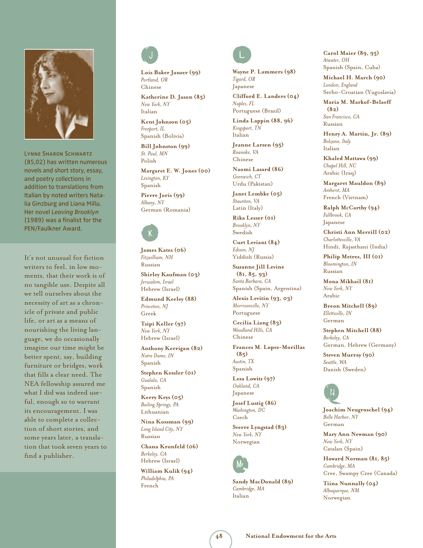

Lynne Sharon Schwartz (85,02) has written numerous novels and short story, essay, and poetry collections in addition to translations from Italian by noted writers Natalia Ginzburg and Liana Millu. Her novel *Leaving Brooklyn* (1989) was a finalist for the PEN/Faulkner Award.

It's not unusual for fiction writers to feel, in low moments, that their work is of no tangible use. Despite all we tell ourselves about the necessity of art as a chronicle of private and public life, or art as a means of nourishing the living language, we do occasionally imagine our time might be better spent, say, building furniture or bridges, work that fills a clear need. The NEA fellowship assured me what I did was indeed useful, enough so to warrant its encouragement. I was able to complete a collection of short stories, and some years later, a translation that took seven years to find a publisher.



**Lois Baker Janzer (99)** *Portland, OR*  Chinese

**Katherine D. Jason (85)** *New York, NY*  Italian

**Kent Johnson (05)** *Freeport, IL*  Spanish (Bolivia)

**Bill Johnston (99)** *St. Paul, MN*  Polish

**Margaret E. W. Jones (00)** *Lexington, KY*  Spanish

**Pierre Joris (99)** *Albany, NY*  German (Romania)

## k

**James Kates (06)** *Fitzwilliam, NH*  Russian

**Shirley Kaufman (03)** *Jerusalem, Israel*  Hebrew (Israel)

**Edmund Keeley (88)** *Princeton, NJ*  Greek

**Tsipi Keller (97)** *New York, NY*  Hebrew (Israel)

**Anthony Kerrigan (82)** *Notre Dame, IN*  Spanish

**Stephen Kessler (01)** *Gualala, CA*  Spanish

**Kerry Keys (05)** *Boiling Springs, PA*  Lithuanian

**Nina Kossman (99)** *Long Island City, NY*  Russian

**Chana Kronfeld (06)** *Berkeley, CA*  Hebrew (Israel)

**William Kulik (94)** *Philadelphia, PA*  French



**Wayne P. Lammers (98)** *Tigard, OR*  Japanese **Clifford E. Landers (04)** *Naples, FL* 

Portuguese (Brazil) **Linda Lappin (88, 96)**

*Kingsport, TN*  Italian

**Jeanne Larsen (95)** *Roanoke, VA*  Chinese

**Naomi Lazard (86)** *Geenwich, CT*  Urdu (Pakistan)

**Janet Lembke (05)** *Staunton, VA*  Latin (Italy)

**Rika Lesser (01)** *Brooklyn, NY*  Swedish

**Curt Leviant (84)** *Edison, NJ*  Yiddish (Russia)

**Suzanne Jill Levine (81, 85, 93)**  *Santa Barbara, CA*  Spanish (Spain, Argentina)

**Alexis Levitin (93, 03)**  *Morrisonville, NY*  Portuguese

**Cecilia Liang (83)** *Woodland Hills, CA*  Chinese

**Frances M. Lopez-Morillas (85)** *Austin, TX*  Spanish

**Leza Lowitz (97)** *Oakland, CA*  Japanese

**Josef Lustig (86)** *Washington, DC*  Czech

**Sverre Lyngstad (83)** *New York, NY*  Norwegian



**Sandy MacDonald (89)** *Cambridge, MA*  Italian

**Carol Maier (89, 95)**  *Atwater, OH*  Spanish (Spain, Cuba)

**Michael H. March (90)** *London, England*  Serbo-Croatian (Yugoslavia)

**Maria M. Markof-Belaeff (82)** *San Francisco, CA*  Russian

**Henry A. Martin, Jr. (89)** *Bolzano, Italy*  Italian

**Khaled Mattawa (99)** *Chapel Hill, NC*  Arabic (Iraq)

**Margaret Mauldon (89)** *Amherst, MA*  French (Vietnam)

**Ralph McCarthy (94)** *Fallbrook, CA*  Japanese

**Christi Ann Merrill (02)** *Charlottesville, VA*  Hindi, Rajasthani (India)

**Philip Metres, III (01)** *Bloomington, IN*  Russian

**Mona Mikhail (81)** *New York, NY*  Arabic

**Breon Mitchell (89)** *Ellettsville, IN*  German

**Stephen Mitchell (88)** *Berkeley, CA*  German, Hebrew (Germany)

**Steven Murray (90)** *Seattle, WA*  Danish (Sweden)



**Joachim Neugroschel (94)** *Belle Harbor, NY*  German

**Mary Ann Newman (90)** *New York, NY*  Catalan (Spain)

**Howard Norman (81, 85)**  *Cambridge, MA*  Cree, Swampy Cree (Canada)

**Tiina Nunnally (04)** *Albuquerque, NM*  Norwegian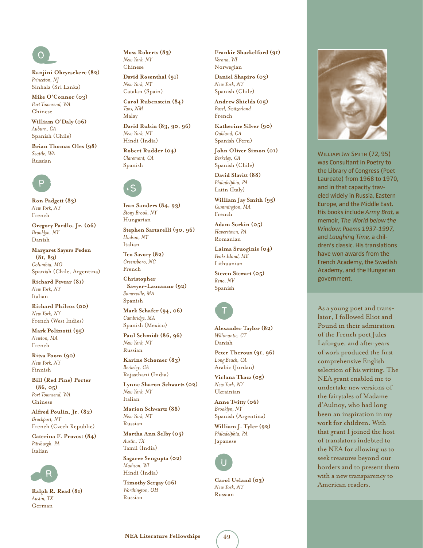## o

**Ranjini Obeyesekere (82)** *Princeton, NJ*  Sinhala (Sri Lanka)

**Mike O'Connor (03)** *Port Townsend, WA*  Chinese

**William O'Daly (06)** *Auburn, CA*  Spanish (Chile)

**Brian Thomas Oles (98)** *Seattle, WA*  Russian



**Ron Padgett (83)** *New York, NY*  French

**Gregory Pardlo, Jr. (06)** *Brooklyn, NY*  Danish

**Margaret Sayers Peden (81, 89)**  *Columbia, MO*  Spanish (Chile, Argentina)

**Richard Pevear (81)** *New York, NY*  Italian

**Richard Philcox (00)** *New York, NY*  French (West Indies)

**Mark Polizzotti (95)** *Newton, MA*  French

**Ritva Poom (90)** *New York, NY*  Finnish

**Bill (Red Pine) Porter (86, 05)** *Port Townsend, WA*  Chinese

**Alfred Poulin, Jr. (82)** *Brockport, NY*  French (Czech Republic)

**Caterina F. Provost (84)** *Pittsburgh, PA*  Italian



**Ralph R. Read (81)** *Austin, TX*  German

**Moss Roberts (83)** *New York, NY*  Chinese

**David Rosenthal (91)** *New York, NY*  Catalan (Spain)

**Carol Rubenstein (84)** *Taos, NM*  Malay

**David Rubin (83, 90, 96)**  *New York, NY*  Hindi (India)

**Robert Rudder (04)** *Claremont, CA* Spanish



**Ivan Sanders (84, 93)**  *Stony Brook, NY*  Hungarian

**Stephen Sartarelli (90, 96)** *Hudson, NY*  Italian

**Teo Savory (82)** *Greensboro, NC*  French

**Christopher Sawyer-Laucanno (92)** *Somerville, MA*  Spanish

**Mark Schafer (94, 06)** *Cambridge, MA*  Spanish (Mexico)

**Paul Schmidt (86, 96)** *New York, NY*  Russian

**Karine Schomer (83)** *Berkeley, CA*  Rajasthani (India)

**Lynne Sharon Schwartz (02)** *New York, NY*  Italian

**Marion Schwartz (88)** *New York, NY*  Russian

**Martha Ann Selby (05)** *Austin, TX*  Tamil (India)

**Sagaree Sengupta (02)** *Madison, WI*  Hindi (India)

**Timothy Sergay (06)** *Worthington, OH*  Russian

**Frankie Shackelford (91)** *Verona, WI*  Norwegian

**Daniel Shapiro (03)** *New York, NY*  Spanish (Chile)

**Andrew Shields (05)** *Basel, Switzerland*  French

**Katherine Silver (90)** *Oakland, CA*  Spanish (Peru)

**John Oliver Simon (01)** *Berkeley, CA*  Spanish (Chile)

**David Slavitt (88)** *Philadelphia, PA*  Latin (Italy)

**William Jay Smith (95)** *Cummington, MA*  French

**Adam Sorkin (05)** *Haverstown, PA*  Romanian

**Laima Sruoginis (04)** *Peaks Island, ME*  Lithuanian

**Steven Stewart (05)** *Reno, NV*  Spanish



**Alexander Taylor (82)** *Willimantic, CT*  Danish

**Peter Theroux (91, 96)** *Long Beach, CA*  Arabic (Jordan)

**Virlana Tkacz (05)** *New York, NY*  Ukrainian

**Anne Twitty (06)** *Brooklyn, NY*  Spanish (Argentina)

**William J. Tyler (92)** *Philadelphia, PA*  Japanese



**Carol Ueland (03)** *New York, NY*  Russian



WILLIAM JAY SMITH (72, 95) was Consultant in Poetry to the Library of Congress (Poet Laureate) from 1968 to 1970, and in that capacity traveled widely in Russia, Eastern Europe, and the Middle East. His books include *Army Brat,* a memoir, *The World below the Window: Poems 1937-1997,* and *Laughing Time,* a children's classic. His translations have won awards from the French Academy, the Swedish Academy, and the Hungarian government.

As a young poet and translator, I followed Eliot and Pound in their admiration of the French poet Jules Laforgue, and after years of work produced the first comprehensive English selection of his writing. The NEA grant enabled me to undertake new versions of the fairytales of Madame d'Aulnoy, who had long been an inspiration in my work for children. With that grant I joined the host of translators indebted to the NEA for allowing us to seek treasures beyond our borders and to present them with a new transparency to American readers.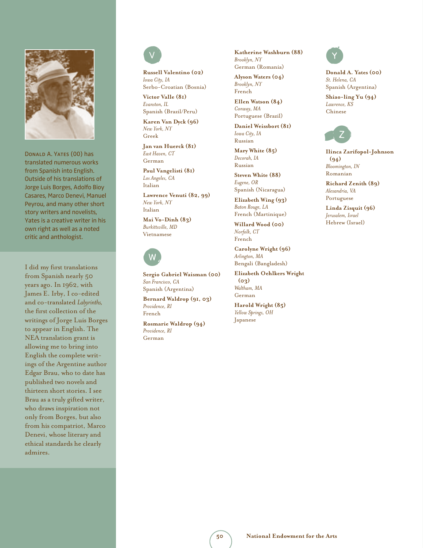

Donald A. Yates (00) has translated numerous works from Spanish into English. Outside of his translations of Jorge Luis Borges, Adolfo Bioy Casares, Marco Denevi, Manuel Peyrou, and many other short story writers and novelists, Yates is a creative writer in his own right as well as a noted critic and anthologist.

I did my first translations from Spanish nearly 50 years ago. In 1962, with James E. Irby, I co-edited and co-translated *Labyrinths,*  the first collection of the writings of Jorge Luis Borges to appear in English. The NEA translation grant is allowing me to bring into English the complete writings of the Argentine author Edgar Brau, who to date has published two novels and thirteen short stories. I see Brau as a truly gifted writer, who draws inspiration not only from Borges, but also from his compatriot, Marco Denevi, whose literary and ethical standards he clearly admires.



**Russell Valentino (02)** *Iowa City, IA*  Serbo-Croatian (Bosnia)

**Victor Valle (81)** *Evanston, IL*  Spanish (Brazil/Peru)

**Karen Van Dyck (96)** *New York, NY*  Greek

**Jan van Huerck (81)** *East Haven, CT*  German

**Paul Vangelisti (81)** *Los Angeles, CA*  Italian

**Lawrence Venuti (82, 99)** *New York, NY*  Italian

**Mai Vo-Dinh (83)** *Burkittsville, MD*  Vietnamese

## w

**Sergio Gabriel Waisman (00)** *San Francisco, CA*  Spanish (Argentina)

**Bernard Waldrop (91, 03)** *Providence, RI*  French

**Rosmarie Waldrop (94)** *Providence, RI*  German

**Katherine Washburn (88)** *Brooklyn, NY*  German (Romania)

**Alyson Waters (04)** *Brooklyn, NY*  French

**Ellen Watson (84)** *Conway, MA*  Portuguese (Brazil)

**Daniel Weissbort (81)** *Iowa City, IA*  Russian

**Mary White (85)** *Decorah, IA*  Russian

**Steven White (88)** *Eugene, OR*  Spanish (Nicaragua)

**Elizabeth Wing (93)** *Baton Rouge, LA*  French (Martinique)

**Willard Wood (00)** *Norfolk, CT*  French

**Carolyne Wright (96)** *Arlington, MA*  Bengali (Bangladesh)

**Elizabeth Oehlkers Wright (03)** *Waltham, MA*  German

**Harold Wright (85)** *Yellow Springs, OH*  Japanese



**Donald A. Yates (00)** *St. Helena, CA*  Spanish (Argentina)

**Shiao-ling Yu (94)** *Lawrence, KS*  Chinese



**Ilinca Zarifopol-Johnson (94)** *Bloomington, IN*  Romanian

**Richard Zenith (89)** *Alexandria, VA*  Portuguese

**Linda Zisquit (96)** *Jerusalem, Israel*  Hebrew (Israel)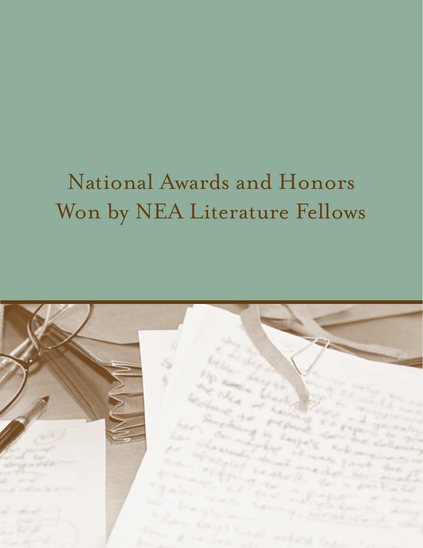# National Awards and Honors Won by NEA Literature Fellows

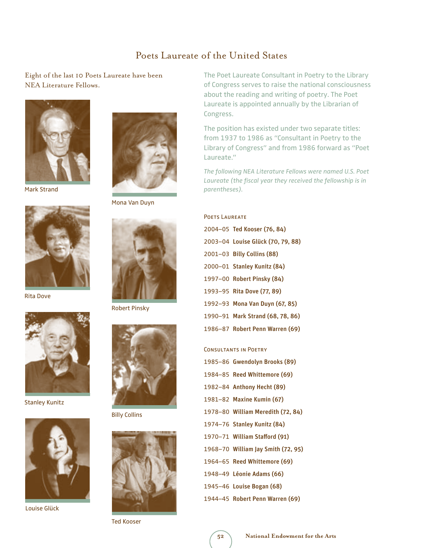#### Poets Laureate of the United States

Eight of the last 10 Poets Laureate have been NEA Literature Fellows.





Rita Dove



Stanley Kunitz



Louise Glück



Mona Van Duyn



Robert Pinsky



Billy Collins



Ted Kooser

The Poet Laureate Consultant in Poetry to the Library of Congress serves to raise the national consciousness about the reading and writing of poetry. The Poet Laureate is appointed annually by the Librarian of Congress.

The position has existed under two separate titles: from 1937 to 1986 as "Consultant in Poetry to the Library of Congress" and from 1986 forward as "Poet Laureate."

*The following NEA Literature Fellows were named U.S. Poet Laureate (the fiscal year they received the fellowship is in* 

| <b>POETS LAUREATE</b> |                                   |  |
|-----------------------|-----------------------------------|--|
|                       | 2004-05 Ted Kooser (76, 84)       |  |
|                       | 2003-04 Louise Glück (70, 79, 88) |  |
|                       | 2001-03 Billy Collins (88)        |  |
|                       |                                   |  |

- 2000–01 Stanley Kunitz (84)
- 1997–00 Robert Pinsky (84)
- 1993–95 Rita Dove (77, 89)
- 1992–93 Mona Van Duyn (67, 85)
- 1990–91 Mark Strand (68, 78, 86)
- 1986–87 Robert Penn Warren (69)

#### Consultants in Poetry

- 1985–86 Gwendolyn Brooks (89)
- 1984–85 Reed Whittemore (69)
- 1982–84 Anthony Hecht (89)
- 1981–82 Maxine Kumin (67)
- 1978–80 William Meredith (72, 84)
- 1974–76 Stanley Kunitz (84)
- 1970–71 William Stafford (91)
- 1968–70 William Jay Smith (72, 95)
- 1964–65 Reed Whittemore (69)
- 1948–49 Léonie Adams (66)
- 1945–46 Louise Bogan (68)
- 1944–45 Robert Penn Warren (69)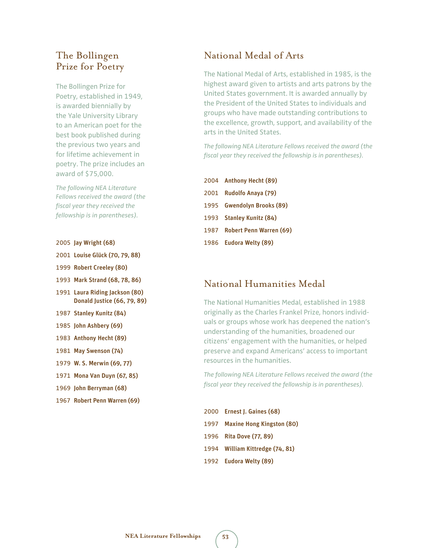### The Bollingen Prize for Poetry

The Bollingen Prize for Poetry, established in 1949, is awarded biennially by the Yale University Library to an American poet for the best book published during the previous two years and for lifetime achievement in poetry. The prize includes an award of \$75,000.

*The following NEA Literature Fellows received the award (the fiscal year they received the fellowship is in parentheses).* 

- 2005 Jay Wright (68)
- 2001 Louise Glück (70, 79, 88)
- 1999 Robert Creeley (80)
- 1993 Mark Strand (68, 78, 86)
- 1991 Laura Riding Jackson (80) Donald Justice (66, 79, 89)
- 1987 Stanley Kunitz (84)
- 1985 John Ashbery (69)
- 1983 Anthony Hecht (89)
- 1981 May Swenson (74)
- 1979 W. S. Merwin (69, 77)
- 1971 Mona Van Duyn (67, 85)
- 1969 John Berryman (68)
- 1967 Robert Penn Warren (69)

### National Medal of Arts

The National Medal of Arts, established in 1985, is the highest award given to artists and arts patrons by the United States government. It is awarded annually by the President of the United States to individuals and groups who have made outstanding contributions to the excellence, growth, support, and availability of the arts in the United States.

*The following NEA Literature Fellows received the award (the fiscal year they received the fellowship is in parentheses).*

| 2004 Anthony Hecht (89)      |
|------------------------------|
| 2001 Rudolfo Anaya (79)      |
| 1995 Gwendolyn Brooks (89)   |
| 1993 Stanley Kunitz (84)     |
| 1987 Robert Penn Warren (69) |
| 1986 Eudora Welty (89)       |

### National Humanities Medal

The National Humanities Medal, established in 1988 originally as the Charles Frankel Prize, honors individuals or groups whose work has deepened the nation's understanding of the humanities, broadened our citizens' engagement with the humanities, or helped preserve and expand Americans' access to important resources in the humanities.

*The following NEA Literature Fellows received the award (the fiscal year they received the fellowship is in parentheses).*

| 2000 Ernest J. Gaines (68)      |
|---------------------------------|
| 1997 Maxine Hong Kingston (80)  |
| 1996 Rita Dove (77, 89)         |
| 1994 William Kittredge (74, 81) |
| 1992 Eudora Welty (89)          |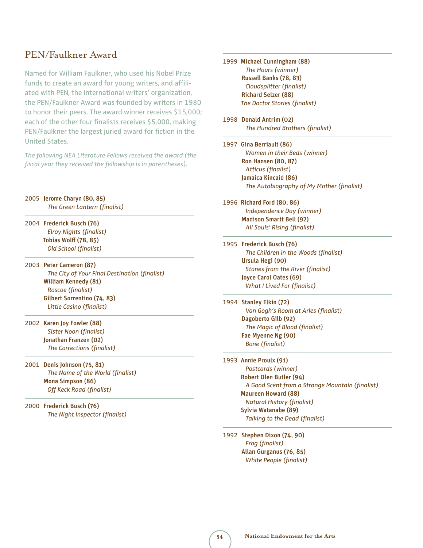### PEN/Faulkner Award

Named for William Faulkner, who used his Nobel Prize funds to create an award for young writers, and affiliated with PEN, the international writers' organization, the PEN/Faulkner Award was founded by writers in 1980 to honor their peers. The award winner receives \$15,000; each of the other four finalists receives \$5,000, making PEN/Faulkner the largest juried award for fiction in the United States.

*The following NEA Literature Fellows received the award (the fiscal year they received the fellowship is in parentheses).*

2005 Jerome Charyn (80, 85) *The Green Lantern (finalist)*

2004 Frederick Busch (76) *Elroy Nights (finalist)* Tobias Wolff (78, 85) *Old School (finalist)*

2003 Peter Cameron (87) *The City of Your Final Destination (finalist)* William Kennedy (81) *Roscoe (finalist)* Gilbert Sorrentino (74, 83) *Little Casino (finalist)*

2002 Karen Joy Fowler (88)  *Sister Noon (finalist)* Jonathan Franzen (02)  *The Corrections (finalist)*

2001 Denis Johnson (75, 81) *The Name of the World (finalist)* Mona Simpson (86)  *Off Keck Road (finalist)*

2000 Frederick Busch (76)  *The Night Inspector (finalist)* 1999 Michael Cunningham (88)  *The Hours (winner)* Russell Banks (78, 83)  *Cloudsplitter (finalist)* Richard Selzer (88) *The Doctor Stories (finalist)*

1998 Donald Antrim (02) *The Hundred Brothers (finalist)*

1997 Gina Berriault (86) *Women in their Beds (winner)* Ron Hansen (80, 87)  *Atticus (finalist)* Jamaica Kincaid (86) *The Autobiography of My Mother (finalist)*

1996 Richard Ford (80, 86)  *Independence Day (winner)* Madison Smartt Bell (92)  *All Souls' Rising (finalist)*

1995 Frederick Busch (76)  *The Children in the Woods (finalist)* Ursula Hegi (90) *Stones from the River (finalist)* Joyce Carol Oates (69) *What I Lived For (finalist)*

1994 Stanley Elkin (72) *Van Gogh's Room at Arles (finalist)* Dagoberto Gilb (92) *The Magic of Blood (finalist)* Fae Myenne Ng (90)  *Bone (finalist)*

1993 Annie Proulx (91)  *Postcards (winner)* Robert Olen Butler (94)  *A Good Scent from a Strange Mountain (finalist)* Maureen Howard (88) *Natural History (finalist)* Sylvia Watanabe (89)  *Talking to the Dead (finalist)*

1992 Stephen Dixon (74, 90)  *Frog (finalist)* Allan Gurganus (76, 85)  *White People (finalist)*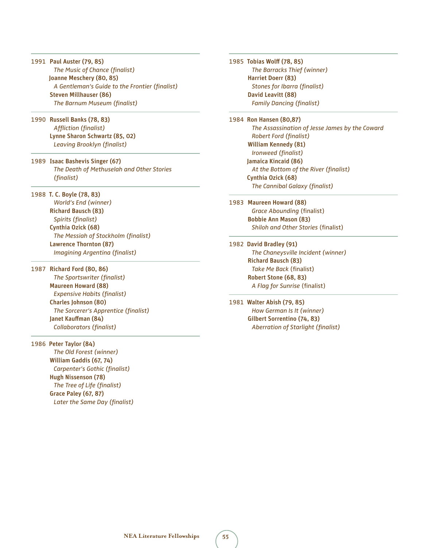- 1991 Paul Auster (79, 85)  *The Music of Chance (finalist)* Joanne Meschery (80, 85) *A Gentleman's Guide to the Frontier (finalist)* Steven Millhauser (86) *The Barnum Museum (finalist)*
- 1990 Russell Banks (78, 83)  *Affliction (finalist)* Lynne Sharon Schwartz (85, 02) *Leaving Brooklyn (finalist)*
- 1989 Isaac Bashevis Singer (67) *The Death of Methuselah and Other Stories (finalist)*
- 1988 T. C. Boyle (78, 83)  *World's End (winner)* Richard Bausch (83) *Spirits (finalist)* Cynthia Ozick (68)  *The Messiah of Stockholm (finalist)* Lawrence Thornton (87)  *Imagining Argentina (finalist)*
- 1987 Richard Ford (80, 86)  *The Sportswriter (finalist)* Maureen Howard (88)  *Expensive Habits (finalist)* Charles Johnson (80)  *The Sorcerer's Apprentice (finalist)* Janet Kauffman (84)  *Collaborators (finalist)*
- 1986 Peter Taylor (84)  *The Old Forest (winner)* William Gaddis (67, 74)  *Carpenter's Gothic (finalist)* Hugh Nissenson (78)  *The Tree of Life (finalist)* Grace Paley (67, 87)  *Later the Same Day (finalist)*

1985 Tobias Wolff (78, 85)  *The Barracks Thief (winner)* Harriet Doerr (83)  *Stones for Ibarra (finalist)* David Leavitt (88)  *Family Dancing (finalist)*

- 1984 Ron Hansen (80,87)  *The Assassination of Jesse James by the Coward Robert Ford (finalist)* William Kennedy (81)  *Ironweed (finalist)* Jamaica Kincaid (86)  *At the Bottom of the River (finalist)* Cynthia Ozick (68)  *The Cannibal Galaxy (finalist)*
- 1983 Maureen Howard (88) *Grace Abounding* (finalist) Bobbie Ann Mason (83) *Shiloh and Other Stories* (finalist)
- 1982 David Bradley (91) *The Chaneysville Incident (winner)* Richard Bausch (83) *Take Me Back* (finalist) Robert Stone (68, 83) *A Flag for Sunrise* (finalist)
- 1981 Walter Abish (79, 85)  *How German Is It (winner)* Gilbert Sorrentino (74, 83)  *Aberration of Starlight (finalist)*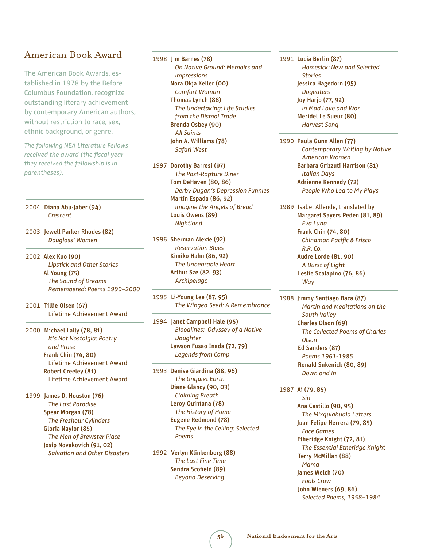### American Book Award

The American Book Awards, established in 1978 by the Before Columbus Foundation, recognize outstanding literary achievement by contemporary American authors, without restriction to race, sex, ethnic background, or genre.

*The following NEA Literature Fellows received the award (the fiscal year they received the fellowship is in parentheses).*

2004 Diana Abu-Jaber (94) *Crescent*

2003 Jewell Parker Rhodes (82) *Douglass' Women*

2002 Alex Kuo (90) *Lipstick and Other Stories* Al Young (75) *The Sound of Dreams Remembered: Poems 1990–2000*

2001 Tillie Olsen (67) Lifetime Achievement Award

2000 Michael Lally (78, 81)  *It's Not Nostalgia: Poetry and Prose* Frank Chin (74, 80) Lifetime Achievement Award Robert Creeley (81) Lifetime Achievement Award

1999 James D. Houston (76) *The Last Paradise*  Spear Morgan (78) *The Freshour Cylinders* Gloria Naylor (85) *The Men of Brewster Place* Josip Novakovich (91, 02) *Salvation and Other Disasters* 1998 Jim Barnes (78)

 *On Native Ground: Memoirs and Impressions* Nora Okja Keller (00) *Comfort Woman* Thomas Lynch (88)  *The Undertaking: Life Studies from the Dismal Trade* Brenda Osbey (90)  *All Saints* John A. Williams (78) *Safari West* 

1997 Dorothy Barresi (97) *The Post-Rapture Diner* Tom DeHaven (80, 86) *Derby Dugan's Depression Funnies* Martin Espada (86, 92) *Imagine the Angels of Bread* Louis Owens (89) *Nightland*

1996 Sherman Alexie (92) *Reservation Blues* Kimiko Hahn (86, 92) *The Unbearable Heart* Arthur Sze (82, 93) *Archipelago*

1995 Li-Young Lee (87, 95) *The Winged Seed: A Remembrance*

1994 Janet Campbell Hale (95) *Bloodlines: Odyssey of a Native Daughter* Lawson Fusao Inada (72, 79) *Legends from Camp*

1993 Denise Giardina (88, 96) *The Unquiet Earth* Diane Glancy (90, 03) *Claiming Breath* Leroy Quintana (78) *The History of Home* Eugene Redmond (78) *The Eye in the Ceiling: Selected Poems*

1992 Verlyn Klinkenborg (88) *The Last Fine Time* Sandra Scofield (89)  *Beyond Deserving*

1991 Lucia Berlin (87) *Homesick: New and Selected Stories* Jessica Hagedorn (95) *Dogeaters* Joy Harjo (77, 92)  *In Mad Love and War* Meridel Le Sueur (80) *Harvest Song*

1990 Paula Gunn Allen (77) *Contemporary Writing by Native American Women* Barbara Grizzuti Harrison (81)  *Italian Days* Adrienne Kennedy (72) *People Who Led to My Plays*

1989 Isabel Allende, translated by Margaret Sayers Peden (81, 89) *Eva Luna* Frank Chin (74, 80) *Chinaman Pacific & Frisco R.R. Co.* Audre Lorde (81, 90)  *A Burst of Light* Leslie Scalapino (76, 86) *Way*

1988 Jimmy Santiago Baca (87)  *Martin and Meditations on the South Valley* Charles Olson (69) *The Collected Poems of Charles Olson* Ed Sanders (87) *Poems 1961-1985* Ronald Sukenick (80, 89) *Down and In*

1987 Ai (79, 85)

 *Sin* Ana Castillo (90, 95) *The Mixquiahuala Letters* Juan Felipe Herrera (79, 85) *Face Games* Etheridge Knight (72, 81) *The Essential Etheridge Knight* Terry McMillan (88) *Mama* James Welch (70) *Fools Crow* John Wieners (69, 86) *Selected Poems, 1958–1984*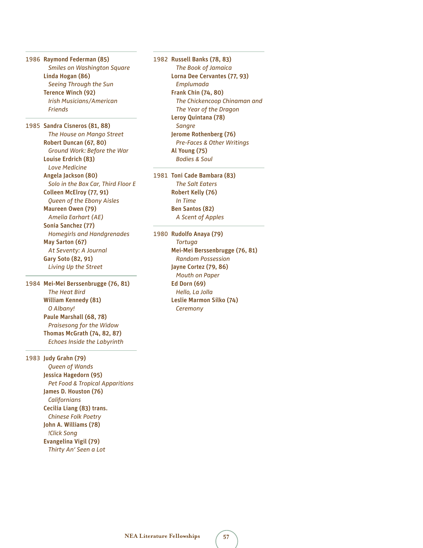1986 Raymond Federman (85) *Smiles on Washington Square* Linda Hogan (86) *Seeing Through the Sun* Terence Winch (92) *Irish Musicians/American Friends*

1985 Sandra Cisneros (81, 88) *The House on Mango Street* Robert Duncan (67, 80) *Ground Work: Before the War* Louise Erdrich (83) *Love Medicine* Angela Jackson (80) *Solo in the Box Car, Third Floor E* Colleen McElroy (77, 91) *Queen of the Ebony Aisles* Maureen Owen (79) *Amelia Earhart (AE)* Sonia Sanchez (77) *Homegirls and Handgrenades* May Sarton (67) *At Seventy: A Journal* Gary Soto (82, 91)  *Living Up the Street*

1984 Mei-Mei Berssenbrugge (76, 81) *The Heat Bird* William Kennedy (81)  *O Albany!*  Paule Marshall (68, 78) *Praisesong for the Widow* Thomas McGrath (74, 82, 87) *Echoes Inside the Labyrinth*

1983 Judy Grahn (79) *Queen of Wands*  Jessica Hagedorn (95) *Pet Food & Tropical Apparitions* James D. Houston (76)  *Californians* Cecilia Liang (83) trans. *Chinese Folk Poetry* John A. Williams (78)  *!Click Song* Evangelina Vigil (79) *Thirty An' Seen a Lot*

1982 Russell Banks (78, 83) *The Book of Jamaica* Lorna Dee Cervantes (77, 93) *Emplumada* Frank Chin (74, 80) *The Chickencoop Chinaman and The Year of the Dragon* Leroy Quintana (78) *Sangre* Jerome Rothenberg (76) *Pre-Faces & Other Writings* Al Young (75) *Bodies & Soul*

1981 Toni Cade Bambara (83) *The Salt Eaters* Robert Kelly (76)  *In Time* Ben Santos (82) *A Scent of Apples*

1980 Rudolfo Anaya (79) *Tortuga* Mei-Mei Berssenbrugge (76, 81) *Random Possession* Jayne Cortez (79, 86) *Mouth on Paper* Ed Dorn (69)  *Hello, La Jolla*  Leslie Marmon Silko (74) *Ceremony*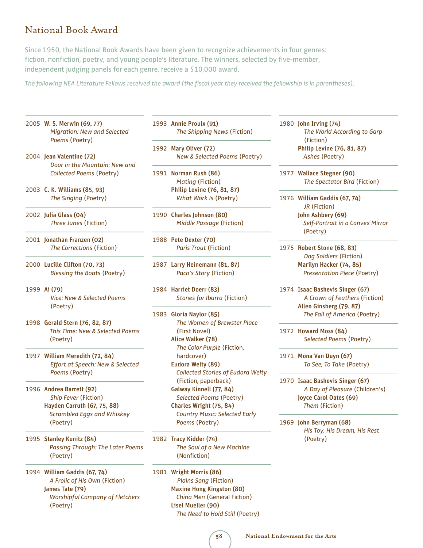### National Book Award

Since 1950, the National Book Awards have been given to recognize achievements in four genres: fiction, nonfiction, poetry, and young people's literature. The winners, selected by five-member, independent judging panels for each genre, receive a \$10,000 award.

*The following NEA Literature Fellows received the award (the fiscal year they received the fellowship is in parentheses).* 

- 2005 W. S. Merwin (69, 77) *Migration: New and Selected Poems* (Poetry)
- 2004 Jean Valentine (72) *Door in the Mountain: New and Collected Poems* (Poetry)
- 2003 C. K. Williams (85, 93) *The Singing* (Poetry)
- 2002 Julia Glass (04) *Three Junes* (Fiction)
- 2001 Jonathan Franzen (02) *The Corrections* (Fiction)
- 2000 Lucille Clifton (70, 73) *Blessing the Boats* (Poetry)
- 1999 Ai (79) *Vice: New & Selected Poems* (Poetry)
- 1998 Gerald Stern (76, 82, 87)  *This Time: New & Selected Poems* (Poetry)
- 1997 William Meredith (72, 84) *Effort at Speech: New & Selected Poems* (Poetry)
- 1996 Andrea Barrett (92) *Ship Fever* (Fiction) Hayden Carruth (67, 75, 88) *Scrambled Eggs and Whiskey* (Poetry)
- 1995 Stanley Kunitz (84)  *Passing Through: The Later Poems* (Poetry)
- 1994 William Gaddis (67, 74) *A Frolic of His Own* (Fiction) James Tate (79)  *Worshipful Company of Fletchers* (Poetry)

1993 Annie Proulx (91) *The Shipping News* (Fiction)

1992 Mary Oliver (72) *New & Selected Poems* (Poetry)

1991 Norman Rush (86)  *Mating* (Fiction) Philip Levine (76, 81, 87)  *What Work Is* (Poetry)

1990 Charles Johnson (80) *Middle Passage* (Fiction)

1988 Pete Dexter (70)  *Paris Trout* (Fiction)

1987 Larry Heinemann (81, 87) *Paco's Story* (Fiction)

1984 Harriet Doerr (83) *Stones for Ibarra* (Fiction)

- 1983 Gloria Naylor (85) *The Women of Brewster Place* (First Novel) Alice Walker (78) *The Color Purple* (Fiction, hardcover) Eudora Welty (89) *Collected Stories of Eudora Welty* (Fiction, paperback) Galway Kinnell (77, 84) *Selected Poems* (Poetry) Charles Wright (75, 84)  *Country Music: Selected Early Poems* (Poetry)
- 1982 Tracy Kidder (74) *The Soul of a New Machine* (Nonfiction)

1981 Wright Morris (86) *Plains Song* (Fiction) Maxine Hong Kingston (80) *China Men* (General Fiction) Lisel Mueller (90) *The Need to Hold Still* (Poetry) 1980 John Irving (74) *The World According to Garp* (Fiction) Philip Levine (76, 81, 87) *Ashes* (Poetry)

1977 Wallace Stegner (90)  *The Spectator Bird* (Fiction)

1976 William Gaddis (67, 74)  *JR* (Fiction) John Ashbery (69) *Self-Portrait in a Convex Mirror* (Poetry)

1975 Robert Stone (68, 83) *Dog Soldiers* (Fiction) Marilyn Hacker (74, 85)  *Presentation Piece* (Poetry)

- 1974 Isaac Bashevis Singer (67)  *A Crown of Feathers* (Fiction) Allen Ginsberg (79, 87) *The Fall of America* (Poetry)
- 1972 Howard Moss (84) *Selected Poems* (Poetry)

1971 Mona Van Duyn (67) *To See, To Take* (Poetry)

1970 Isaac Bashevis Singer (67) *A Day of Pleasure* (Children's) Joyce Carol Oates (69)  *Them* (Fiction)

1969 John Berryman (68) *His Toy, His Dream, His Rest* (Poetry)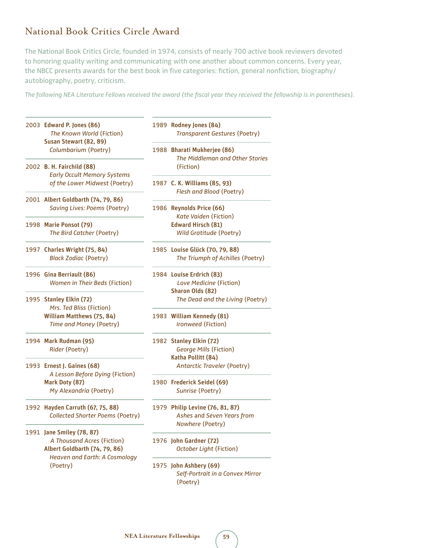### National Book Critics Circle Award

The National Book Critics Circle, founded in 1974, consists of nearly 700 active book reviewers devoted to honoring quality writing and communicating with one another about common concerns. Every year, the NBCC presents awards for the best book in five categories: fiction, general nonfiction, biography/ autobiography, poetry, criticism.

*The following NEA Literature Fellows received the award (the fiscal year they received the fellowship is in parentheses).*

|  | 2003 Edward P. Jones (86)<br>The Known World (Fiction)<br>Susan Stewart (82, 89) | 1989 Rodney Jones (84)<br><b>Transparent Gestures (Poetry)</b>         |
|--|----------------------------------------------------------------------------------|------------------------------------------------------------------------|
|  | Columbarium (Poetry)                                                             | 1988 Bharati Mukherjee (86)<br>The Middleman and Other Stories         |
|  | 2002 B. H. Fairchild (88)<br><b>Early Occult Memory Systems</b>                  | (Fiction)                                                              |
|  | of the Lower Midwest (Poetry)                                                    | 1987 C. K. Williams (85, 93)<br>Flesh and Blood (Poetry)               |
|  | 2001 Albert Goldbarth (74, 79, 86)<br><b>Saving Lives: Poems (Poetry)</b>        | 1986 Reynolds Price (66)                                               |
|  |                                                                                  | Kate Vaiden (Fiction)<br><b>Edward Hirsch (81)</b>                     |
|  | 1998 Marie Ponsot (79)<br>The Bird Catcher (Poetry)                              | Wild Gratitude (Poetry)                                                |
|  | 1997 Charles Wright (75, 84)                                                     | 1985 Louise Glück (70, 79, 88)                                         |
|  | <b>Black Zodiac (Poetry)</b>                                                     | The Triumph of Achilles (Poetry)                                       |
|  | 1996 Gina Berriault (86)                                                         | 1984 Louise Erdrich (83)                                               |
|  | Women in Their Beds (Fiction)                                                    | Love Medicine (Fiction)                                                |
|  |                                                                                  | Sharon Olds (82)                                                       |
|  | 1995 Stanley Elkin (72)<br>Mrs. Ted Bliss (Fiction)                              | The Dead and the Living (Poetry)                                       |
|  | William Matthews (75, 84)                                                        | 1983 William Kennedy (81)                                              |
|  | Time and Money (Poetry)                                                          | Ironweed (Fiction)                                                     |
|  | 1994 Mark Rudman (95)                                                            | 1982 Stanley Elkin (72)                                                |
|  | Rider (Poetry)                                                                   | <b>George Mills (Fiction)</b>                                          |
|  |                                                                                  | Katha Pollitt (84)                                                     |
|  | 1993 Ernest J. Gaines (68)<br>A Lesson Before Dying (Fiction)                    | <b>Antarctic Traveler (Poetry)</b>                                     |
|  | Mark Doty (87)                                                                   | 1980 Frederick Seidel (69)                                             |
|  | My Alexandria (Poetry)                                                           | Sunrise (Poetry)                                                       |
|  | 1992 Hayden Carruth (67, 75, 88)                                                 | 1979 Philip Levine (76, 81, 87)                                        |
|  | Collected Shorter Poems (Poetry)                                                 | Ashes and Seven Years from<br>Nowhere (Poetry)                         |
|  | 1991 Jane Smiley (78, 87)                                                        |                                                                        |
|  | A Thousand Acres (Fiction)                                                       | 1976 John Gardner (72)                                                 |
|  | Albert Goldbarth (74, 79, 86)                                                    | October Light (Fiction)                                                |
|  | <b>Heaven and Earth: A Cosmology</b>                                             |                                                                        |
|  | (Poetry)                                                                         | 1975 John Ashbery (69)<br>Self-Portrait in a Convex Mirror<br>(Poetry) |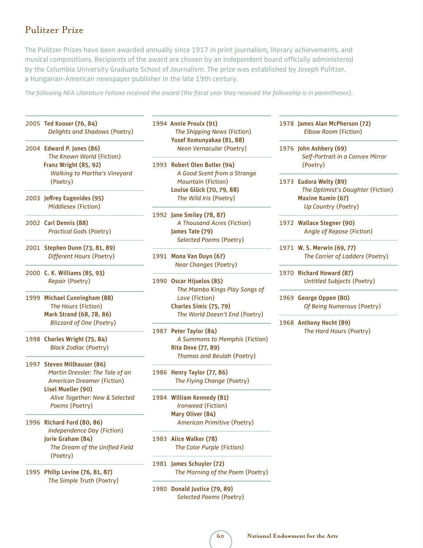### Pulitzer Prize

The Pulitzer Prizes have been awarded annually since 1917 in print journalism, literary achievements, and musical compositions. Recipients of the award are chosen by an independent board officially administered by the Columbia University Graduate School of Journalism. The prize was established by Joseph Pulitzer, a Hungarian-American newspaper publisher in the late 19th century.

*The following NEA Literature Fellows received the award (the fiscal year they received the fellowship is in parentheses).* 

- 2005 Ted Kooser (76, 84) *Delights and Shadows* (Poetry)
- 2004 Edward P. Jones (86)  *The Known World* (Fiction) Franz Wright (85, 92) *Walking to Martha's Vineyard* (Poetry)
- 2003 Jeffrey Eugenides (95) *Middlesex* (Fiction)

j

j

- 2002 Carl Dennis (88) *Practical Gods* (Poetry)
- 2001 Stephen Dunn (73, 81, 89)  *Different Hours* (Poetry)
- 2000 C. K. Williams (85, 93)  *Repair* (Poetry)
- 1999 Michael Cunningham (88) *The Hours* (Fiction) Mark Strand (68, 78, 86) *Blizzard of One* (Poetry)
- 1998 Charles Wright (75, 84)  *Black Zodiac* (Poetry)
- 1997 Steven Millhauser (86) *Martin Dressler: The Tale of an American Dreamer* (Fiction) Lisel Mueller (90) *Alive Together: New & Selected Poems* (Poetry)
- 1996 Richard Ford (80, 86)  *Independence Day* (Fiction) Jorie Graham (84) *The Dream of the Unified Field* (Poetry)
- 1995 Philip Levine (76, 81, 87) *The Simple Truth* (Poetry)

1994 Annie Proulx (91) *The Shipping News* (Fiction) Yusef Komunyakaa (81, 88) *Neon Vernacular* (Poetry)

- 1993 Robert Olen Butler (94)  *A Good Scent from a Strange Mountain* (Fiction) Louise Glück (70, 79, 88) *The Wild Iris* (Poetry)
- 1992 Jane Smiley (78, 87) *A Thousand Acres* (Fiction) James Tate (79) *Selected Poems* (Poetry)
- 1991 Mona Van Duyn (67) *Near Changes* (Poetry)
- 1990 Oscar Hijuelos (85) *The Mambo Kings Play Songs of Love* (Fiction) Charles Simic (75, 79) *The World Doesn't End* (Poetry)
- 1987 Peter Taylor (84)  *A Summons to Memphis* (Fiction) Rita Dove (77, 89)  *Thomas and Beulah* (Poetry)
- 1986 Henry Taylor (77, 86)  *The Flying Change* (Poetry)
- 1984 William Kennedy (81) *Ironweed* (Fiction) Mary Oliver (84) *American Primitive* (Poetry)
- 1983 Alice Walker (78) *The Color Purple* (Fiction)
- 1981 James Schuyler (72) *The Morning of the Poem* (Poetry)
- 1980 Donald Justice (79, 89) *Selected Poems* (Poetry)

1978 James Alan McPherson (72)  *Elbow Room* (Fiction)

1976 John Ashbery (69) *Self-Portrait in a Convex Mirror* (Poetry)

- 1973 Eudora Welty (89) *The Optimist's Daughter* (Fiction) Maxine Kumin (67) *Up Country* (Poetry)
- 1972 Wallace Stegner (90) *Angle of Repose* (Fiction)
- 1971 W. S. Merwin (69, 77) *The Carrier of Ladders* (Poetry)
- 1970 Richard Howard (87) *Untitled Subjects* (Poetry)
- 1969 George Oppen (80) *Of Being Numerous* (Poetry)
- 1968 Anthony Hecht (89) *The Hard Hours* (Poetry)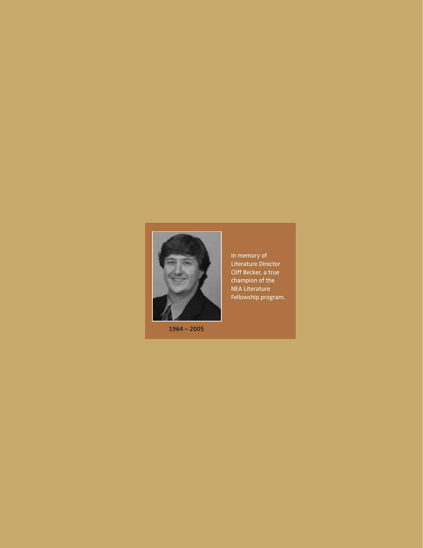

1964 – 2005

In memory of Literature Director Cliff Becker, a true champion of the NEA Literature Fellowship program.